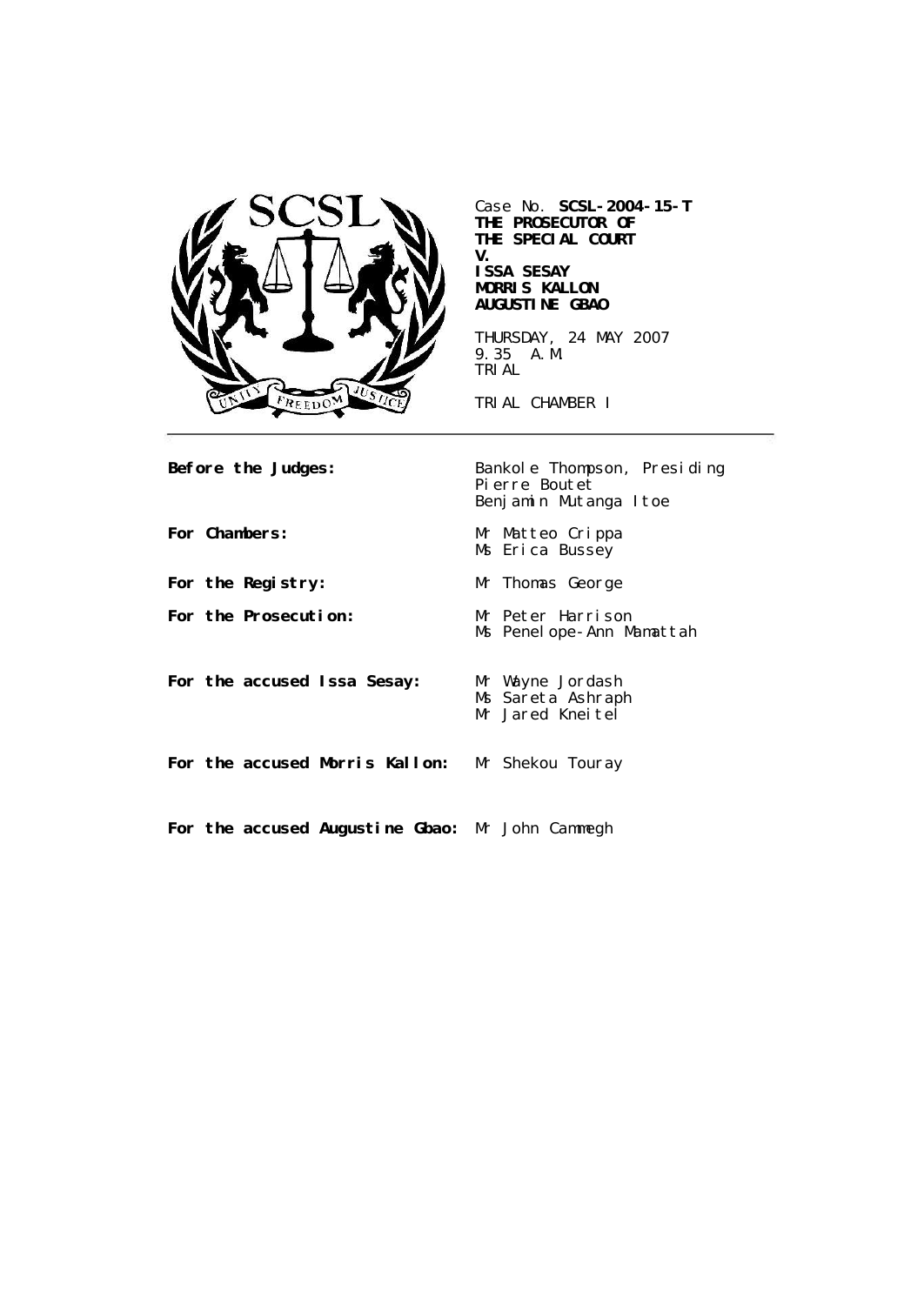

Case No. **SCSL-2004-15-T THE PROSECUTOR OF THE SPECIAL COURT V. ISSA SESAY MORRIS KALLON AUGUSTINE GBAO**

THURSDAY, 24 MAY 2007 9.35 A.M. TRIAL

TRIAL CHAMBER I

| Before the Judges:                              | Bankole Thompson, Presiding<br>Pierre Boutet<br>Benjamin Mutanga Itoe |
|-------------------------------------------------|-----------------------------------------------------------------------|
| For Chambers:                                   | Mr Matteo Crippa<br>Ms Erica Bussey                                   |
| For the Registry:                               | Mr Thomas George                                                      |
| For the Prosecution:                            | Mr Peter Harrison<br>Ms Penelope-Ann Mamattah                         |
| For the accused Issa Sesay:                     | Mr Wayne Jordash<br>Ms Sareta Ashraph<br>Mr Jared Kneitel             |
| For the accused Morris Kallon: Mr Shekou Touray |                                                                       |
| For the accused Augustine Gbao: Mr John Cammegh |                                                                       |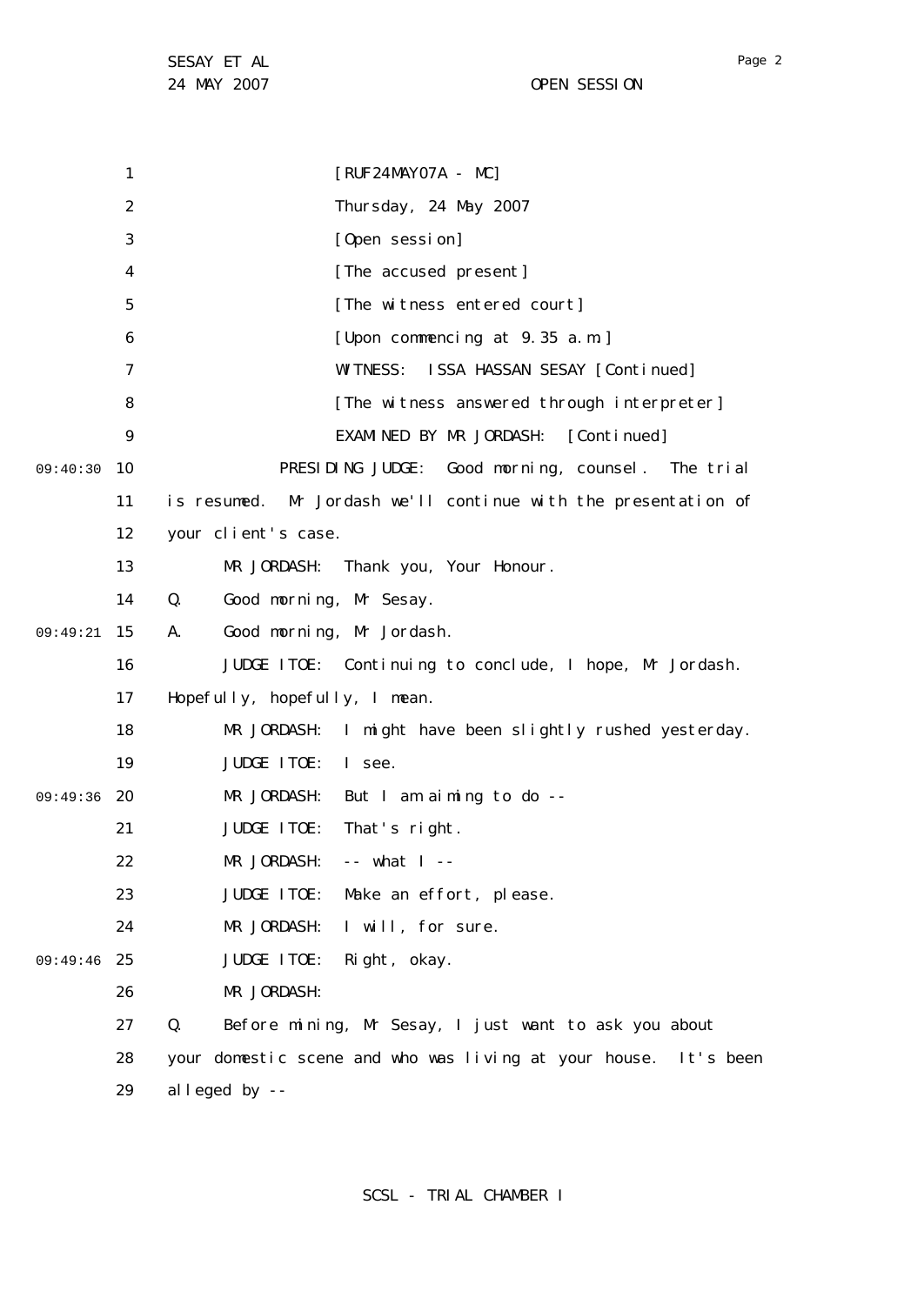1 2 3 4 5 6 7 8  $\mathsf{Q}$ 09:40:30 10 11 12 13 14 15 09:49:21 16 17 18 19 09:49:36 20 21 22 23 24 25 09:49:46 26 27 28 29 [RUF24MAY07A - MC] Thursday, 24 May 2007 [Open session] [The accused present] [The witness entered court] [Upon commencing at 9.35 a.m.] WITNESS: ISSA HASSAN SESAY [Continued] [The witness answered through interpreter] EXAMINED BY MR JORDASH: [Continued] PRESIDING JUDGE: Good morning, counsel. The trial is resumed. Mr Jordash we'll continue with the presentation of your client's case. MR JORDASH: Thank you, Your Honour. Q. Good morning, Mr Sesay. A. Good morning, Mr Jordash. JUDGE ITOE: Continuing to conclude, I hope, Mr Jordash. Hopefully, hopefully, I mean. MR JORDASH: I might have been slightly rushed yesterday. JUDGE ITOE: I see. MR JORDASH: But I am aiming to do --JUDGE ITOE: That's right. MR JORDASH: -- what I --JUDGE ITOE: Make an effort, please. MR JORDASH: I will, for sure. JUDGE ITOE: Right, okay. MR JORDASH: Q. Before mining, Mr Sesay, I just want to ask you about your domestic scene and who was living at your house. It's been alleged by --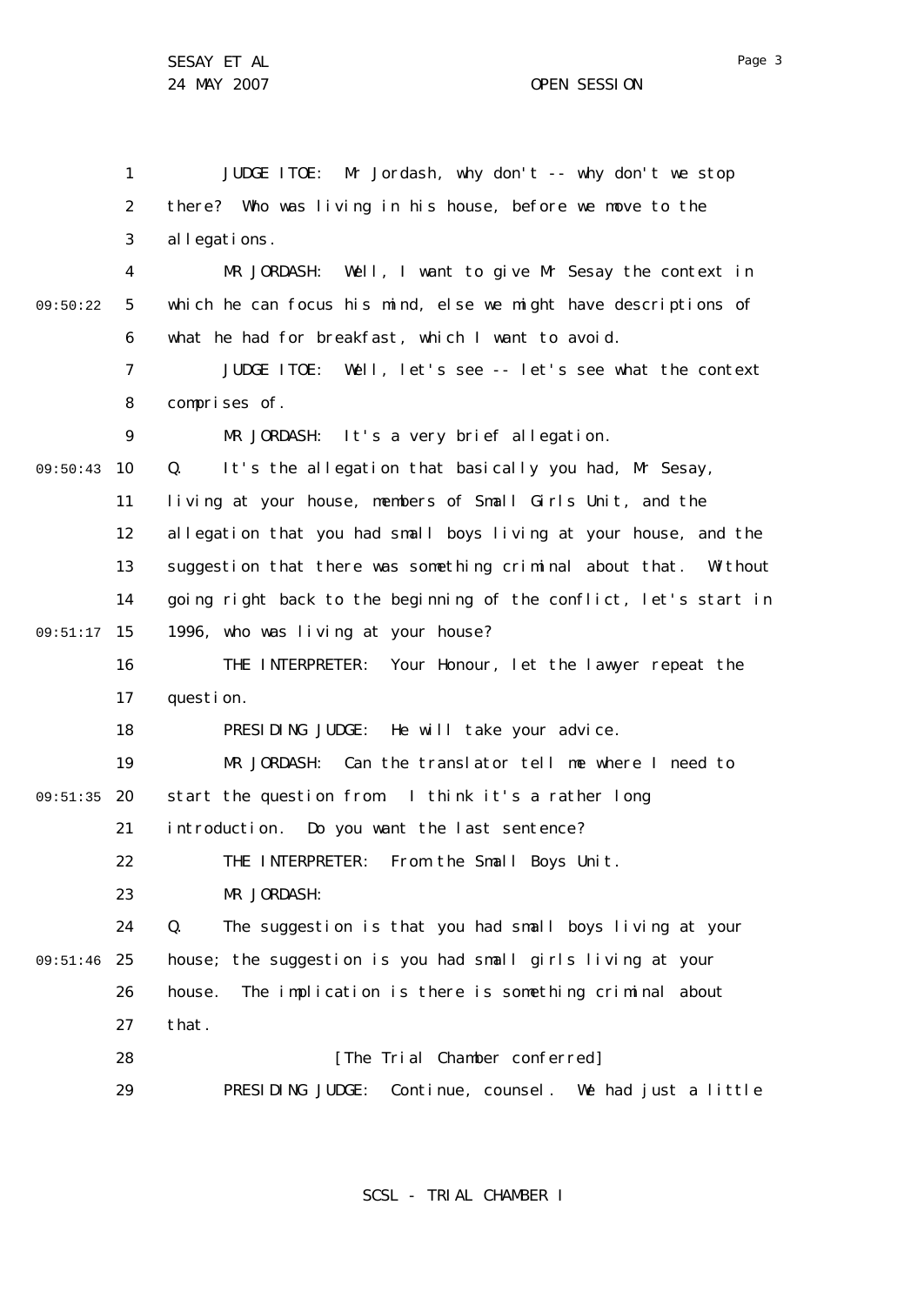1 2 3 4 5 6 7 8  $\mathsf{Q}$ 09:50:43 10 11 12 13 14 09:51:17 15 16 17 18 19 20 09:51:35 21 22 23 24 25 09:51:46 26 27 28 29 09:50:22 JUDGE ITOE: Mr Jordash, why don't -- why don't we stop there? Who was living in his house, before we move to the allegations. MR JORDASH: Well, I want to give Mr Sesay the context in which he can focus his mind, else we might have descriptions of what he had for breakfast, which I want to avoid. JUDGE ITOE: Well, let's see -- let's see what the context comprises of. MR JORDASH: It's a very brief allegation. Q. It's the allegation that basically you had, Mr Sesay, living at your house, members of Small Girls Unit, and the allegation that you had small boys living at your house, and the suggestion that there was something criminal about that. Without going right back to the beginning of the conflict, let's start in 1996, who was living at your house? THE INTERPRETER: Your Honour, let the lawyer repeat the question. PRESIDING JUDGE: He will take your advice. MR JORDASH: Can the translator tell me where I need to start the question from. I think it's a rather long introduction. Do you want the last sentence? THE INTERPRETER: From the Small Boys Unit. MR JORDASH: Q. The suggestion is that you had small boys living at your house; the suggestion is you had small girls living at your house. The implication is there is something criminal about that. [The Trial Chamber conferred] PRESIDING JUDGE: Continue, counsel. We had just a little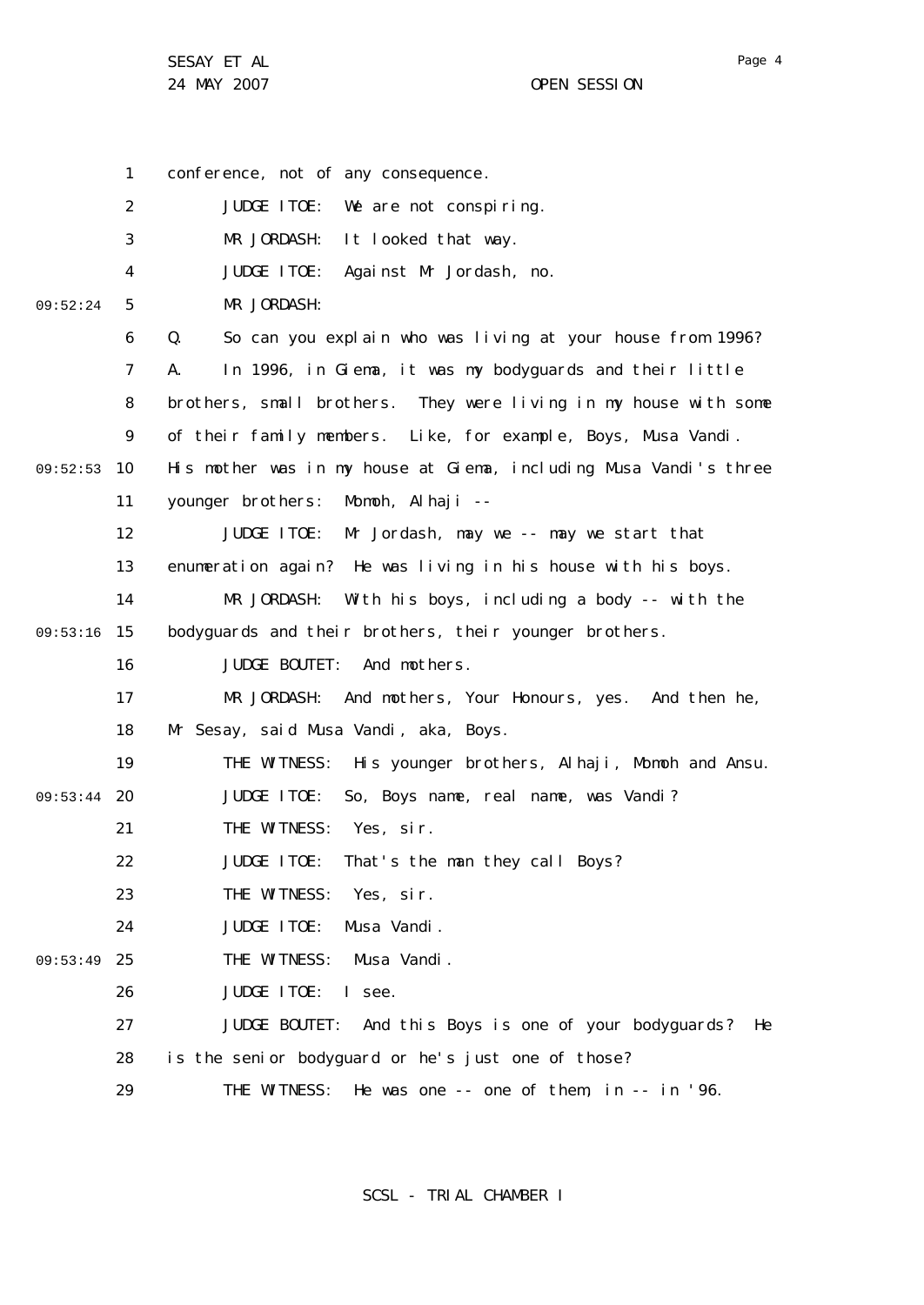1 2 3 4 5 6 7 8  $\mathsf{Q}$ 09:52:53 10 11 12 13 14 09:53:16 15 16 17 18 19 09:53:44 20 21 22 23 24 25 09:53:49 26 27 28 29 09:52:24 conference, not of any consequence. JUDGE ITOE: We are not conspiring. MR JORDASH: It looked that way. JUDGE ITOE: Against Mr Jordash, no. MR JORDASH: Q. So can you explain who was living at your house from 1996? A. In 1996, in Giema, it was my bodyguards and their little brothers, small brothers. They were living in my house with some of their family members. Like, for example, Boys, Musa Vandi. His mother was in my house at Giema, including Musa Vandi's three younger brothers: Momoh, Alhaji -- JUDGE ITOE: Mr Jordash, may we -- may we start that enumeration again? He was living in his house with his boys. MR JORDASH: With his boys, including a body -- with the bodyguards and their brothers, their younger brothers. JUDGE BOUTET: And mothers. MR JORDASH: And mothers, Your Honours, yes. And then he, Mr Sesay, said Musa Vandi, aka, Boys. THE WITNESS: His younger brothers, Alhaji, Momoh and Ansu. JUDGE ITOE: So, Boys name, real name, was Vandi? THE WITNESS: Yes, sir. JUDGE ITOE: That's the man they call Boys? THE WITNESS: Yes, sir. JUDGE ITOE: Musa Vandi. THE WITNESS: Musa Vandi. JUDGE ITOE: I see. JUDGE BOUTET: And this Boys is one of your bodyguards? He is the senior bodyguard or he's just one of those? THE WITNESS: He was one -- one of them, in -- in '96.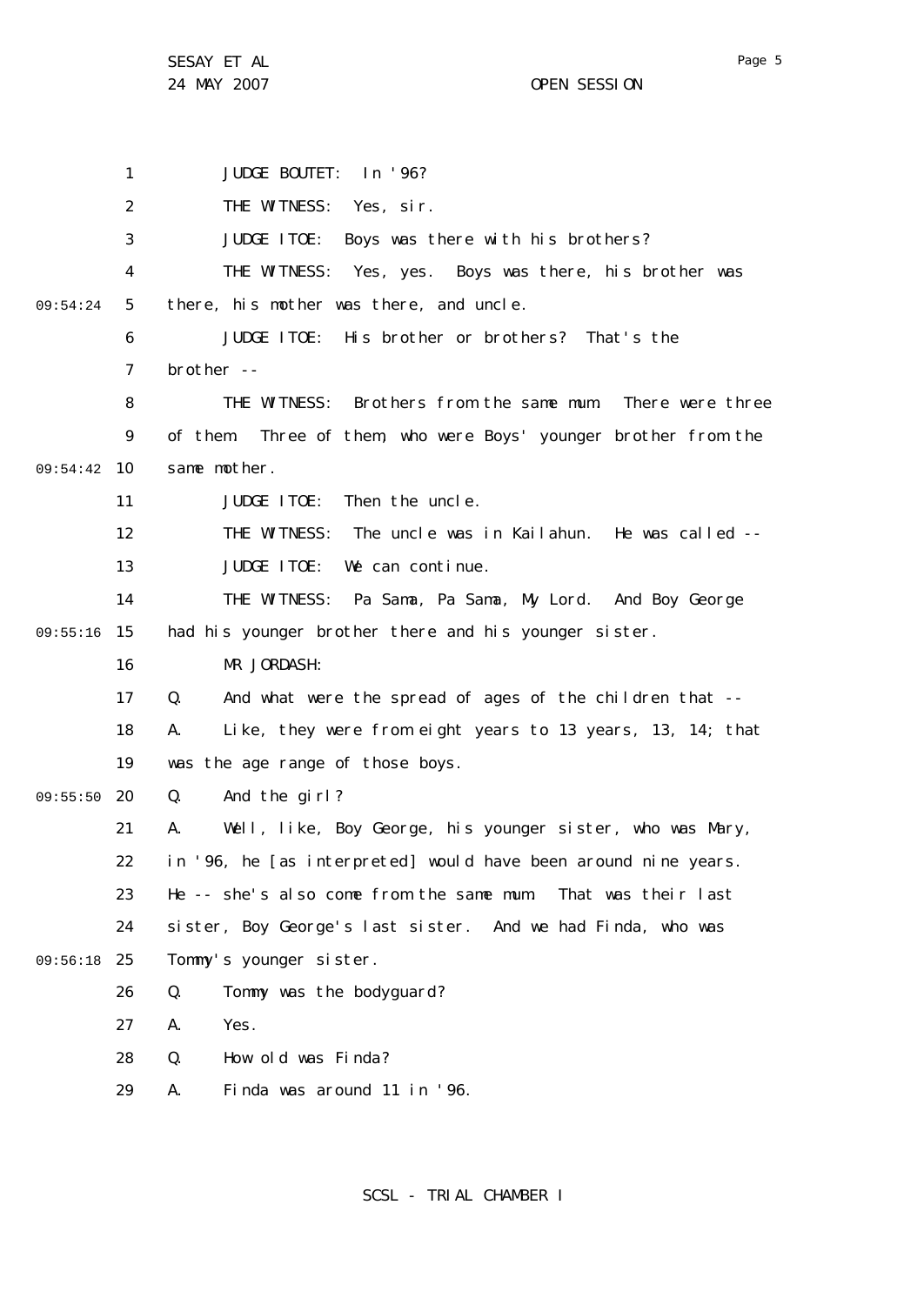24 MAY 2007 CHE SESSION

1 2 3 4 5 6 7 8  $\mathsf{Q}$ 09:54:42 10 11 12 13 14 09:55:16 15 16 17 18 19 09:55:50 20 21 22 23 24 25 09:56:18 26 27 28 29 09:54:24 JUDGE BOUTET: In '96? THE WITNESS: Yes, sir. JUDGE ITOE: Boys was there with his brothers? THE WITNESS: Yes, yes. Boys was there, his brother was there, his mother was there, and uncle. JUDGE ITOE: His brother or brothers? That's the brother -- THE WITNESS: Brothers from the same mum. There were three of them. Three of them, who were Boys' younger brother from the same mother. JUDGE ITOE: Then the uncle. THE WITNESS: The uncle was in Kailahun. He was called -- JUDGE ITOE: We can continue. THE WITNESS: Pa Sama, Pa Sama, My Lord. And Boy George had his younger brother there and his younger sister. MR JORDASH: Q. And what were the spread of ages of the children that -- A. Like, they were from eight years to 13 years, 13, 14; that was the age range of those boys. Q. And the girl? A. Well, like, Boy George, his younger sister, who was Mary, in '96, he [as interpreted] would have been around nine years. He -- she's also come from the same mum. That was their last sister, Boy George's last sister. And we had Finda, who was Tommy's younger sister. Q. Tommy was the bodyguard? A. Yes. Q. How old was Finda? A. Finda was around 11 in '96.

Page 5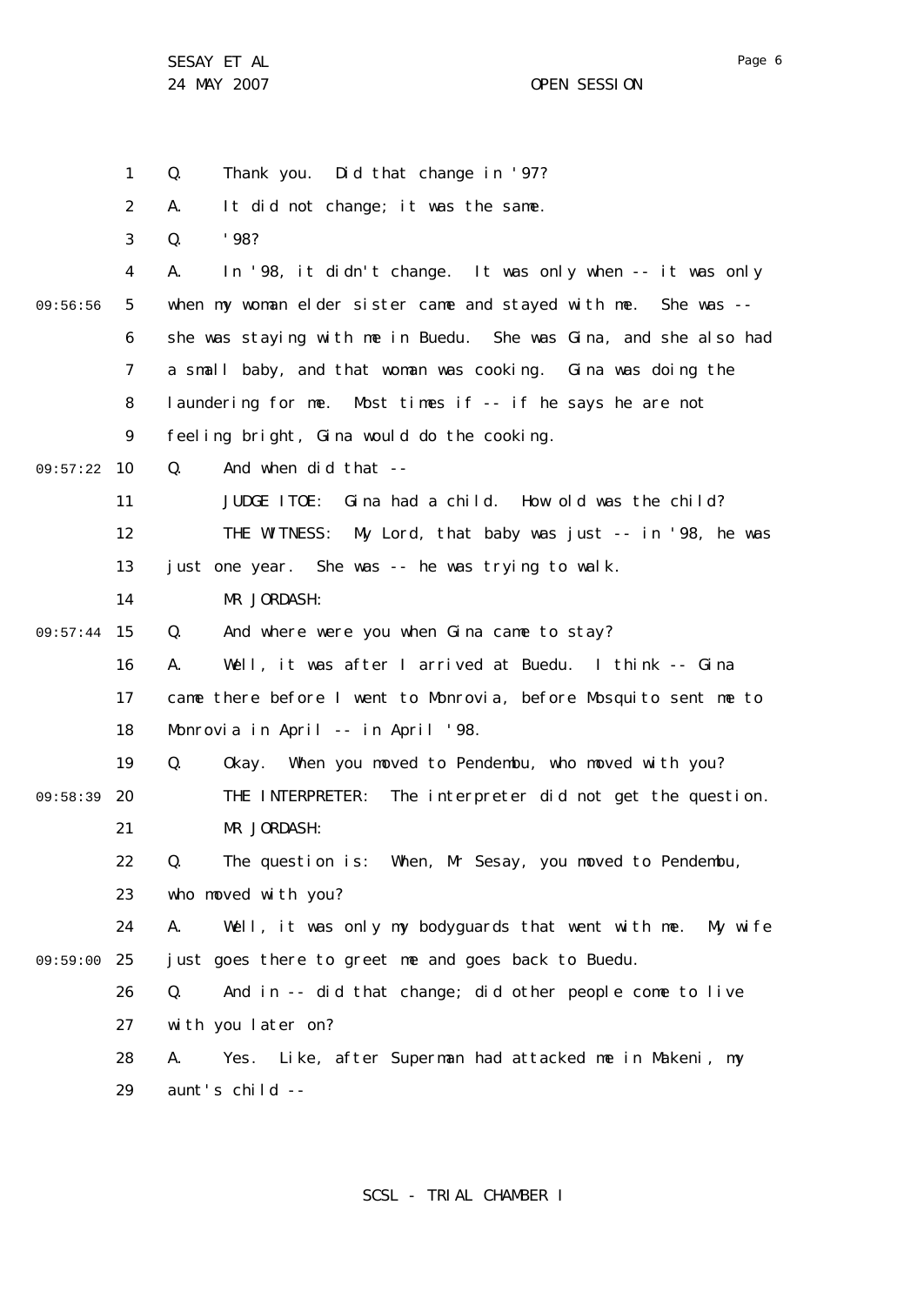24 MAY 2007 OPEN SESSION

1 2 3 4 5 6 7 8  $\mathsf{Q}$ 09:57:22 10 11 12 13 14 09:57:44 15 16 17 18 19 09:58:39 20 21 22 23 24 25 09:59:00 26 27 28 29 09:56:56 Q. Thank you. Did that change in '97? A. It did not change; it was the same.  $0.$  '98? A. In '98, it didn't change. It was only when -- it was only when my woman elder sister came and stayed with me. She was - she was staying with me in Buedu. She was Gina, and she also had a small baby, and that woman was cooking. Gina was doing the laundering for me. Most times if -- if he says he are not feeling bright, Gina would do the cooking. Q. And when did that -- JUDGE ITOE: Gina had a child. How old was the child? THE WITNESS: My Lord, that baby was just -- in '98, he was just one year. She was -- he was trying to walk. MR JORDASH: Q. And where were you when Gina came to stay? A. Well, it was after I arrived at Buedu. I think -- Gina came there before I went to Monrovia, before Mosquito sent me to Monrovia in April -- in April '98. Q. Okay. When you moved to Pendembu, who moved with you? THE INTERPRETER: The interpreter did not get the question. MR JORDASH: Q. The question is: When, Mr Sesay, you moved to Pendembu, who moved with you? A. Well, it was only my bodyguards that went with me. My wife just goes there to greet me and goes back to Buedu. Q. And in -- did that change; did other people come to live with you later on? A. Yes. Like, after Superman had attacked me in Makeni, my aunt's child --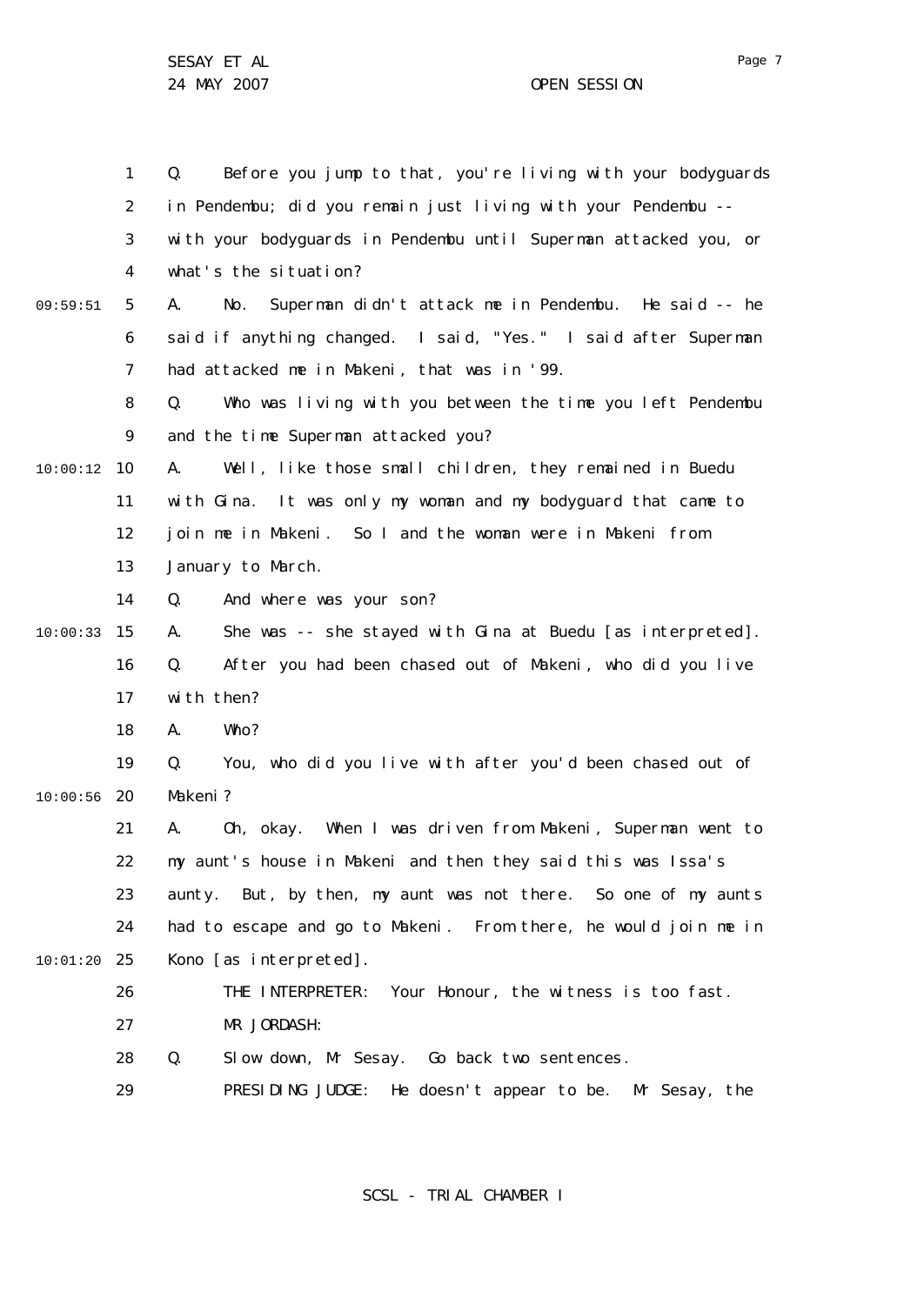1 2 3 4 5 6 7 8  $\mathsf{Q}$ 10 10:00:12 11 12 13 14 15 10:00:33 16 17 18 19 20 10:00:56 21 22 23 24 25 10:01:20 26 27 28 29 09:59:51 Q. Before you jump to that, you're living with your bodyguards in Pendembu; did you remain just living with your Pendembu - with your bodyguards in Pendembu until Superman attacked you, or what's the situation? A. No. Superman didn't attack me in Pendembu. He said -- he said if anything changed. I said, "Yes." I said after Superman had attacked me in Makeni, that was in '99. Q. Who was living with you between the time you left Pendembu and the time Superman attacked you? A. Well, like those small children, they remained in Buedu with Gina. It was only my woman and my bodyguard that came to join me in Makeni. So I and the woman were in Makeni from January to March. Q. And where was your son? A. She was -- she stayed with Gina at Buedu [as interpreted]. Q. After you had been chased out of Makeni, who did you live with then? A. Who? Q. You, who did you live with after you'd been chased out of Makeni? A. Oh, okay. When I was driven from Makeni, Superman went to my aunt's house in Makeni and then they said this was Issa's aunty. But, by then, my aunt was not there. So one of my aunts had to escape and go to Makeni. From there, he would join me in Kono [as interpreted]. THE INTERPRETER: Your Honour, the witness is too fast. MR JORDASH: Q. Slow down, Mr Sesay. Go back two sentences. PRESIDING JUDGE: He doesn't appear to be. Mr Sesay, the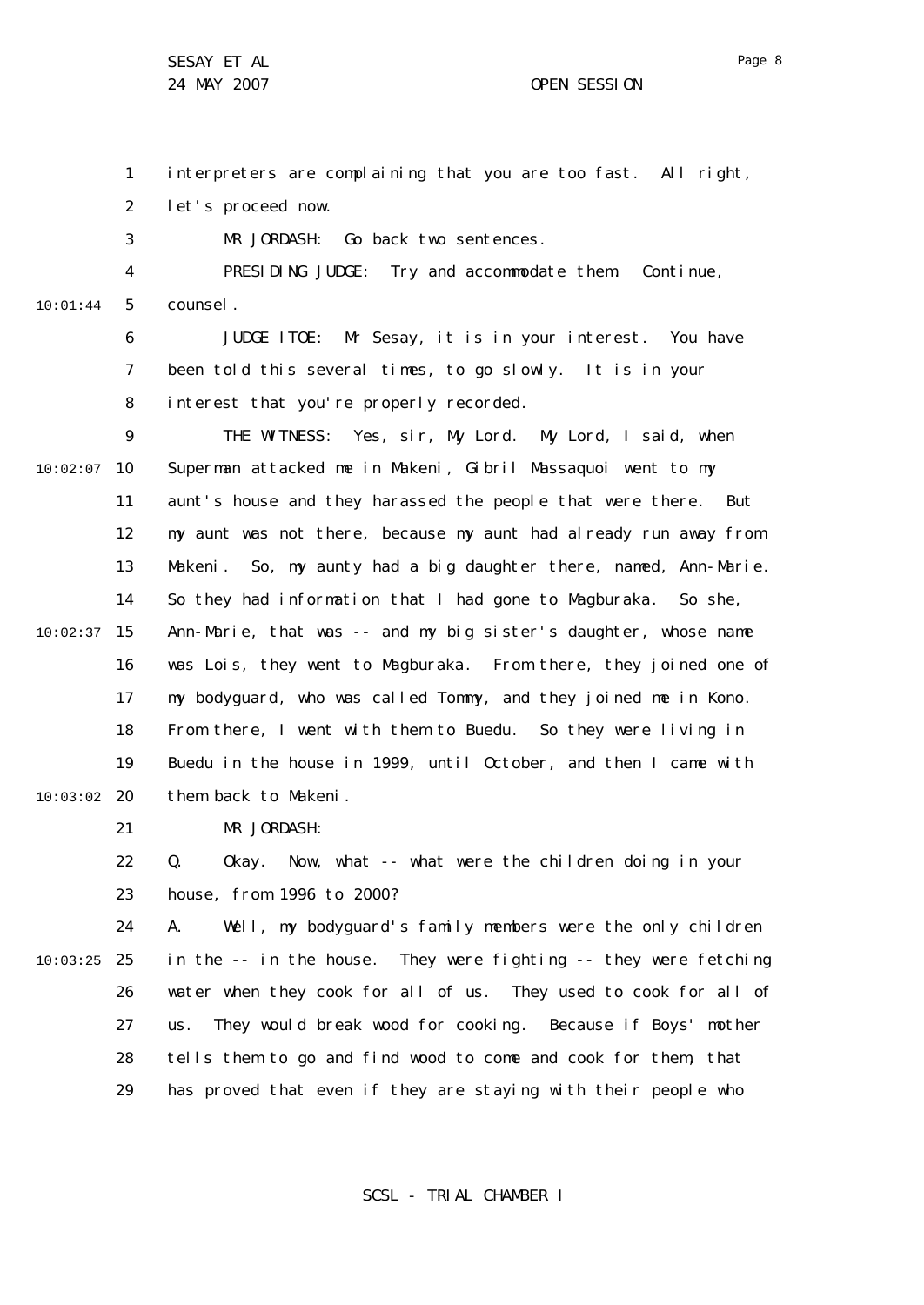Page 8

1 2 interpreters are complaining that you are too fast. All right, let's proceed now.

3 MR JORDASH: Go back two sentences.

4 5 10:01:44 PRESIDING JUDGE: Try and accommodate them. Continue, counsel.

> 6 7 8 JUDGE ITOE: Mr Sesay, it is in your interest. You have been told this several times, to go slowly. It is in your interest that you're properly recorded.

 $\mathsf{Q}$ 10 10:02:07 11 12 13 14 15 10:02:37 16 17 18 19 20 10:03:02 THE WITNESS: Yes, sir, My Lord. My Lord, I said, when Superman attacked me in Makeni, Gibril Massaquoi went to my aunt's house and they harassed the people that were there. But my aunt was not there, because my aunt had already run away from Makeni. So, my aunty had a big daughter there, named, Ann-Marie. So they had information that I had gone to Magburaka. So she, Ann-Marie, that was -- and my big sister's daughter, whose name was Lois, they went to Magburaka. From there, they joined one of my bodyguard, who was called Tommy, and they joined me in Kono. From there, I went with them to Buedu. So they were living in Buedu in the house in 1999, until October, and then I came with them back to Makeni.

> 21 MR JORDASH:

22 23 Q. Okay. Now, what -- what were the children doing in your house, from 1996 to 2000?

24 25 10:03:25 26 27 28 29 A. Well, my bodyguard's family members were the only children in the -- in the house. They were fighting -- they were fetching water when they cook for all of us. They used to cook for all of us. They would break wood for cooking. Because if Boys' mother tells them to go and find wood to come and cook for them, that has proved that even if they are staying with their people who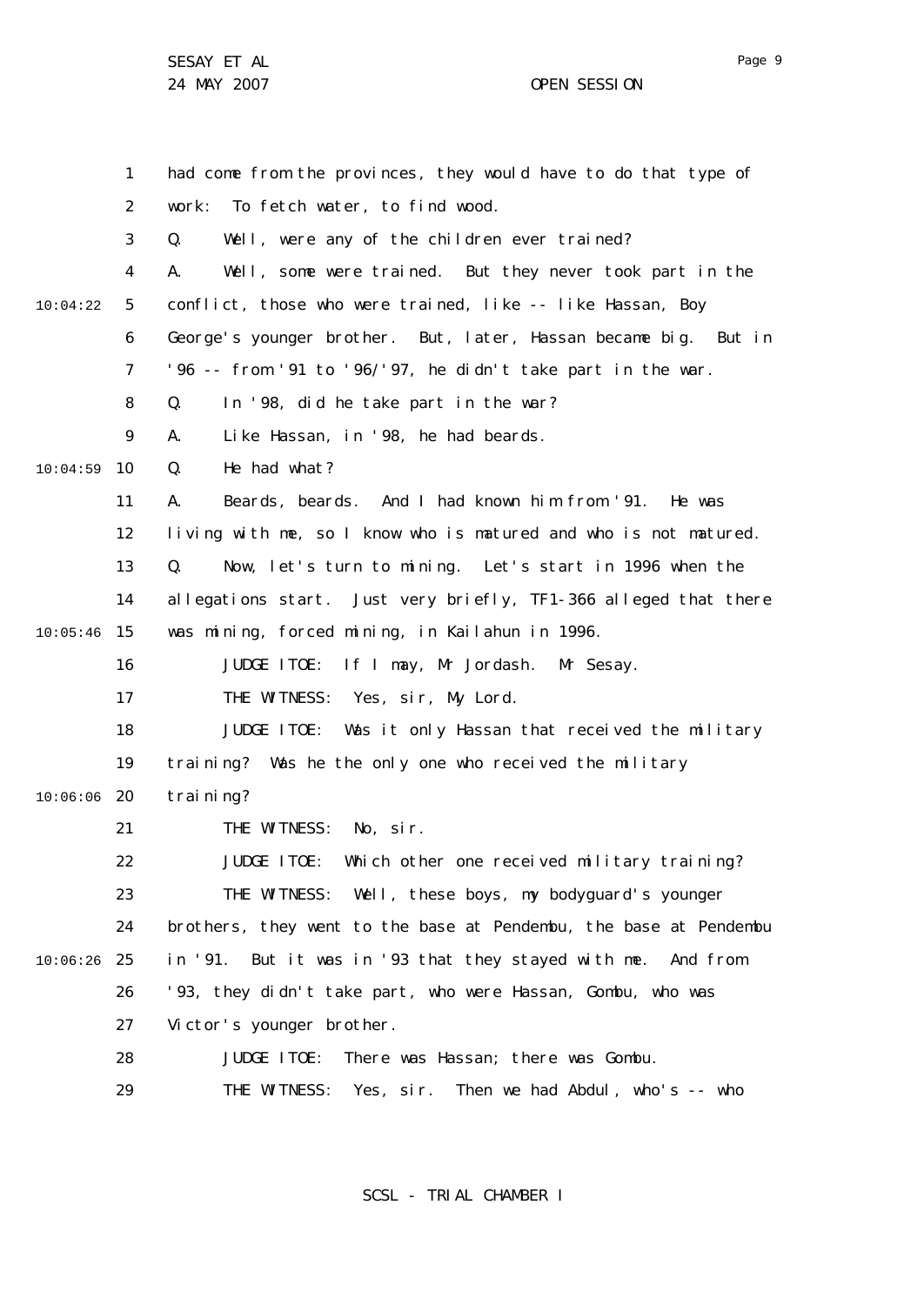SESAY ET AL 24 MAY 2007 CHARGE CONTROLLER SESSION

1 2 3 4 5 6 7 8  $\mathsf{Q}$ 10 10:04:59 11 12 13 14 15 10:05:46 16 17 18 19 20 10:06:06 21 22 23 24 25 10:06:26 26 27 28 29 10:04:22 had come from the provinces, they would have to do that type of work: To fetch water, to find wood. Q. Well, were any of the children ever trained? A. Well, some were trained. But they never took part in the conflict, those who were trained, like -- like Hassan, Boy George's younger brother. But, later, Hassan became big. But in '96 -- from '91 to '96/'97, he didn't take part in the war. Q. In '98, did he take part in the war? A. Like Hassan, in '98, he had beards. Q. He had what? A. Beards, beards. And I had known him from '91. He was living with me, so I know who is matured and who is not matured. Q. Now, let's turn to mining. Let's start in 1996 when the allegations start. Just very briefly, TF1-366 alleged that there was mining, forced mining, in Kailahun in 1996. JUDGE ITOE: If I may, Mr Jordash. Mr Sesay. THE WITNESS: Yes, sir, My Lord. JUDGE ITOE: Was it only Hassan that received the military training? Was he the only one who received the military training? THE WITNESS: No, sir. JUDGE ITOE: Which other one received military training? THE WITNESS: Well, these boys, my bodyguard's younger brothers, they went to the base at Pendembu, the base at Pendembu in '91. But it was in '93 that they stayed with me. And from '93, they didn't take part, who were Hassan, Gombu, who was Victor's younger brother. JUDGE ITOE: There was Hassan; there was Gombu. THE WITNESS: Yes, sir. Then we had Abdul, who's -- who

SCSL - TRIAL CHAMBER I

Page 9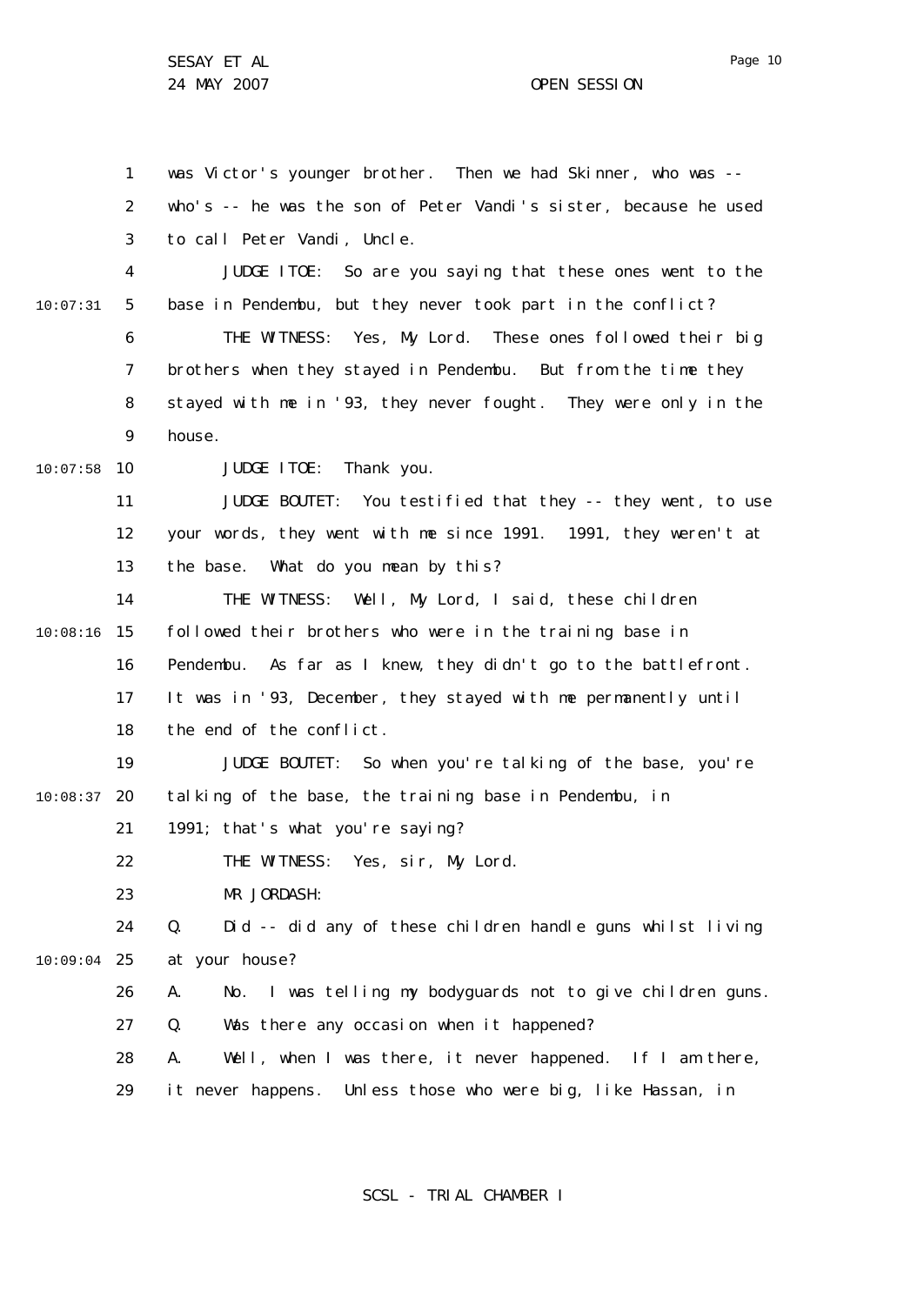1 2 3 4 5 6 7 8  $\mathsf{Q}$ 10 10:07:58 11 12 13 14 15 10:08:16 16 17 18 19 20 10:08:37 21 22 23 24 25 10:09:04 26 27 28 29 10:07:31 was Victor's younger brother. Then we had Skinner, who was - who's -- he was the son of Peter Vandi's sister, because he used to call Peter Vandi, Uncle. JUDGE ITOE: So are you saying that these ones went to the base in Pendembu, but they never took part in the conflict? THE WITNESS: Yes, My Lord. These ones followed their big brothers when they stayed in Pendembu. But from the time they stayed with me in '93, they never fought. They were only in the house. JUDGE ITOE: Thank you. JUDGE BOUTET: You testified that they -- they went, to use your words, they went with me since 1991. 1991, they weren't at the base. What do you mean by this? THE WITNESS: Well, My Lord, I said, these children followed their brothers who were in the training base in Pendembu. As far as I knew, they didn't go to the battlefront. It was in '93, December, they stayed with me permanently until the end of the conflict. JUDGE BOUTET: So when you're talking of the base, you're talking of the base, the training base in Pendembu, in 1991; that's what you're saying? THE WITNESS: Yes, sir, My Lord. MR JORDASH: Q. Did -- did any of these children handle guns whilst living at your house? A. No. I was telling my bodyguards not to give children guns. Q. Was there any occasion when it happened? A. Well, when I was there, it never happened. If I am there, it never happens. Unless those who were big, like Hassan, in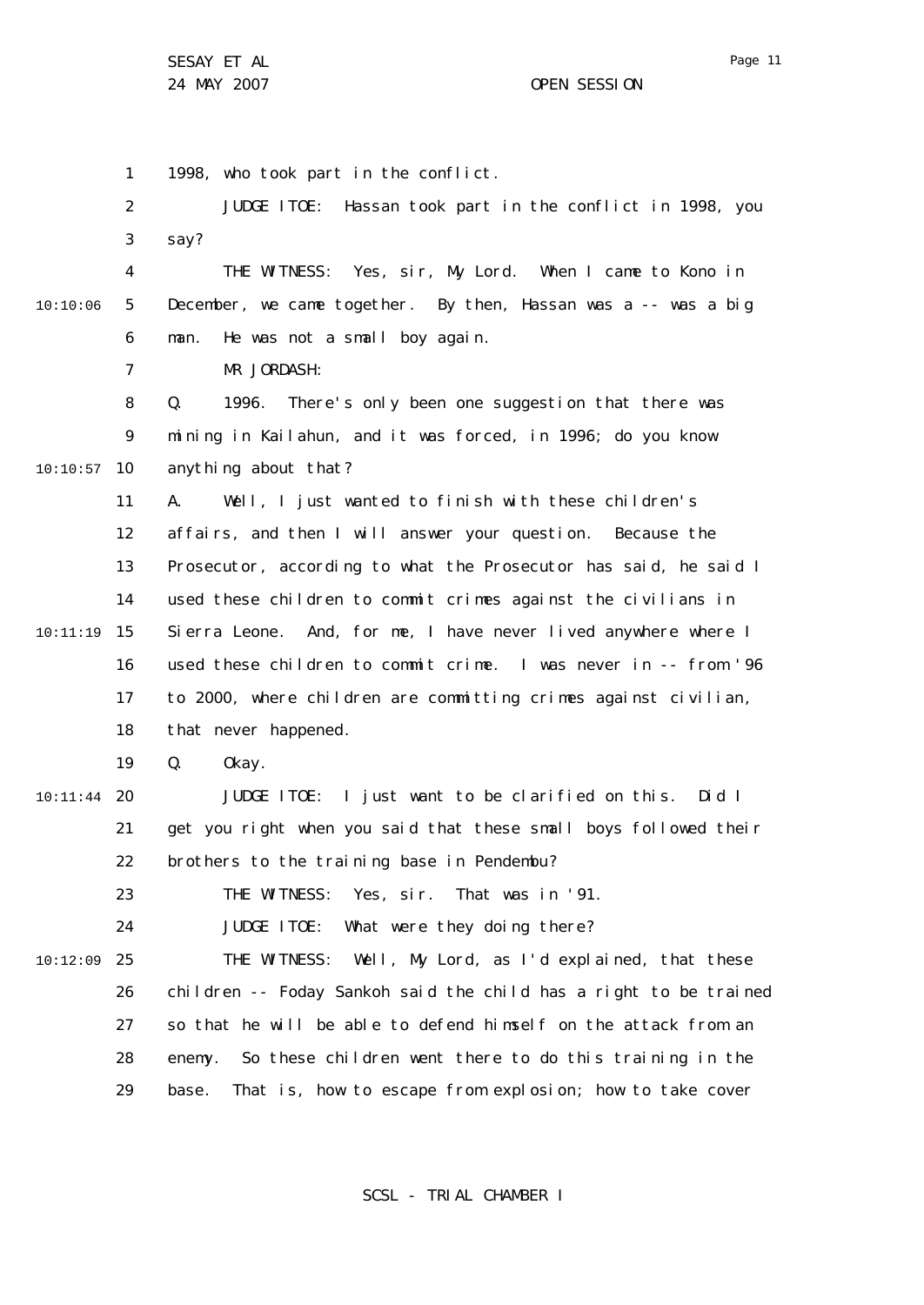1 2 3 4 5 6 7 8  $\mathsf{Q}$ 10 10:10:57 11 12 13 14 15 10:11:19 16 17 18 19 20 10:11:44 21 22 23 24 25 10:12:09 26 27 28 29 10:10:06 1998, who took part in the conflict. JUDGE ITOE: Hassan took part in the conflict in 1998, you say? THE WITNESS: Yes, sir, My Lord. When I came to Kono in December, we came together. By then, Hassan was a -- was a big man. He was not a small boy again. MR JORDASH: Q. 1996. There's only been one suggestion that there was mining in Kailahun, and it was forced, in 1996; do you know anything about that? A. Well, I just wanted to finish with these children's affairs, and then I will answer your question. Because the Prosecutor, according to what the Prosecutor has said, he said I used these children to commit crimes against the civilians in Sierra Leone. And, for me, I have never lived anywhere where I used these children to commit crime. I was never in -- from '96 to 2000, where children are committing crimes against civilian, that never happened. Q. Okay. JUDGE ITOE: I just want to be clarified on this. Did I get you right when you said that these small boys followed their brothers to the training base in Pendembu? THE WITNESS: Yes, sir. That was in '91. JUDGE ITOE: What were they doing there? THE WITNESS: Well, My Lord, as I'd explained, that these children -- Foday Sankoh said the child has a right to be trained so that he will be able to defend himself on the attack from an enemy. So these children went there to do this training in the base. That is, how to escape from explosion; how to take cover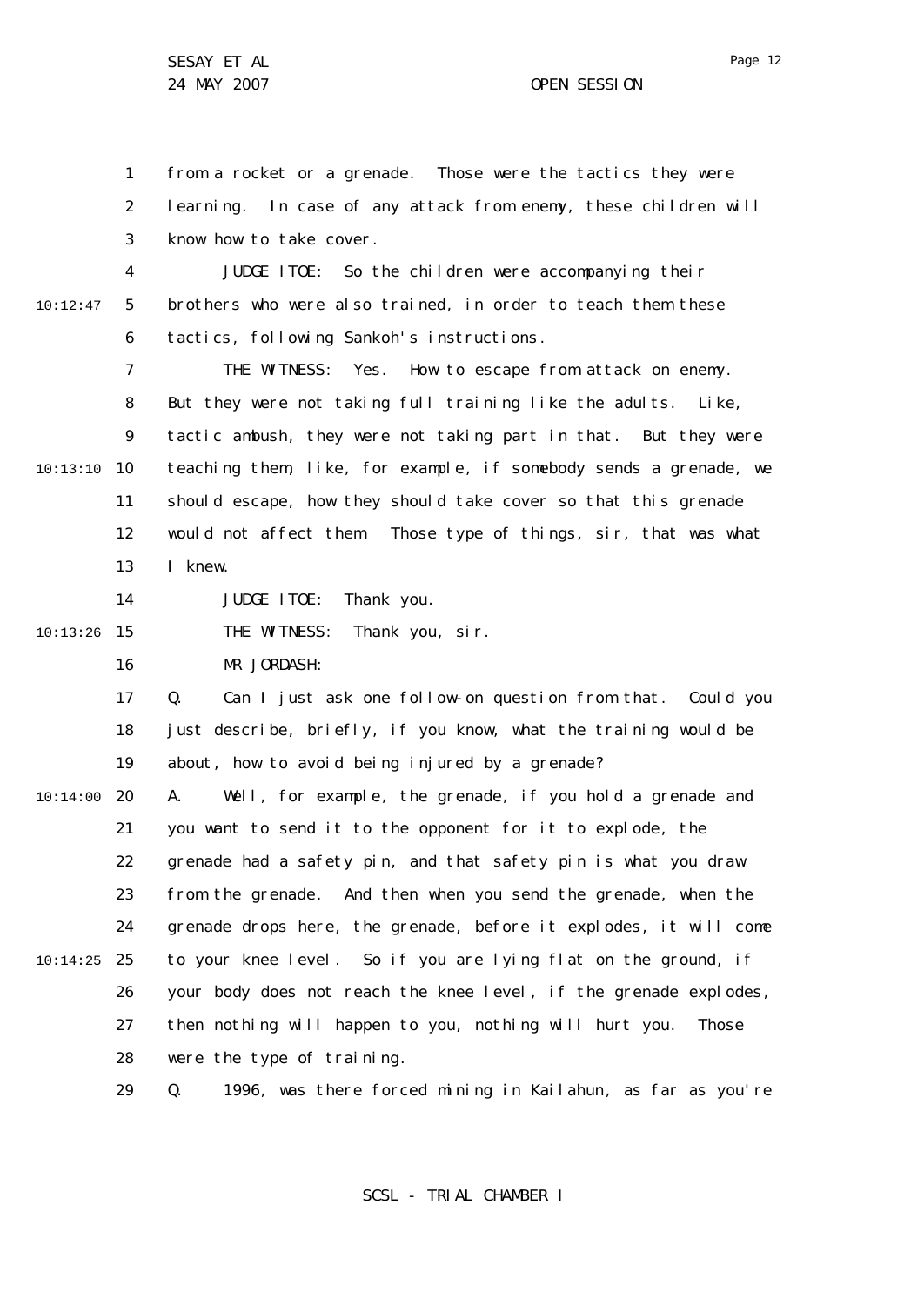1 2 3 from a rocket or a grenade. Those were the tactics they were learning. In case of any attack from enemy, these children will know how to take cover.

4 5 6 10:12:47 JUDGE ITOE: So the children were accompanying their brothers who were also trained, in order to teach them these tactics, following Sankoh's instructions.

7 8 9 10 10:13:10 11 12 13 THE WITNESS: Yes. How to escape from attack on enemy. But they were not taking full training like the adults. Like, tactic ambush, they were not taking part in that. But they were teaching them, like, for example, if somebody sends a grenade, we should escape, how they should take cover so that this grenade would not affect them. Those type of things, sir, that was what I knew.

14 JUDGE ITOE: Thank you.

15 10:13:26 THE WITNESS: Thank you, sir.

> 16 MR JORDASH:

17 18 19 Q. Can I just ask one follow-on question from that. Could you just describe, briefly, if you know, what the training would be about, how to avoid being injured by a grenade?

20 10:14:00 21 22 23 24 25 10:14:25 26 27 28 A. Well, for example, the grenade, if you hold a grenade and you want to send it to the opponent for it to explode, the grenade had a safety pin, and that safety pin is what you draw from the grenade. And then when you send the grenade, when the grenade drops here, the grenade, before it explodes, it will come to your knee level. So if you are lying flat on the ground, if your body does not reach the knee level, if the grenade explodes, then nothing will happen to you, nothing will hurt you. Those were the type of training.

> 29 Q. 1996, was there forced mining in Kailahun, as far as you're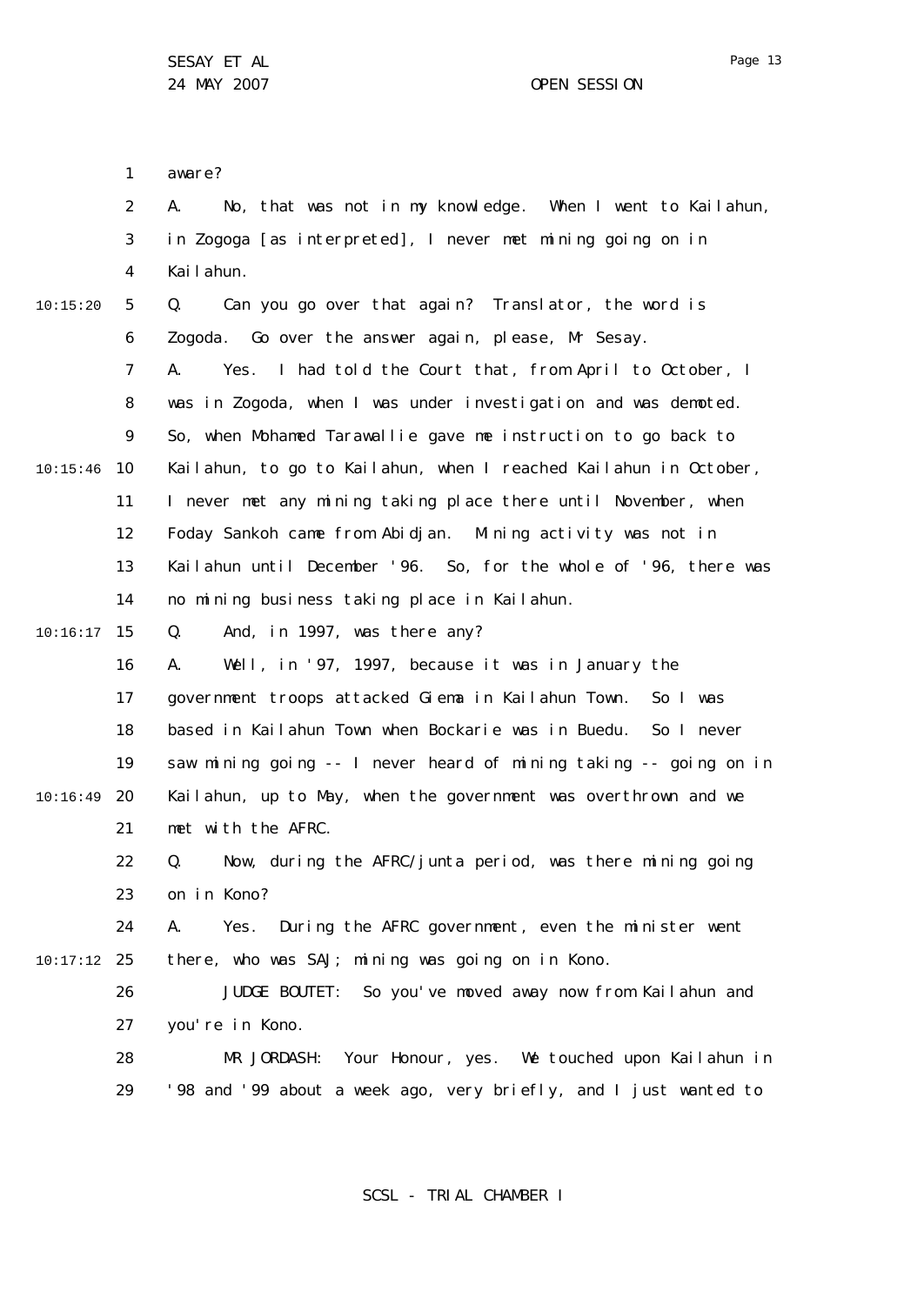1 2 3 4 5 6 7 8  $\mathsf{Q}$ 10 10:15:46 11 12 13 14 15 10:16:17 16 17 18 19 20 10:16:49 21 22 23 24 25 10:17:12 26 27 28 29 10:15:20 aware? A. No, that was not in my knowledge. When I went to Kailahun, in Zogoga [as interpreted], I never met mining going on in Kailahun. Q. Can you go over that again? Translator, the word is Zogoda. Go over the answer again, please, Mr Sesay. A. Yes. I had told the Court that, from April to October, I was in Zogoda, when I was under investigation and was demoted. So, when Mohamed Tarawallie gave me instruction to go back to Kailahun, to go to Kailahun, when I reached Kailahun in October, I never met any mining taking place there until November, when Foday Sankoh came from Abidjan. Mining activity was not in Kailahun until December '96. So, for the whole of '96, there was no mining business taking place in Kailahun. Q. And, in 1997, was there any? A. Well, in '97, 1997, because it was in January the government troops attacked Giema in Kailahun Town. So I was based in Kailahun Town when Bockarie was in Buedu. So I never saw mining going -- I never heard of mining taking -- going on in Kailahun, up to May, when the government was overthrown and we met with the AFRC. Q. Now, during the AFRC/junta period, was there mining going on in Kono? A. Yes. During the AFRC government, even the minister went there, who was SAJ; mining was going on in Kono. JUDGE BOUTET: So you've moved away now from Kailahun and you're in Kono. MR JORDASH: Your Honour, yes. We touched upon Kailahun in '98 and '99 about a week ago, very briefly, and I just wanted to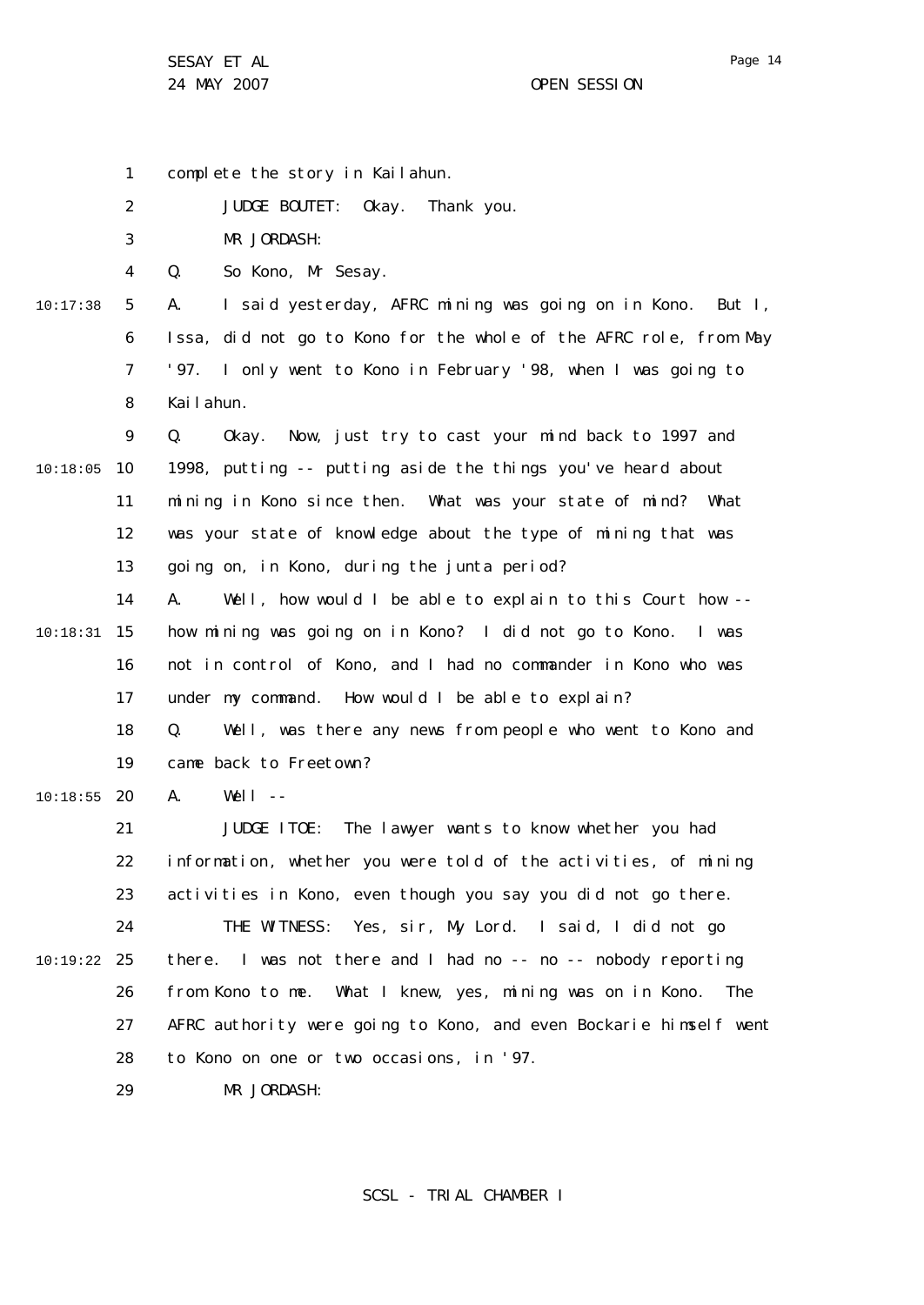1 2 3 4 5 6 7 8  $\mathsf{Q}$ 10 10:18:05 11 12 13 14 15 10:18:31 16 17 18 19 20 10:18:55 21 22 23 24 25 10:19:22 26 27 28 29 10:17:38 complete the story in Kailahun. JUDGE BOUTET: Okay. Thank you. MR JORDASH: Q. So Kono, Mr Sesay. A. I said yesterday, AFRC mining was going on in Kono. But I, Issa, did not go to Kono for the whole of the AFRC role, from May '97. I only went to Kono in February '98, when I was going to Kailahun. Q. Okay. Now, just try to cast your mind back to 1997 and 1998, putting -- putting aside the things you've heard about mining in Kono since then. What was your state of mind? What was your state of knowledge about the type of mining that was going on, in Kono, during the junta period? A. Well, how would I be able to explain to this Court how - how mining was going on in Kono? I did not go to Kono. I was not in control of Kono, and I had no commander in Kono who was under my command. How would I be able to explain? Q. Well, was there any news from people who went to Kono and came back to Freetown?  $A.$  Well  $-$ JUDGE ITOE: The lawyer wants to know whether you had information, whether you were told of the activities, of mining activities in Kono, even though you say you did not go there. THE WITNESS: Yes, sir, My Lord. I said, I did not go there. I was not there and I had no -- no -- nobody reporting from Kono to me. What I knew, yes, mining was on in Kono. The AFRC authority were going to Kono, and even Bockarie himself went to Kono on one or two occasions, in '97. MR JORDASH: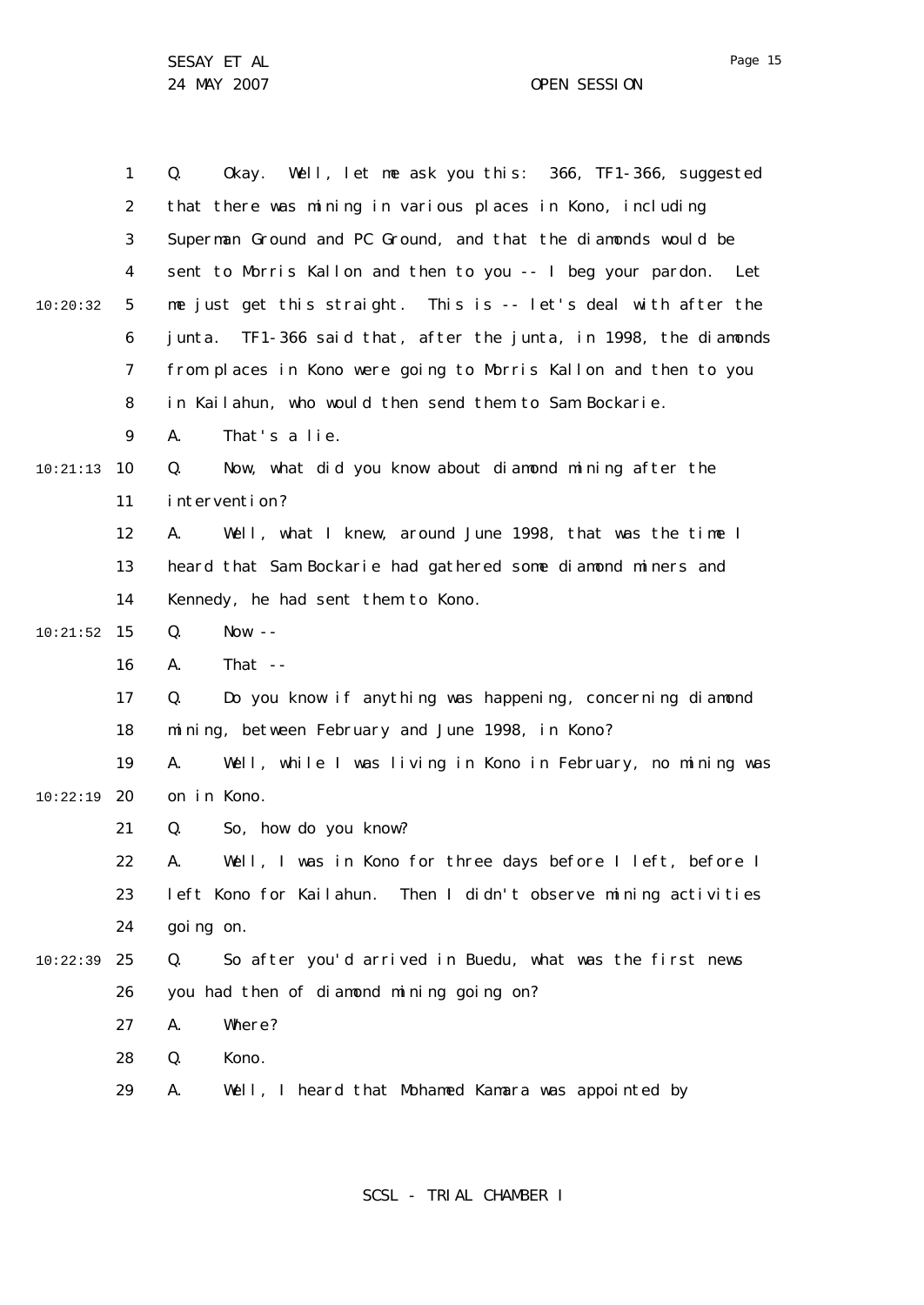|          | 1  | Well, let me ask you this: 366, TF1-366, suggested<br>Q.<br>0kay.   |
|----------|----|---------------------------------------------------------------------|
|          | 2  | that there was mining in various places in Kono, including          |
|          | 3  | Superman Ground and PC Ground, and that the diamonds would be       |
|          | 4  | sent to Morris Kallon and then to you -- I beg your pardon. Let     |
| 10:20:32 | 5  | me just get this straight. This is -- let's deal with after the     |
|          | 6  | TF1-366 said that, after the junta, in 1998, the diamonds<br>junta. |
|          | 7  | from places in Kono were going to Morris Kallon and then to you     |
|          | 8  | in Kailahun, who would then send them to Sam Bockarie.              |
|          | 9  | That's a lie.<br>А.                                                 |
| 10:21:13 | 10 | Now, what did you know about diamond mining after the<br>Q.         |
|          | 11 | intervention?                                                       |
|          | 12 | Well, what I knew, around June 1998, that was the time I<br>А.      |
|          | 13 | heard that Sam Bockarie had gathered some diamond miners and        |
|          | 14 | Kennedy, he had sent them to Kono.                                  |
| 10:21:52 | 15 | Q.<br>Now $--$                                                      |
|          | 16 | That $-$<br>Α.                                                      |
|          | 17 | Do you know if anything was happening, concerning diamond<br>Q.     |
|          | 18 | mining, between February and June 1998, in Kono?                    |
|          | 19 | Well, while I was living in Kono in February, no mining was<br>А.   |
| 10:22:19 | 20 | on in Kono.                                                         |
|          | 21 | Q.<br>So, how do you know?                                          |
|          | 22 | Well, I was in Kono for three days before I left, before I<br>Α.    |
|          | 23 | left Kono for Kailahun.<br>Then I didn't observe mining activities  |
|          | 24 | going on.                                                           |
| 10:22:39 | 25 | So after you'd arrived in Buedu, what was the first news<br>Q.      |
|          | 26 | you had then of diamond mining going on?                            |
|          | 27 | Where?<br>А.                                                        |
|          | 28 | Kono.<br>Q.                                                         |
|          | 29 | А.<br>Well, I heard that Mohamed Kamara was appointed by            |
|          |    |                                                                     |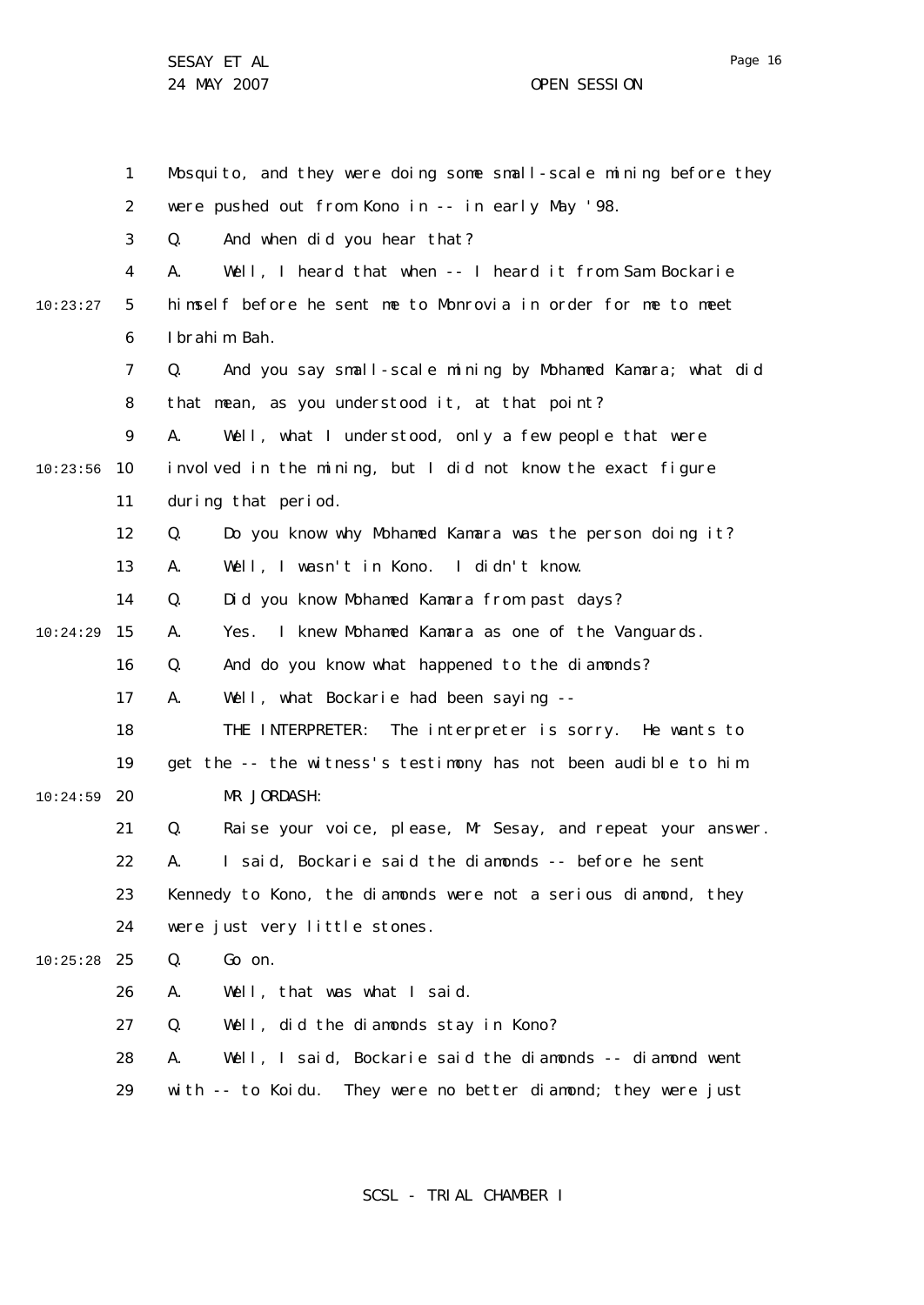|          | $\mathbf{1}$   | Mosquito, and they were doing some small-scale mining before they |
|----------|----------------|-------------------------------------------------------------------|
|          | $\overline{2}$ | were pushed out from Kono in -- in early May '98.                 |
|          | 3              | And when did you hear that?<br>Q.                                 |
|          | 4              | Well, I heard that when -- I heard it from Sam Bockarie<br>А.     |
| 10:23:27 | 5              | himself before he sent me to Monrovia in order for me to meet     |
|          | 6              | I brahim Bah.                                                     |
|          | 7              | And you say small-scale mining by Mohamed Kamara; what did<br>Q.  |
|          | 8              | that mean, as you understood it, at that point?                   |
|          | 9              | Well, what I understood, only a few people that were<br>А.        |
| 10:23:56 | 10             | involved in the mining, but I did not know the exact figure       |
|          | 11             | during that period.                                               |
|          | 12             | Q.<br>Do you know why Mohamed Kamara was the person doing it?     |
|          | 13             | Well, I wasn't in Kono. I didn't know.<br>А.                      |
|          | 14             | Did you know Mohamed Kamara from past days?<br>Q.                 |
| 10:24:29 | 15             | Yes. I knew Mohamed Kamara as one of the Vanguards.<br>Α.         |
|          | 16             | Q.<br>And do you know what happened to the diamonds?              |
|          | 17             | Α.<br>Well, what Bockarie had been saying --                      |
|          | 18             | THE INTERPRETER: The interpreter is sorry. He wants to            |
|          | 19             | get the -- the witness's testimony has not been audible to him.   |
| 10:24:59 | 20             | MR JORDASH:                                                       |
|          | 21             | Raise your voice, please, Mr Sesay, and repeat your answer.<br>Q. |
|          | 22             | I said, Bockarie said the diamonds -- before he sent<br>Α.        |
|          | 23             | Kennedy to Kono, the diamonds were not a serious diamond, they    |
|          | 24             | were just very little stones.                                     |
| 10:25:28 | 25             | Go on.<br>Q.                                                      |
|          | 26             | Well, that was what I said.<br>А.                                 |
|          | 27             | Well, did the diamonds stay in Kono?<br>Q.                        |
|          | 28             | Well, I said, Bockarie said the diamonds -- diamond went<br>А.    |
|          | 29             | with -- to Koidu. They were no better diamond; they were just     |

SCSL - TRIAL CHAMBER I

Page 16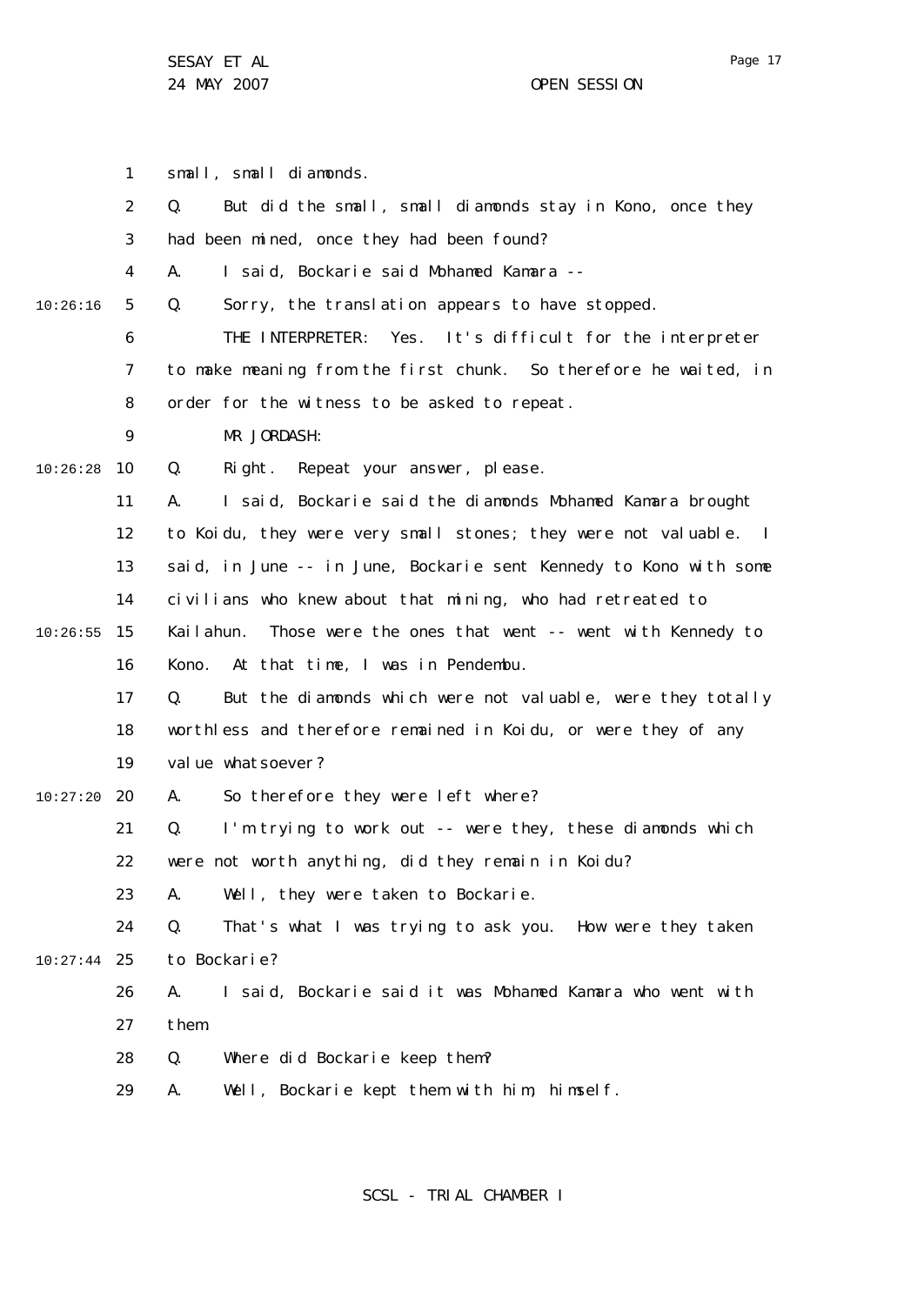1 2 3 4 5 6 7 8  $\mathsf{Q}$ 10 10:26:28 11 12 13 14 15 10:26:55 16 17 18 19 20 10:27:20 21 22 23  $24$ 25 10:27:44 26 27 28 29 10:26:16 small, small diamonds. Q. But did the small, small diamonds stay in Kono, once they had been mined, once they had been found? A. I said, Bockarie said Mohamed Kamara -- Q. Sorry, the translation appears to have stopped. THE INTERPRETER: Yes. It's difficult for the interpreter to make meaning from the first chunk. So therefore he waited, in order for the witness to be asked to repeat. MR JORDASH: Q. Right. Repeat your answer, please. A. I said, Bockarie said the diamonds Mohamed Kamara brought to Koidu, they were very small stones; they were not valuable. I said, in June -- in June, Bockarie sent Kennedy to Kono with some civilians who knew about that mining, who had retreated to Kailahun. Those were the ones that went -- went with Kennedy to Kono. At that time, I was in Pendembu. Q. But the diamonds which were not valuable, were they totally worthless and therefore remained in Koidu, or were they of any value whatsoever? A. So therefore they were left where? Q. I'm trying to work out -- were they, these diamonds which were not worth anything, did they remain in Koidu? A. Well, they were taken to Bockarie. Q. That's what I was trying to ask you. How were they taken to Bockarie? A. I said, Bockarie said it was Mohamed Kamara who went with them. Q. Where did Bockarie keep them? A. Well, Bockarie kept them with him, himself.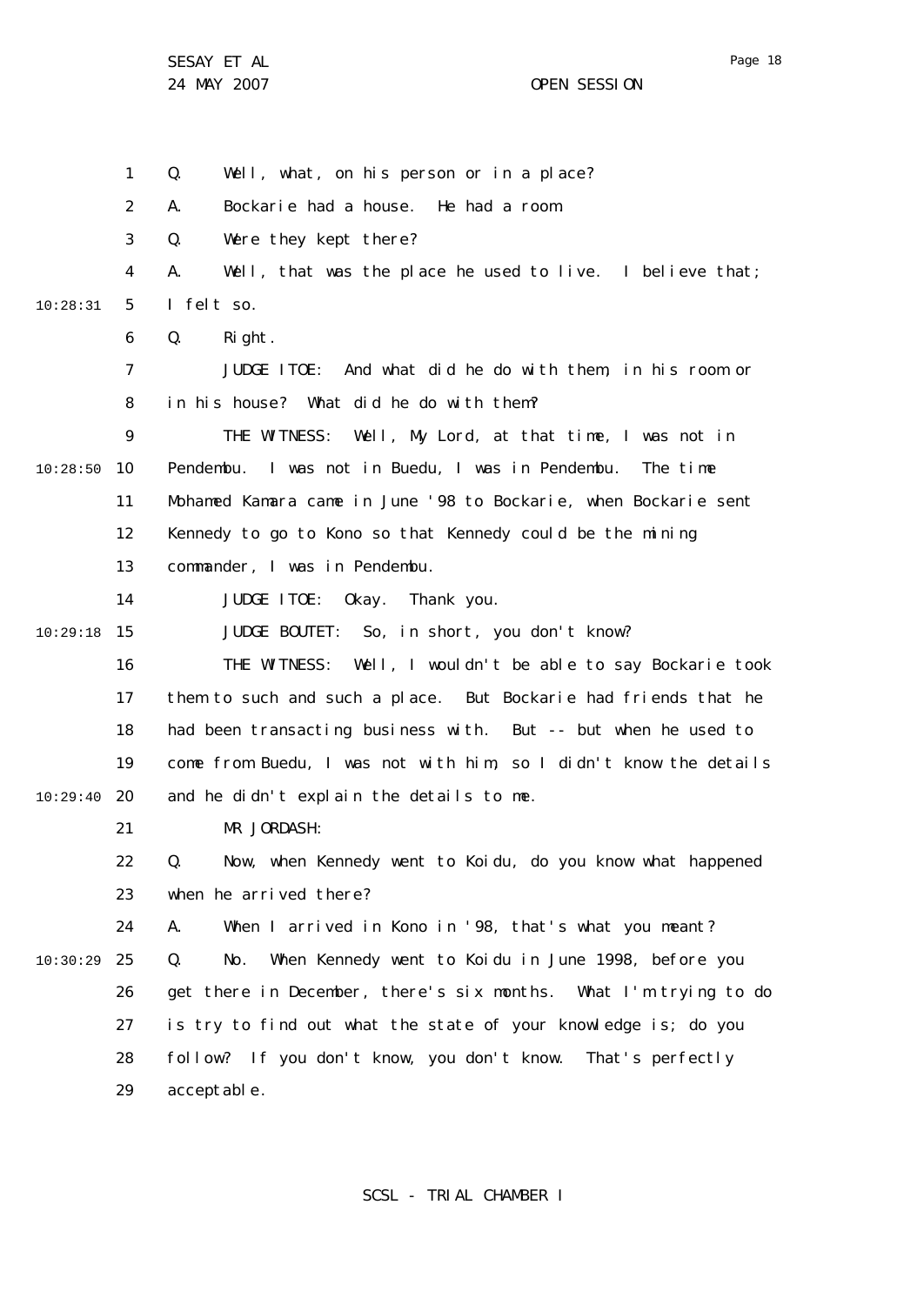1 2 3 4 5 6 7 8  $\mathsf{Q}$ 10 10:28:50 11 12 13 14 15 10:29:18 16 17 18 19 20 10:29:40 21 22 23 24 25 10:30:29 26 27 28 29 10:28:31 Q. Well, what, on his person or in a place? A. Bockarie had a house. He had a room. Q. Were they kept there? A. Well, that was the place he used to live. I believe that; I felt so. Q. Right. JUDGE ITOE: And what did he do with them, in his room or in his house? What did he do with them? THE WITNESS: Well, My Lord, at that time, I was not in Pendembu. I was not in Buedu, I was in Pendembu. The time Mohamed Kamara came in June '98 to Bockarie, when Bockarie sent Kennedy to go to Kono so that Kennedy could be the mining commander, I was in Pendembu. JUDGE ITOE: Okay. Thank you. JUDGE BOUTET: So, in short, you don't know? THE WITNESS: Well, I wouldn't be able to say Bockarie took them to such and such a place. But Bockarie had friends that he had been transacting business with. But -- but when he used to come from Buedu, I was not with him, so I didn't know the details and he didn't explain the details to me. MR JORDASH: Q. Now, when Kennedy went to Koidu, do you know what happened when he arrived there? A. When I arrived in Kono in '98, that's what you meant? Q. No. When Kennedy went to Koidu in June 1998, before you get there in December, there's six months. What I'm trying to do is try to find out what the state of your knowledge is; do you follow? If you don't know, you don't know. That's perfectly acceptable.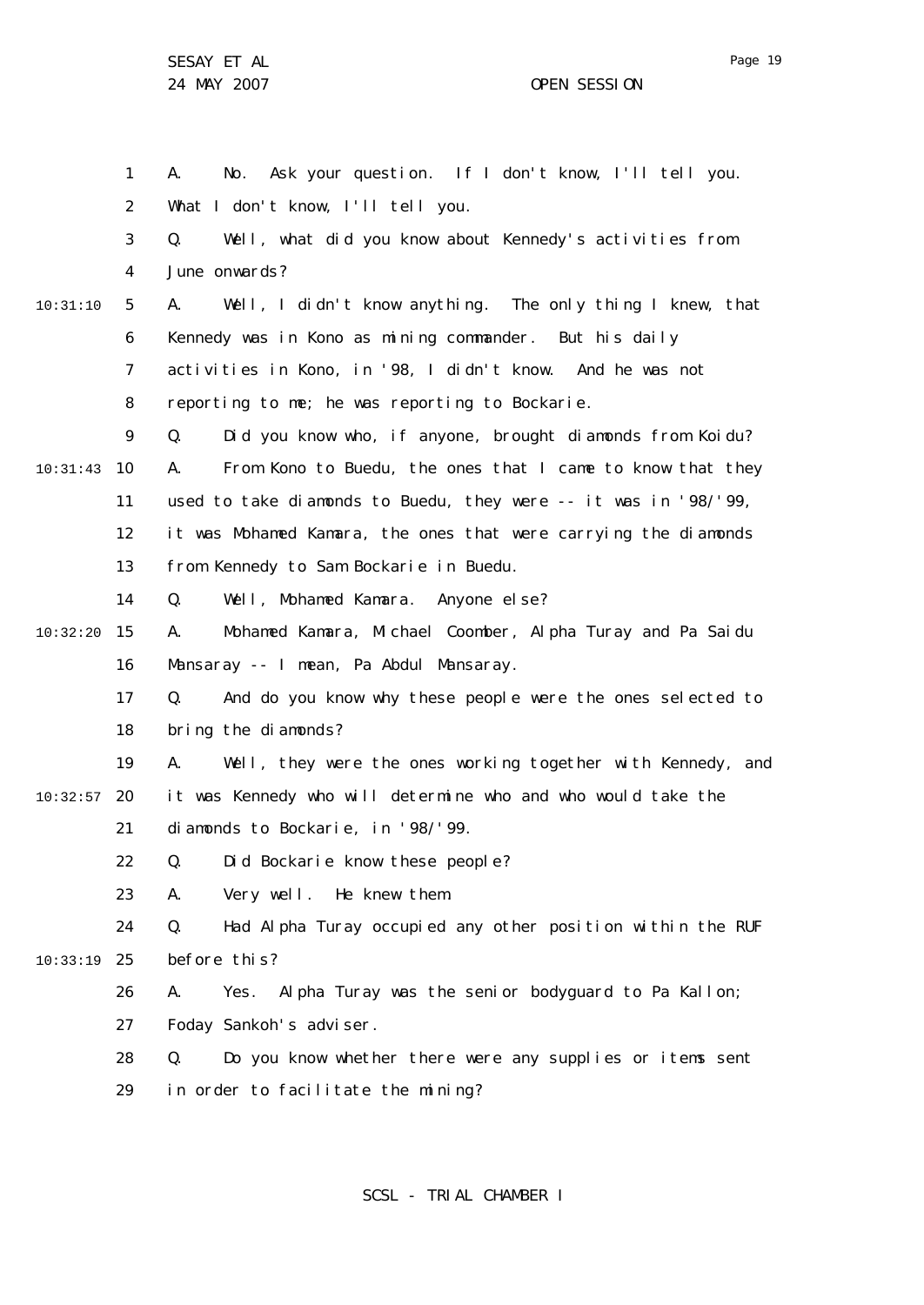10:31:10

24 MAY 2007 CHE SESSION

1 2 3 4 5 6 7 8  $\mathsf{Q}$ 10 10:31:43 11 12 13 14 15 10:32:20 16 17 18 19 20 10:32:57 21 22 23 A. No. Ask your question. If I don't know, I'll tell you. What I don't know, I'll tell you. Q. Well, what did you know about Kennedy's activities from June onwards? A. Well, I didn't know anything. The only thing I knew, that Kennedy was in Kono as mining commander. But his daily activities in Kono, in '98, I didn't know. And he was not reporting to me; he was reporting to Bockarie. Q. Did you know who, if anyone, brought diamonds from Koidu? A. From Kono to Buedu, the ones that I came to know that they used to take diamonds to Buedu, they were -- it was in '98/'99, it was Mohamed Kamara, the ones that were carrying the diamonds from Kennedy to Sam Bockarie in Buedu. Q. Well, Mohamed Kamara. Anyone else? A. Mohamed Kamara, Michael Coomber, Alpha Turay and Pa Saidu Mansaray -- I mean, Pa Abdul Mansaray. Q. And do you know why these people were the ones selected to bring the diamonds? A. Well, they were the ones working together with Kennedy, and it was Kennedy who will determine who and who would take the diamonds to Bockarie, in '98/'99. Q. Did Bockarie know these people? A. Very well. He knew them.

24 25 10:33:19 Q. Had Alpha Turay occupied any other position within the RUF before this?

> 26 27 A. Yes. Alpha Turay was the senior bodyguard to Pa Kallon; Foday Sankoh's adviser.

28 29 Q. Do you know whether there were any supplies or items sent in order to facilitate the mining?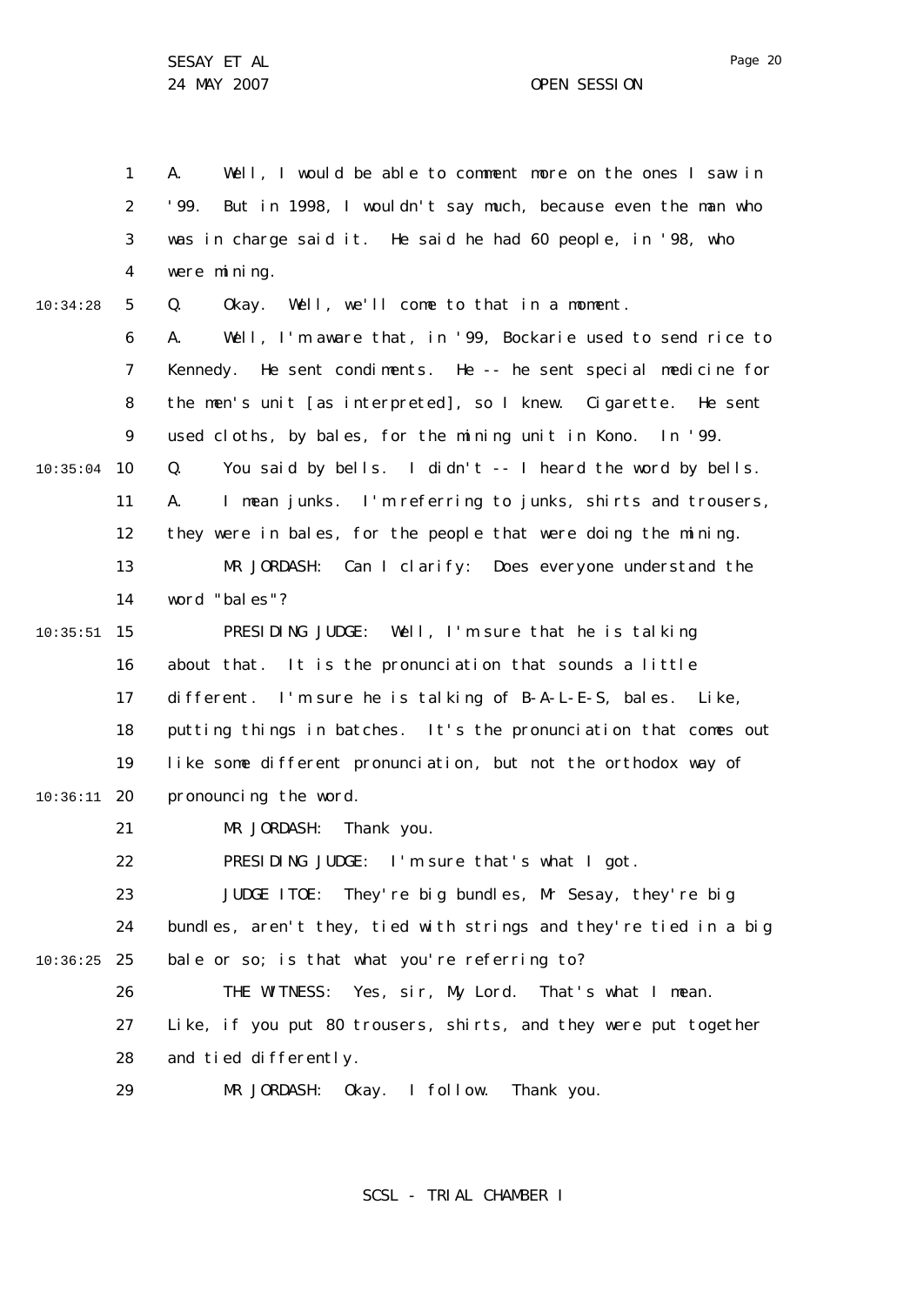1 2 3 4 5 6 7 8  $\mathsf{Q}$ 10 10:35:04 11 12 13 14 15 10:35:51 16 17 18 19 20 10:36:11 21 22 23 24 25 10:36:25 26 27 28 29 10:34:28 A. Well, I would be able to comment more on the ones I saw in '99. But in 1998, I wouldn't say much, because even the man who was in charge said it. He said he had 60 people, in '98, who were mining. Q. Okay. Well, we'll come to that in a moment. A. Well, I'm aware that, in '99, Bockarie used to send rice to Kennedy. He sent condiments. He -- he sent special medicine for the men's unit [as interpreted], so I knew. Cigarette. He sent used cloths, by bales, for the mining unit in Kono. In '99. Q. You said by bells. I didn't -- I heard the word by bells. A. I mean junks. I'm referring to junks, shirts and trousers, they were in bales, for the people that were doing the mining. MR JORDASH: Can I clarify: Does everyone understand the word "bales"? PRESIDING JUDGE: Well, I'm sure that he is talking about that. It is the pronunciation that sounds a little different. I'm sure he is talking of B-A-L-E-S, bales. Like, putting things in batches. It's the pronunciation that comes out like some different pronunciation, but not the orthodox way of pronouncing the word. MR JORDASH: Thank you. PRESIDING JUDGE: I'm sure that's what I got. JUDGE ITOE: They're big bundles, Mr Sesay, they're big bundles, aren't they, tied with strings and they're tied in a big bale or so; is that what you're referring to? THE WITNESS: Yes, sir, My Lord. That's what I mean. Like, if you put 80 trousers, shirts, and they were put together and tied differently. MR JORDASH: Okay. I follow. Thank you.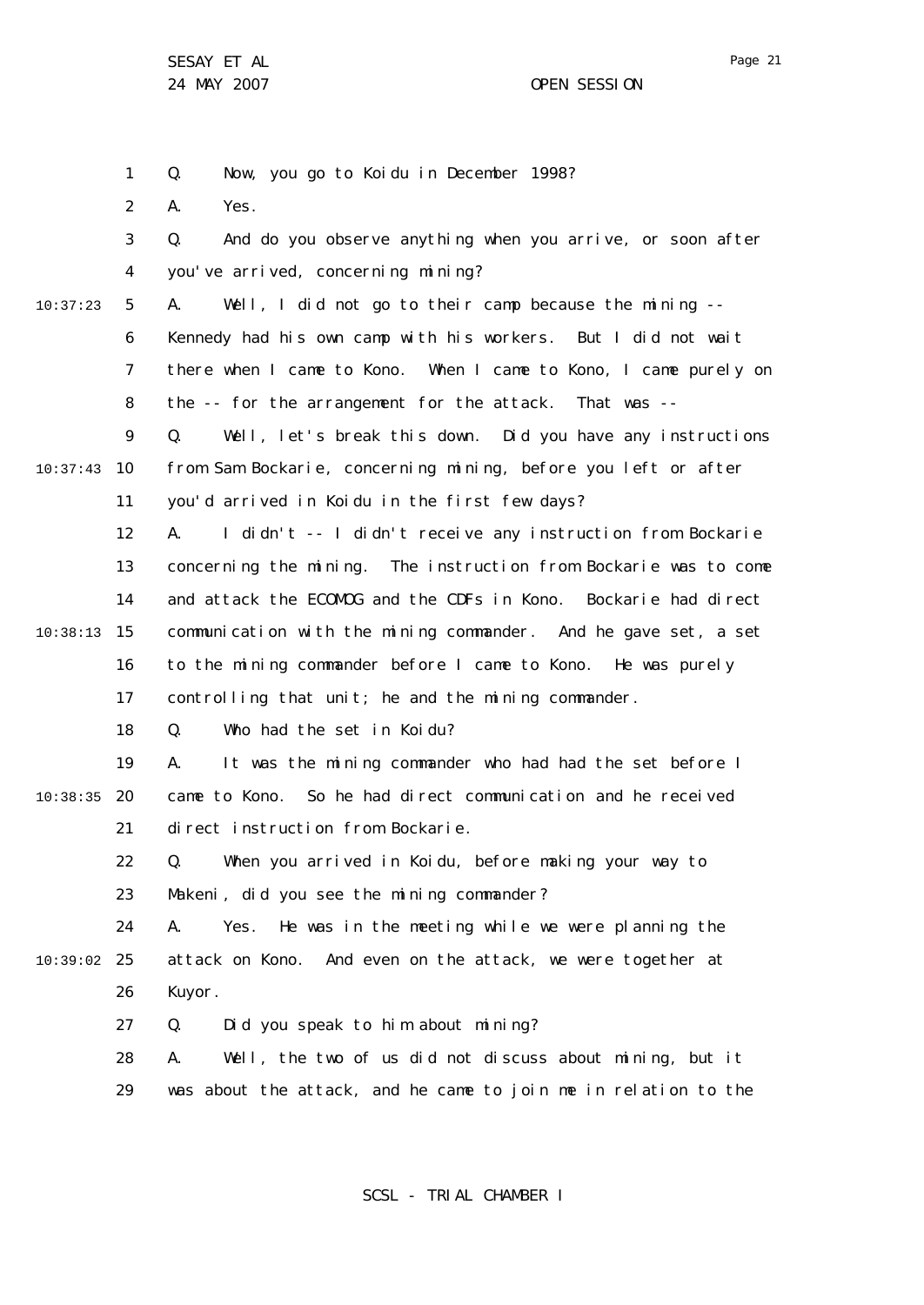24 MAY 2007 CHE SESSION

1 2 3 4 5 6 7 8  $\mathsf{Q}$ 10 10:37:43 11 12 13 14 15 10:38:13 16 17 18 19 20 10:38:35 21 22 23 24 25 10:39:02 26 27 28 29 10:37:23 Q. Now, you go to Koidu in December 1998? A. Yes. Q. And do you observe anything when you arrive, or soon after you've arrived, concerning mining? A. Well, I did not go to their camp because the mining -- Kennedy had his own camp with his workers. But I did not wait there when I came to Kono. When I came to Kono, I came purely on the -- for the arrangement for the attack. That was -- Q. Well, let's break this down. Did you have any instructions from Sam Bockarie, concerning mining, before you left or after you'd arrived in Koidu in the first few days? A. I didn't -- I didn't receive any instruction from Bockarie concerning the mining. The instruction from Bockarie was to come and attack the ECOMOG and the CDFs in Kono. Bockarie had direct communication with the mining commander. And he gave set, a set to the mining commander before I came to Kono. He was purely controlling that unit; he and the mining commander. Q. Who had the set in Koidu? A. It was the mining commander who had had the set before I came to Kono. So he had direct communication and he received direct instruction from Bockarie. Q. When you arrived in Koidu, before making your way to Makeni, did you see the mining commander? A. Yes. He was in the meeting while we were planning the attack on Kono. And even on the attack, we were together at Kuyor. Q. Did you speak to him about mining? A. Well, the two of us did not discuss about mining, but it was about the attack, and he came to join me in relation to the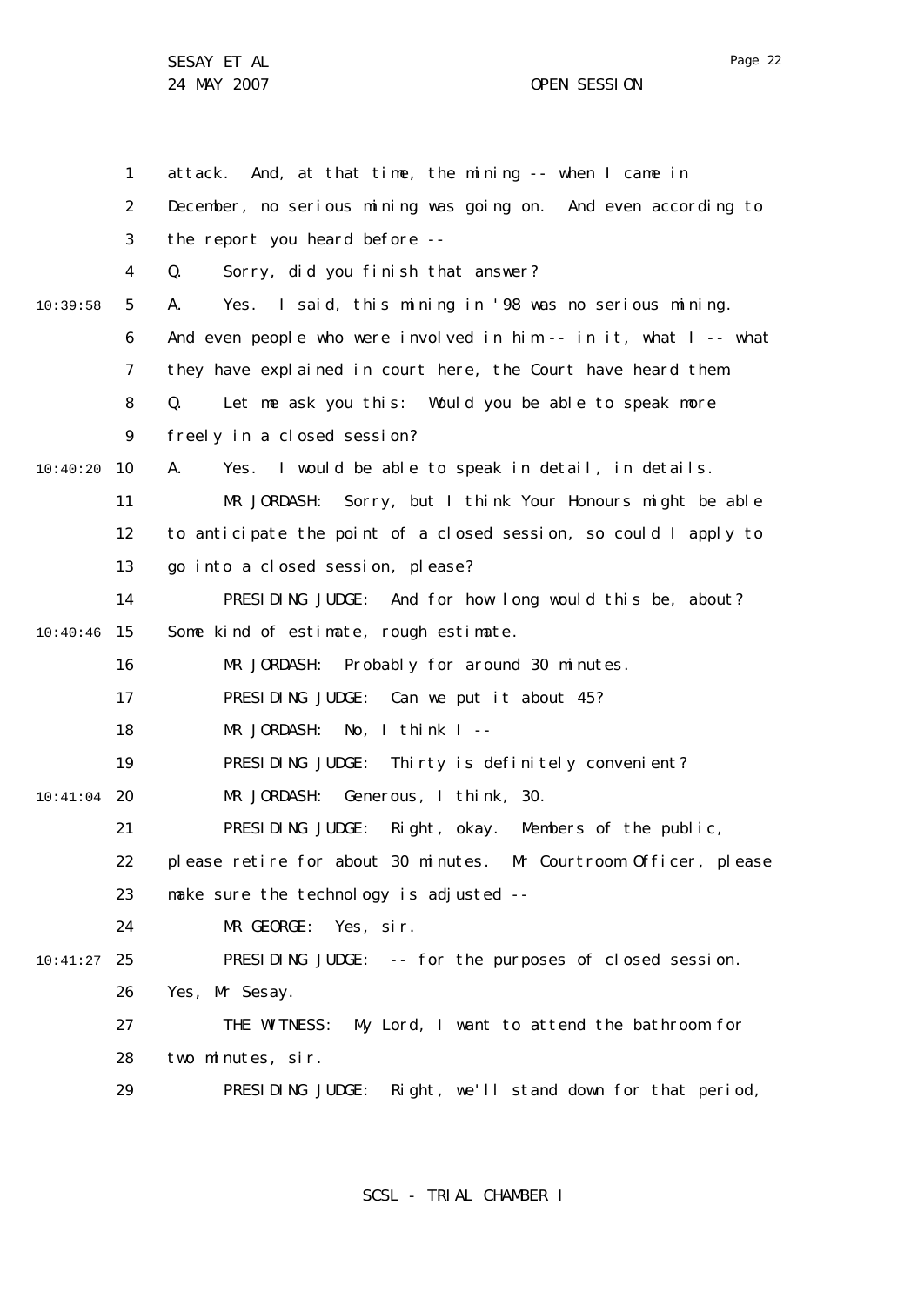24 MAY 2007 OPEN SESSION

1 2 3 4 5 6 7 8  $\mathsf{Q}$ 10 10:40:20 11 12 13 14 15 10:40:46 16 17 18 19 20 10:41:04 21 22 23  $24$ 25 10:41:27 26 27 28 29 10:39:58 attack. And, at that time, the mining -- when I came in December, no serious mining was going on. And even according to the report you heard before -- Q. Sorry, did you finish that answer? A. Yes. I said, this mining in '98 was no serious mining. And even people who were involved in him  $-$  in it, what  $I -$ - what they have explained in court here, the Court have heard them. Q. Let me ask you this: Would you be able to speak more freely in a closed session? A. Yes. I would be able to speak in detail, in details. MR JORDASH: Sorry, but I think Your Honours might be able to anticipate the point of a closed session, so could I apply to go into a closed session, please? PRESIDING JUDGE: And for how long would this be, about? Some kind of estimate, rough estimate. MR JORDASH: Probably for around 30 minutes. PRESIDING JUDGE: Can we put it about 45? MR JORDASH: No, I think I -- PRESIDING JUDGE: Thirty is definitely convenient? MR JORDASH: Generous, I think, 30. PRESIDING JUDGE: Right, okay. Members of the public, please retire for about 30 minutes. Mr Courtroom Officer, please make sure the technology is adjusted --MR GEORGE: Yes, sir. PRESIDING JUDGE: -- for the purposes of closed session. Yes, Mr Sesay. THE WITNESS: My Lord, I want to attend the bathroom for two minutes, sir. PRESIDING JUDGE: Right, we'll stand down for that period,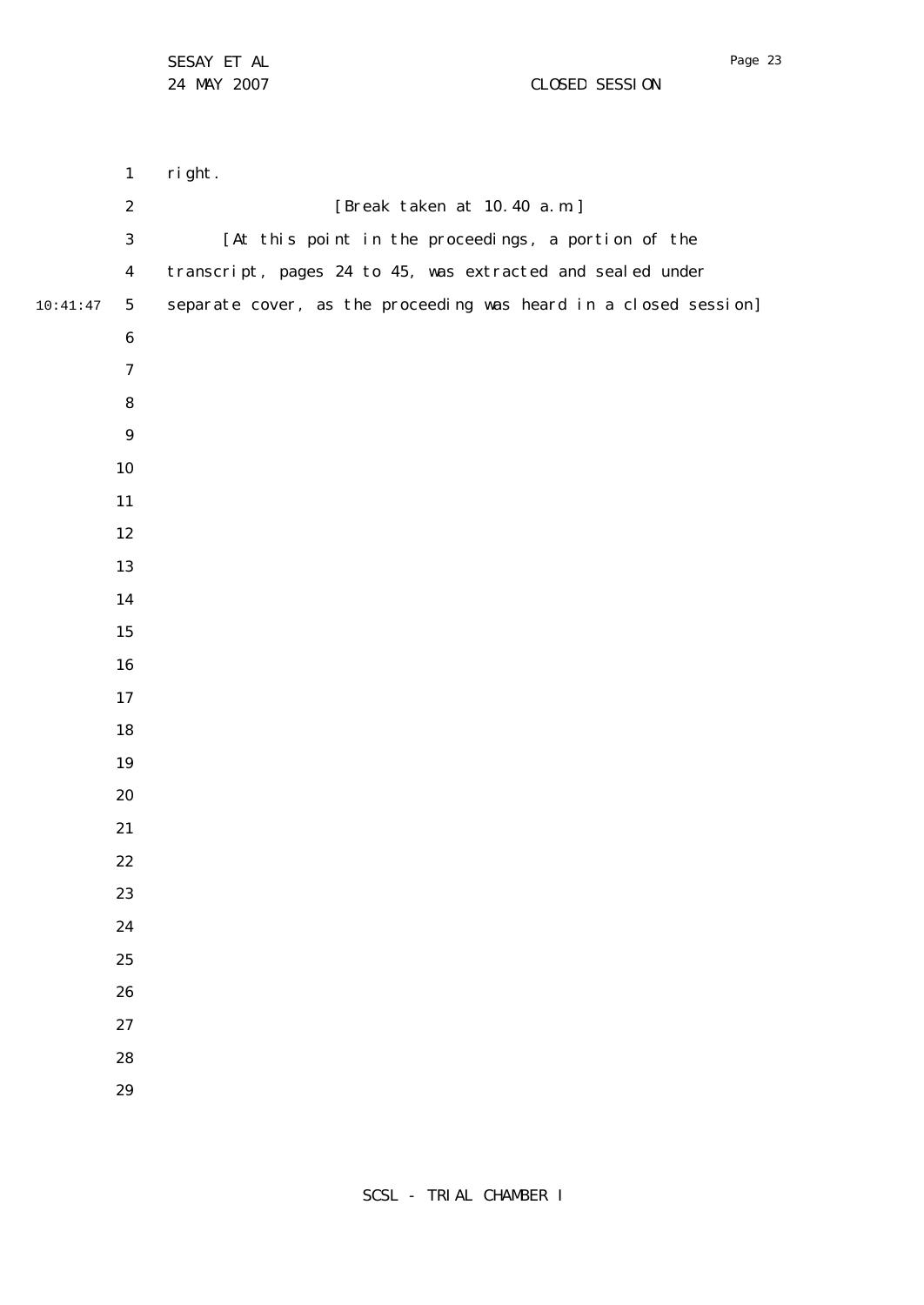MAY 2007 CLOSED SESSION

 10:41:47 right. [Break taken at 10.40 a.m.] [At this point in the proceedings, a portion of the transcript, pages 24 to 45, was extracted and sealed under separate cover, as the proceeding was heard in a closed session]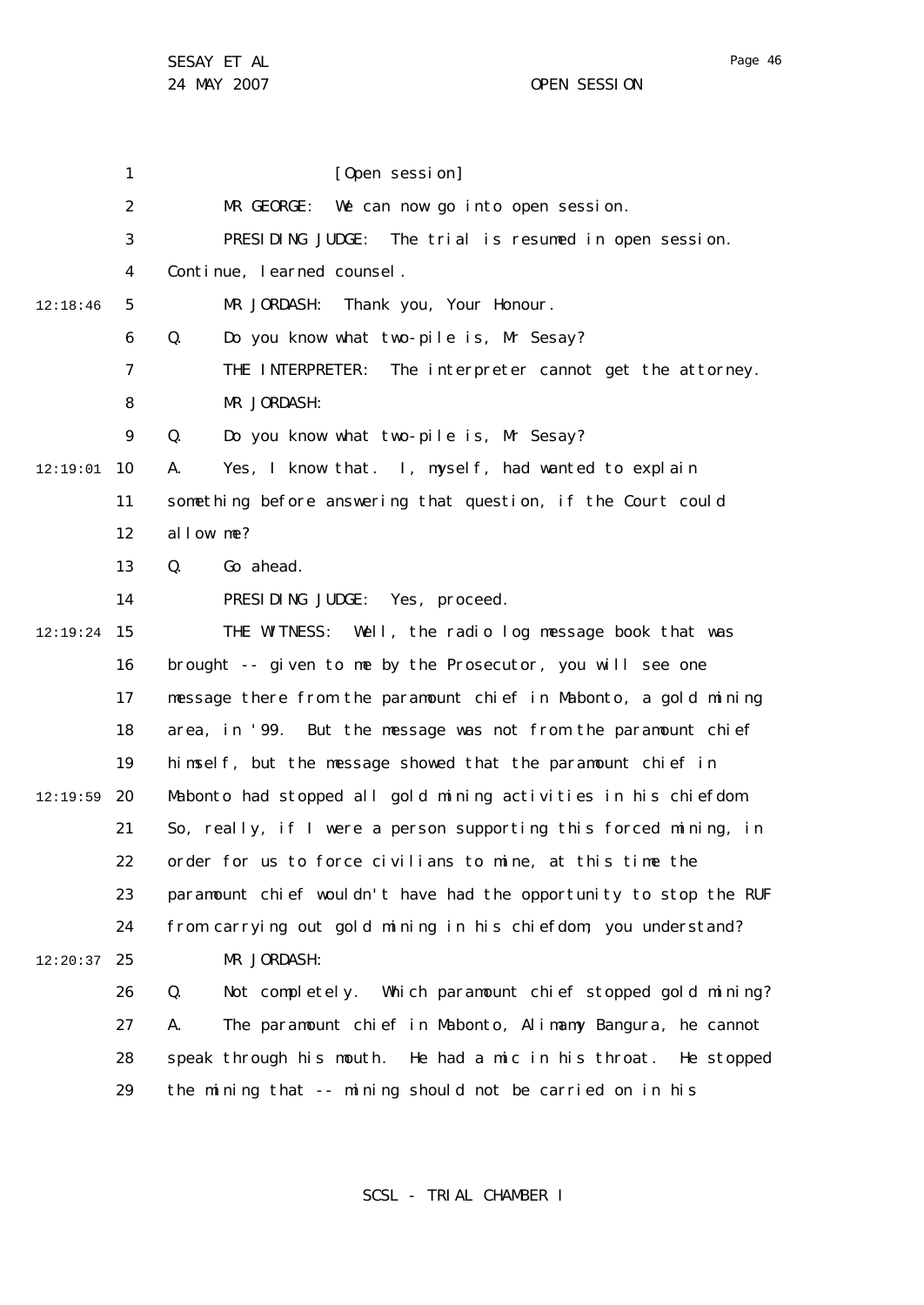1 2 3 4 5 6 7 8  $\mathsf{Q}$ 10 12:19:01 11 12 13 14 15 12:19:24 16 17 18 19 20 21 22 23 24 25 12:20:37 26 27 28 29 12:18:46 12:19:59 [Open session] MR GEORGE: We can now go into open session. PRESIDING JUDGE: The trial is resumed in open session. Continue, learned counsel. MR JORDASH: Thank you, Your Honour. Q. Do you know what two-pile is, Mr Sesay? THE INTERPRETER: The interpreter cannot get the attorney. MR JORDASH: Q. Do you know what two-pile is, Mr Sesay? A. Yes, I know that. I, myself, had wanted to explain something before answering that question, if the Court could allow me? Q. Go ahead. PRESIDING JUDGE: Yes, proceed. THE WITNESS: Well, the radio log message book that was brought -- given to me by the Prosecutor, you will see one message there from the paramount chief in Mabonto, a gold mining area, in '99. But the message was not from the paramount chief himself, but the message showed that the paramount chief in Mabonto had stopped all gold mining activities in his chiefdom. So, really, if I were a person supporting this forced mining, in order for us to force civilians to mine, at this time the paramount chief wouldn't have had the opportunity to stop the RUF from carrying out gold mining in his chiefdom; you understand? MR JORDASH: Q. Not completely. Which paramount chief stopped gold mining? A. The paramount chief in Mabonto, Alimamy Bangura, he cannot speak through his mouth. He had a mic in his throat. He stopped the mining that -- mining should not be carried on in his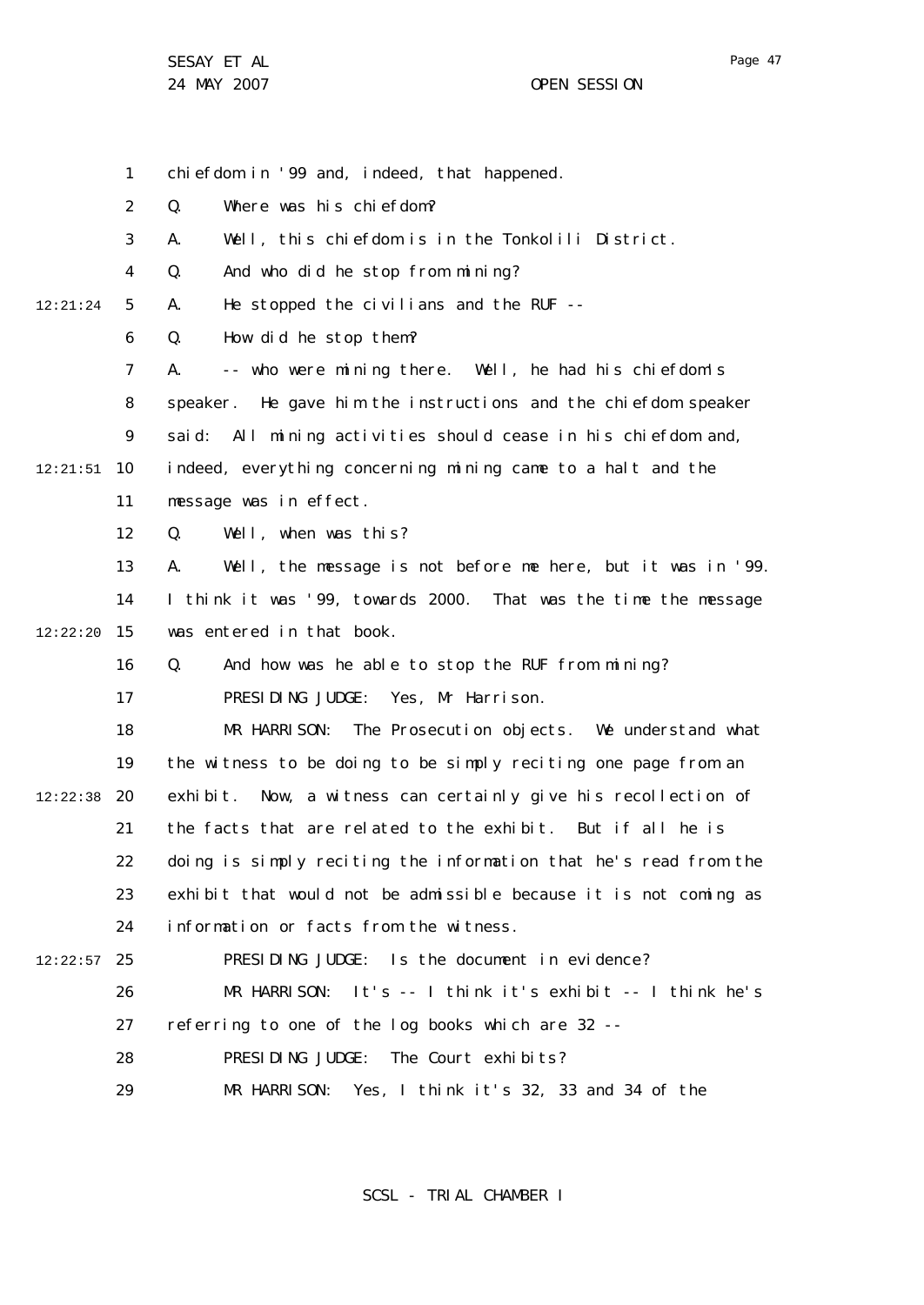1 2 3 4 5 6 7 8  $\mathsf{Q}$ 10 12:21:51 11 12 13 14 15 12:22:20 16 17 18 19 20 12:22:38 21 22 23 24 25 12:22:57 26 27 28 29 12:21:24 chiefdom in '99 and, indeed, that happened. Q. Where was his chiefdom? A. Well, this chiefdom is in the Tonkolili District. Q. And who did he stop from mining? A. He stopped the civilians and the RUF -- Q. How did he stop them? A. -- who were mining there. Well, he had his chiefdom's speaker. He gave him the instructions and the chiefdom speaker said: All mining activities should cease in his chiefdom and, indeed, everything concerning mining came to a halt and the message was in effect. Q. Well, when was this? A. Well, the message is not before me here, but it was in '99. I think it was '99, towards 2000. That was the time the message was entered in that book Q. And how was he able to stop the RUF from mining? PRESIDING JUDGE: Yes, Mr Harrison. MR HARRISON: The Prosecution objects. We understand what the witness to be doing to be simply reciting one page from an exhibit. Now, a witness can certainly give his recollection of the facts that are related to the exhibit. But if all he is doing is simply reciting the information that he's read from the exhibit that would not be admissible because it is not coming as information or facts from the witness. PRESIDING JUDGE: Is the document in evidence? MR HARRISON: It's -- I think it's exhibit -- I think he's referring to one of the log books which are 32 -- PRESIDING JUDGE: The Court exhibits? MR HARRISON: Yes, I think it's 32, 33 and 34 of the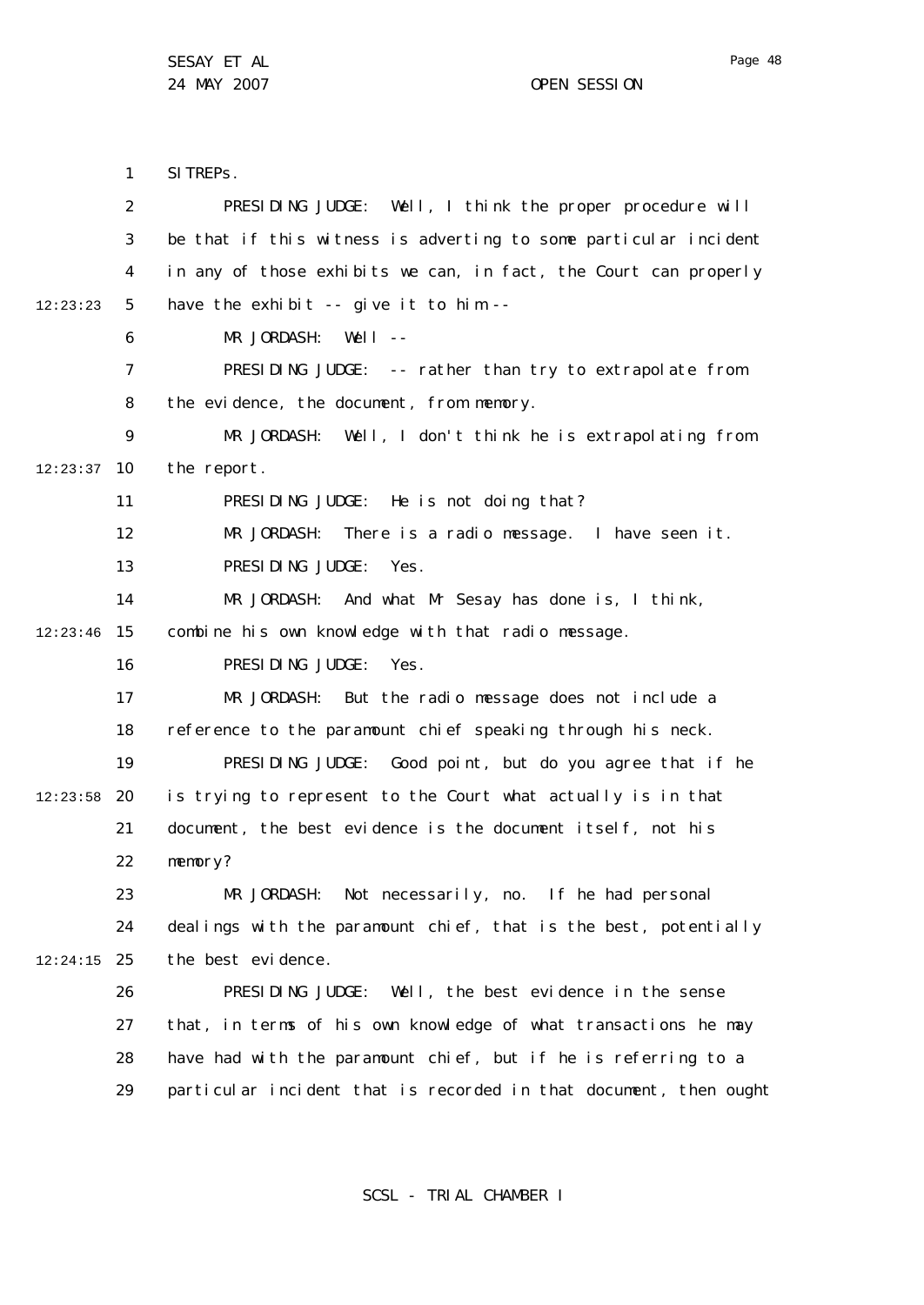1 2 3 4 5 6 7 8  $\mathsf{Q}$ 10 12:23:37 11 12 13 14 15 12:23:46 16 17 18 19 20 12:23:58 21 22 23 24 25 12:24:15 26 27 28 29 12:23:23 SITREPS. PRESIDING JUDGE: Well, I think the proper procedure will be that if this witness is adverting to some particular incident in any of those exhibits we can, in fact, the Court can properly have the exhibit -- give it to him -- MR JORDASH: Well --PRESIDING JUDGE: -- rather than try to extrapolate from the evidence, the document, from memory. MR JORDASH: Well, I don't think he is extrapolating from the report. PRESIDING JUDGE: He is not doing that? MR JORDASH: There is a radio message. I have seen it. PRESIDING JUDGE: Yes. MR JORDASH: And what Mr Sesay has done is, I think, combine his own knowledge with that radio message. PRESIDING JUDGE: Yes. MR JORDASH: But the radio message does not include a reference to the paramount chief speaking through his neck. PRESIDING JUDGE: Good point, but do you agree that if he is trying to represent to the Court what actually is in that document, the best evidence is the document itself, not his memory? MR JORDASH: Not necessarily, no. If he had personal dealings with the paramount chief, that is the best, potentially the best evidence. PRESIDING JUDGE: Well, the best evidence in the sense that, in terms of his own knowledge of what transactions he may have had with the paramount chief, but if he is referring to a particular incident that is recorded in that document, then ought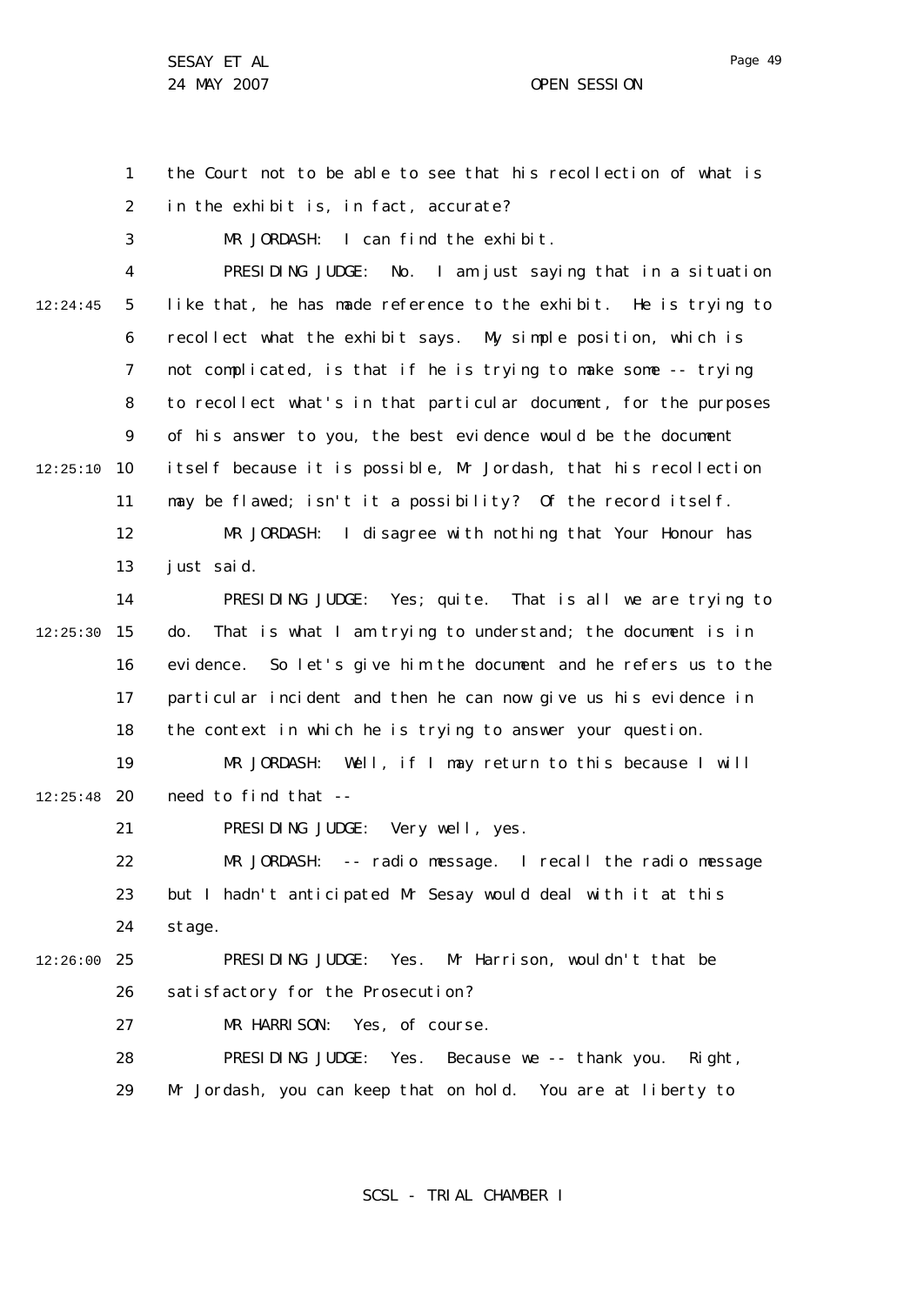SESAY ET AL 24 MAY 2007 CHE CONTROLLER SESSION

1 2 the Court not to be able to see that his recollection of what is in the exhibit is, in fact, accurate?

3 MR JORDASH: I can find the exhibit.

4 5 6 7 8  $\mathsf{Q}$ 10 12:25:10 11 12 13 14 15 12:25:30 16 17 18 19 20 12:25:48 21 22 23 24 25 12:26:00 26 27 28 29 12:24:45 PRESIDING JUDGE: No. I am just saying that in a situation like that, he has made reference to the exhibit. He is trying to recollect what the exhibit says. My simple position, which is not complicated, is that if he is trying to make some -- trying to recollect what's in that particular document, for the purposes of his answer to you, the best evidence would be the document itself because it is possible, Mr Jordash, that his recollection may be flawed; isn't it a possibility? Of the record itself. MR JORDASH: I disagree with nothing that Your Honour has just said. PRESIDING JUDGE: Yes; quite. That is all we are trying to do. That is what I am trying to understand; the document is in evidence. So let's give him the document and he refers us to the particular incident and then he can now give us his evidence in the context in which he is trying to answer your question. MR JORDASH: Well, if I may return to this because I will need to find that -- PRESIDING JUDGE: Very well, yes. MR JORDASH: -- radio message. I recall the radio message but I hadn't anticipated Mr Sesay would deal with it at this stage. PRESIDING JUDGE: Yes. Mr Harrison, wouldn't that be satisfactory for the Prosecution? MR HARRISON: Yes, of course. PRESIDING JUDGE: Yes. Because we -- thank you. Right, Mr Jordash, you can keep that on hold. You are at liberty to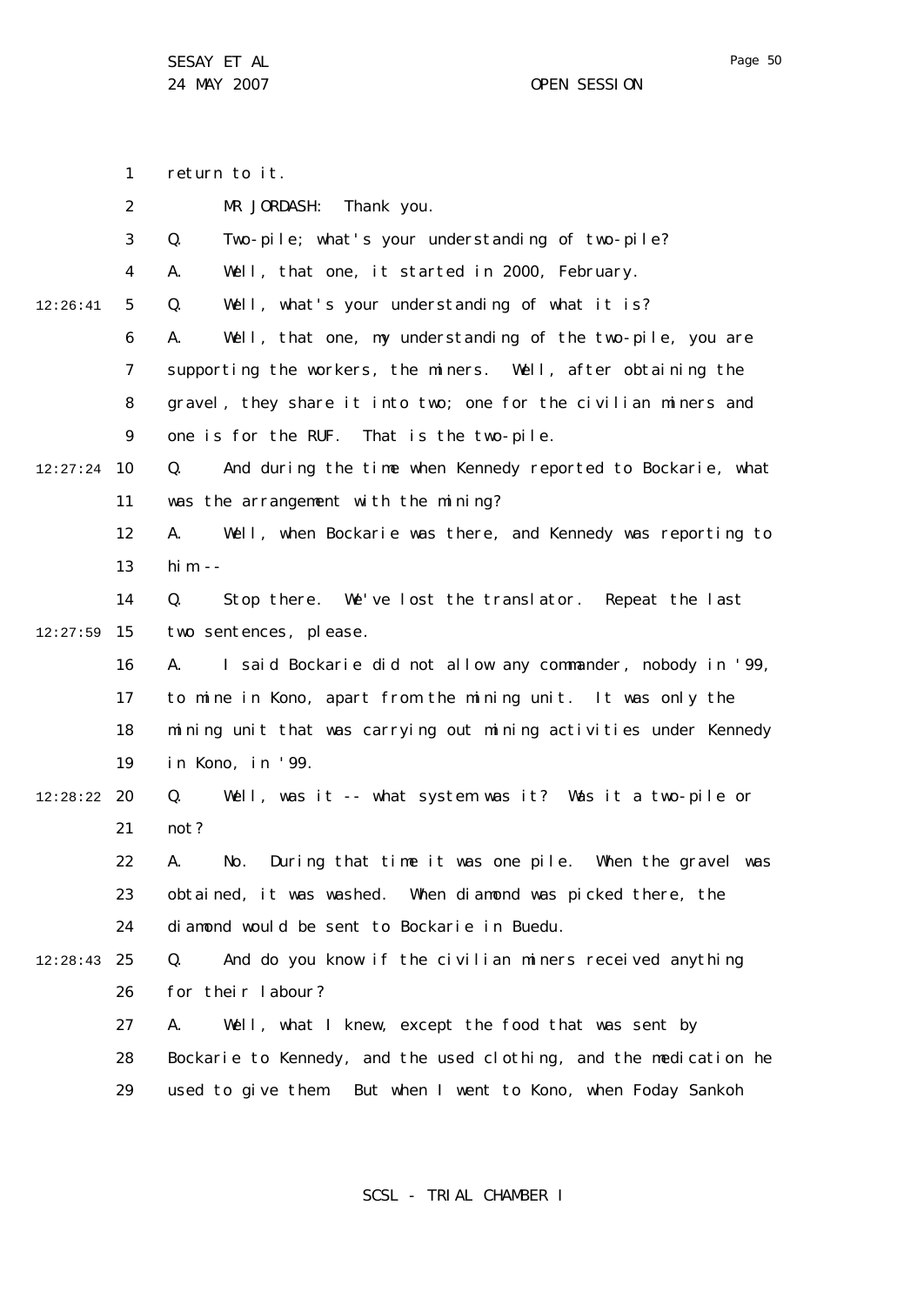24 MAY 2007 CHE SESSION

1 2 3 4 5 6 7 8  $\mathsf{Q}$ 10 12:27:24 11 12 13 14 15 12:27:59 16 17 18 19 20 12:28:22 21 22 23 24 25 12:28:43 26 27 28 29 12:26:41 return to it. MR JORDASH: Thank you. Q. Two-pile; what's your understanding of two-pile? A. Well, that one, it started in 2000, February. Q. Well, what's your understanding of what it is? A. Well, that one, my understanding of the two-pile, you are supporting the workers, the miners. Well, after obtaining the gravel, they share it into two; one for the civilian miners and one is for the RUF. That is the two-pile. Q. And during the time when Kennedy reported to Bockarie, what was the arrangement with the mining? A. Well, when Bockarie was there, and Kennedy was reporting to him  $-$ Q. Stop there. We've lost the translator. Repeat the last two sentences, please. A. I said Bockarie did not allow any commander, nobody in '99, to mine in Kono, apart from the mining unit. It was only the mining unit that was carrying out mining activities under Kennedy in Kono, in '99. Q. Well, was it -- what system was it? Was it a two-pile or not? A. No. During that time it was one pile. When the gravel was obtained, it was washed. When diamond was picked there, the diamond would be sent to Bockarie in Buedu. Q. And do you know if the civilian miners received anything for their labour? A. Well, what I knew, except the food that was sent by Bockarie to Kennedy, and the used clothing, and the medication he used to give them. But when I went to Kono, when Foday Sankoh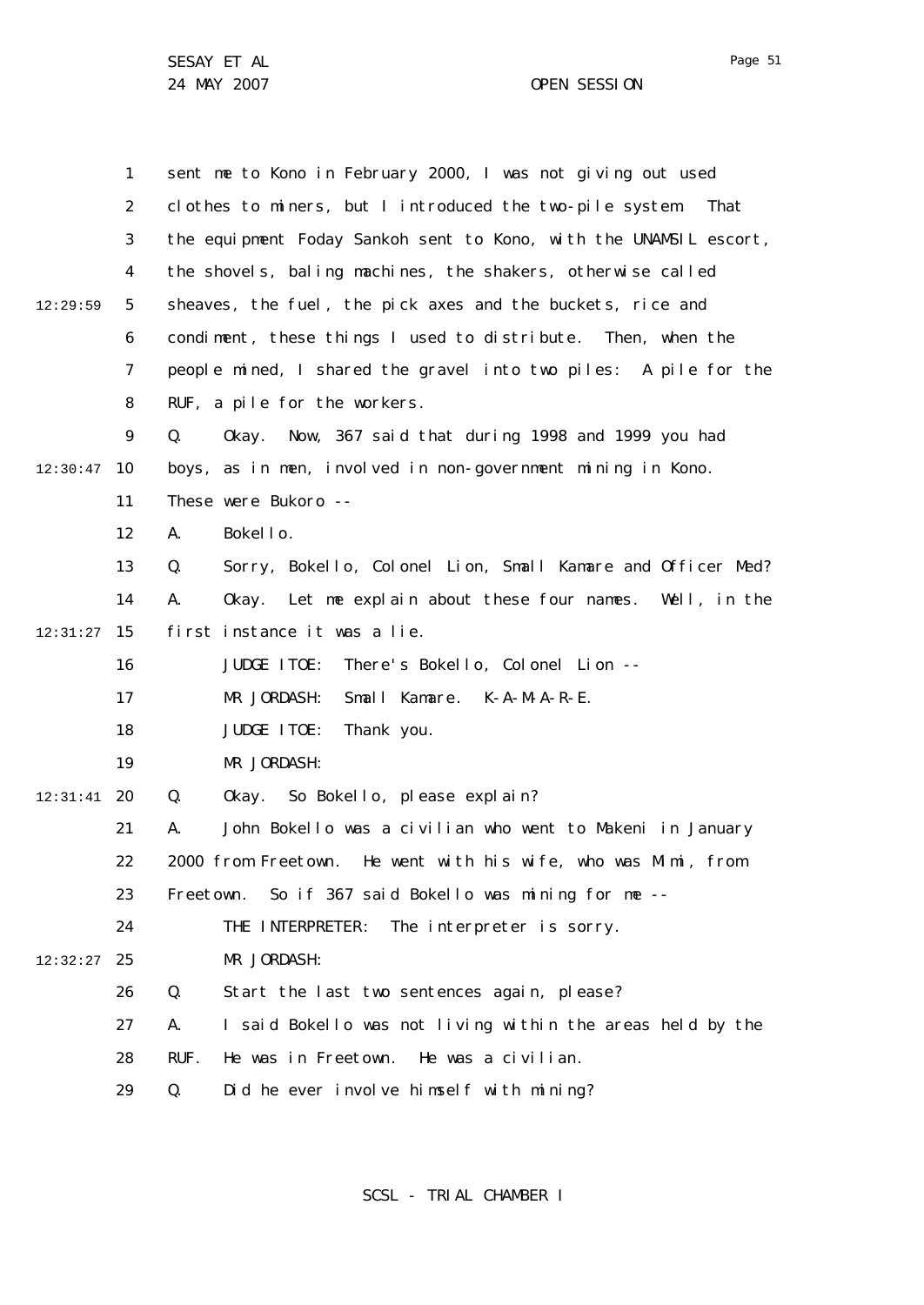|          | $\mathbf{1}$   | sent me to Kono in February 2000, I was not giving out used       |
|----------|----------------|-------------------------------------------------------------------|
|          | $\overline{2}$ | clothes to miners, but I introduced the two-pile system.<br>That  |
|          | 3              | the equipment Foday Sankoh sent to Kono, with the UNAMSIL escort, |
|          | 4              | the shovels, baling machines, the shakers, otherwise called       |
| 12:29:59 | 5              | sheaves, the fuel, the pick axes and the buckets, rice and        |
|          | 6              | condiment, these things I used to distribute. Then, when the      |
|          | $\overline{7}$ | people mined, I shared the gravel into two piles: A pile for the  |
|          | 8              | RUF, a pile for the workers.                                      |
|          | 9              | Okay. Now, 367 said that during 1998 and 1999 you had<br>Q.       |
| 12:30:47 | 10             | boys, as in men, involved in non-government mining in Kono.       |
|          | 11             | These were Bukoro --                                              |
|          | 12             | Bokello.<br>Α.                                                    |
|          | 13             | Sorry, Bokello, Colonel Lion, Small Kamare and Officer Med?<br>Q. |
|          | 14             | Α.<br>Okay. Let me explain about these four names. Well, in the   |
| 12:31:27 | 15             | first instance it was a lie.                                      |
|          | 16             | JUDGE ITOE:<br>There's Bokello, Colonel Lion --                   |
|          | 17             | MR JORDASH:<br>Small Kamare. K-A-M-A-R-E.                         |
|          | 18             | JUDGE ITOE:<br>Thank you.                                         |
|          | 19             | MR JORDASH:                                                       |
| 12:31:41 | 20             | Okay. So Bokello, please explain?<br>Q.                           |
|          | 21             | John Bokello was a civilian who went to Makeni in January<br>Α.   |
|          | 22             | 2000 from Freetown. He went with his wife, who was Mimi, from     |
|          | 23             | So if 367 said Bokello was mining for me --<br>Freetown.          |
|          | 24             | THE INTERPRETER:<br>The interpreter is sorry.                     |
| 12:32:27 | 25             | MR JORDASH:                                                       |
|          | 26             | Q.<br>Start the last two sentences again, please?                 |
|          | 27             | I said Bokello was not living within the areas held by the<br>А.  |
|          | 28             | RUF.<br>He was a civilian.<br>He was in Freetown.                 |
|          | 29             | Did he ever involve himself with mining?<br>Q.                    |

SCSL - TRIAL CHAMBER I

Page 51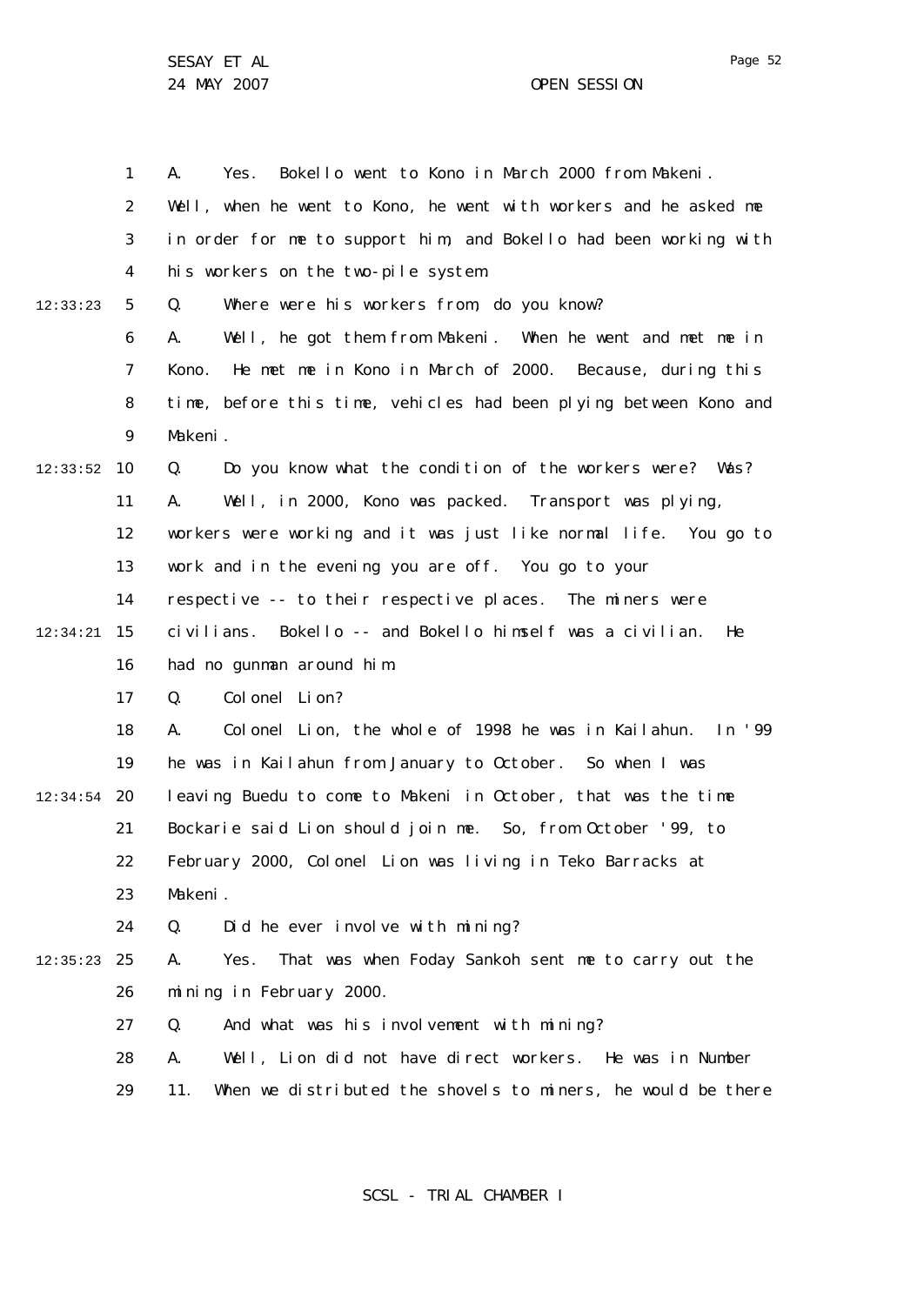1 2 3 4 5 6 7 8  $\mathsf{Q}$ 10 12:33:52 11 12 13 14 15 12:34:21 16 17 18 19 20 12:34:54 21 22 23 24 25 12:35:23 26 27 28 29 12:33:23 A. Yes. Bokello went to Kono in March 2000 from Makeni. Well, when he went to Kono, he went with workers and he asked me in order for me to support him, and Bokello had been working with his workers on the two-pile system. Q. Where were his workers from, do you know? A. Well, he got them from Makeni. When he went and met me in Kono. He met me in Kono in March of 2000. Because, during this time, before this time, vehicles had been plying between Kono and Makeni. Q. Do you know what the condition of the workers were? Was? A. Well, in 2000, Kono was packed. Transport was plying, workers were working and it was just like normal life. You go to work and in the evening you are off. You go to your respective -- to their respective places. The miners were civilians. Bokello -- and Bokello himself was a civilian. He had no gunman around him. Q. Colonel Lion? A. Colonel Lion, the whole of 1998 he was in Kailahun. In '99 he was in Kailahun from January to October. So when I was leaving Buedu to come to Makeni in October, that was the time Bockarie said Lion should join me. So, from October '99, to February 2000, Colonel Lion was living in Teko Barracks at Makeni. Q. Did he ever involve with mining? A. Yes. That was when Foday Sankoh sent me to carry out the mining in February 2000. Q. And what was his involvement with mining? A. Well, Lion did not have direct workers. He was in Number 11. When we distributed the shovels to miners, he would be there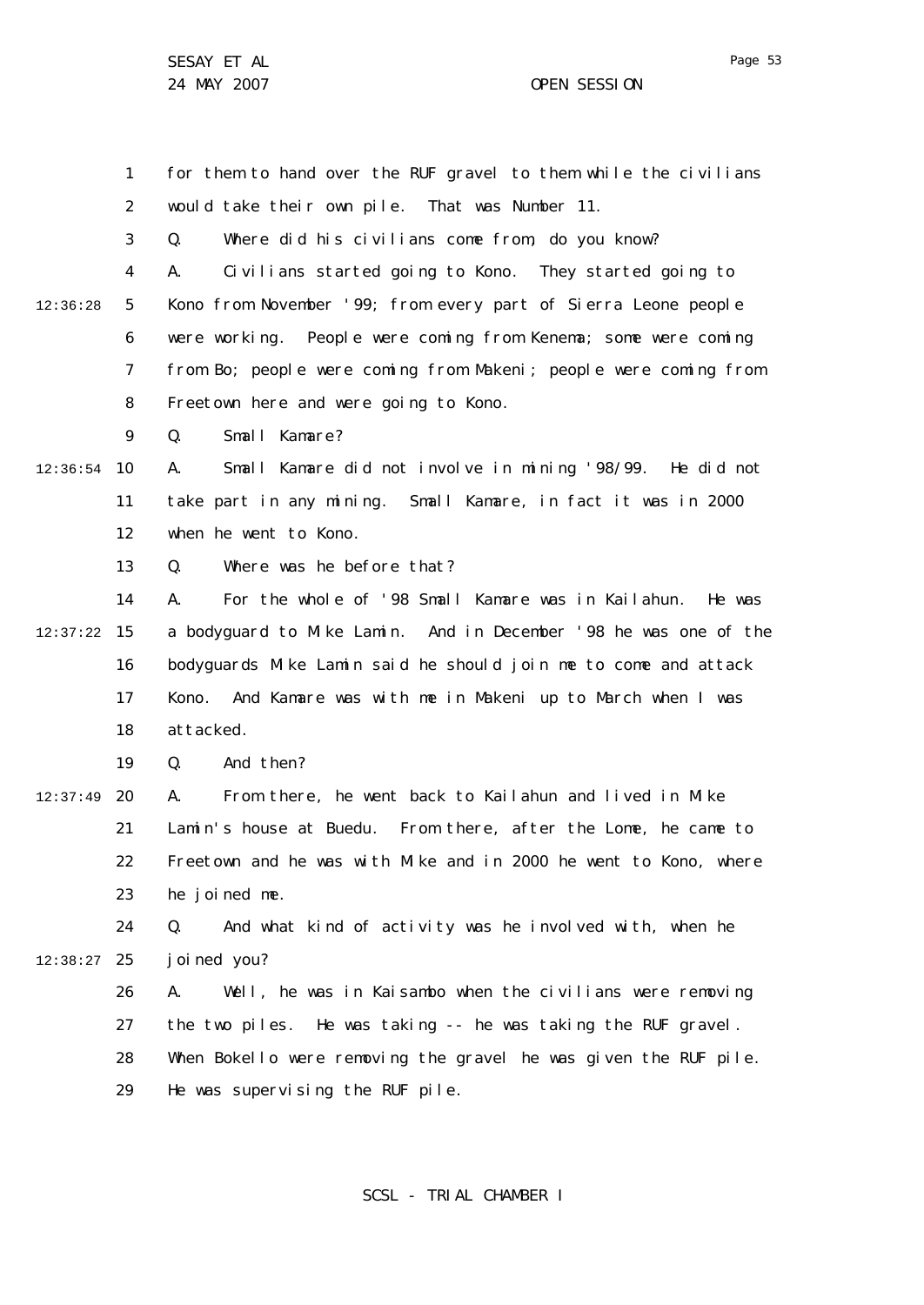Page 53

1 2 3 for them to hand over the RUF gravel to them while the civilians would take their own pile. That was Number 11. Q. Where did his civilians come from, do you know?

4 5 6 7 8 12:36:28 A. Civilians started going to Kono. They started going to Kono from November '99; from every part of Sierra Leone people were working. People were coming from Kenema; some were coming from Bo; people were coming from Makeni; people were coming from Freetown here and were going to Kono.

> $\mathsf{Q}$ Q. Small Kamare?

10 12:36:54 11 12 A. Small Kamare did not involve in mining '98/99. He did not take part in any mining. Small Kamare, in fact it was in 2000 when he went to Kono.

> 13 Q. Where was he before that?

14 15 12:37:22 16 17 18 A. For the whole of '98 Small Kamare was in Kailahun. He was a bodyguard to Mike Lamin. And in December '98 he was one of the bodyguards Mike Lamin said he should join me to come and attack Kono. And Kamare was with me in Makeni up to March when I was attacked.

> 19 Q. And then?

12:37:49 20 21 22 23 A. From there, he went back to Kailahun and lived in Mike Lamin's house at Buedu. From there, after the Lome, he came to Freetown and he was with Mike and in 2000 he went to Kono, where he joined me.

## 24 25 12:38:27 Q. And what kind of activity was he involved with, when he joined you?

26 27 28 29 A. Well, he was in Kaisambo when the civilians were removing the two piles. He was taking -- he was taking the RUF gravel. When Bokello were removing the gravel he was given the RUF pile. He was supervising the RUF pile.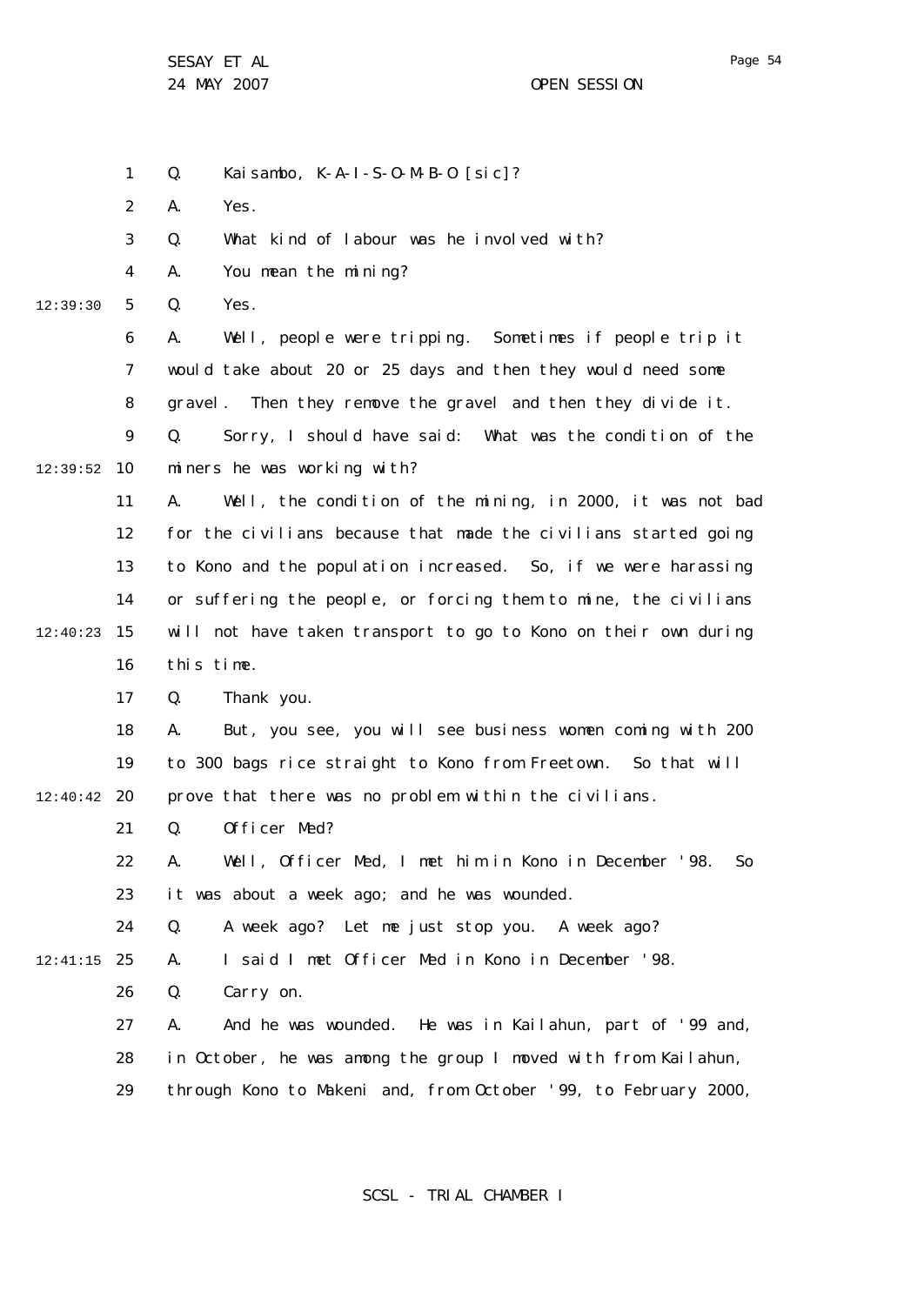Q. Kaisambo, K-A-I-S-O-M-B-O [sic]?

1

24 MAY 2007 CHE SESSION

2 3 4 5 6 7 8  $\mathsf{Q}$ 10 12:39:52 11 12 13 14 15 12:40:23 16 17 18 19 20 12:40:42 21 22 23  $24$ 25 12:41:15 26 27 28 29 12:39:30 A. Yes. Q. What kind of labour was he involved with? A. You mean the mining? Q. Yes. A. Well, people were tripping. Sometimes if people trip it would take about 20 or 25 days and then they would need some gravel. Then they remove the gravel and then they divide it. Q. Sorry, I should have said: What was the condition of the miners he was working with? A. Well, the condition of the mining, in 2000, it was not bad for the civilians because that made the civilians started going to Kono and the population increased. So, if we were harassing or suffering the people, or forcing them to mine, the civilians will not have taken transport to go to Kono on their own during this time. Q. Thank you. A. But, you see, you will see business women coming with 200 to 300 bags rice straight to Kono from Freetown. So that will prove that there was no problem within the civilians. Q. Officer Med? A. Well, Officer Med, I met him in Kono in December '98. So it was about a week ago; and he was wounded. Q. A week ago? Let me just stop you. A week ago? A. I said I met Officer Med in Kono in December '98. Q. Carry on. A. And he was wounded. He was in Kailahun, part of '99 and, in October, he was among the group I moved with from Kailahun, through Kono to Makeni and, from October '99, to February 2000,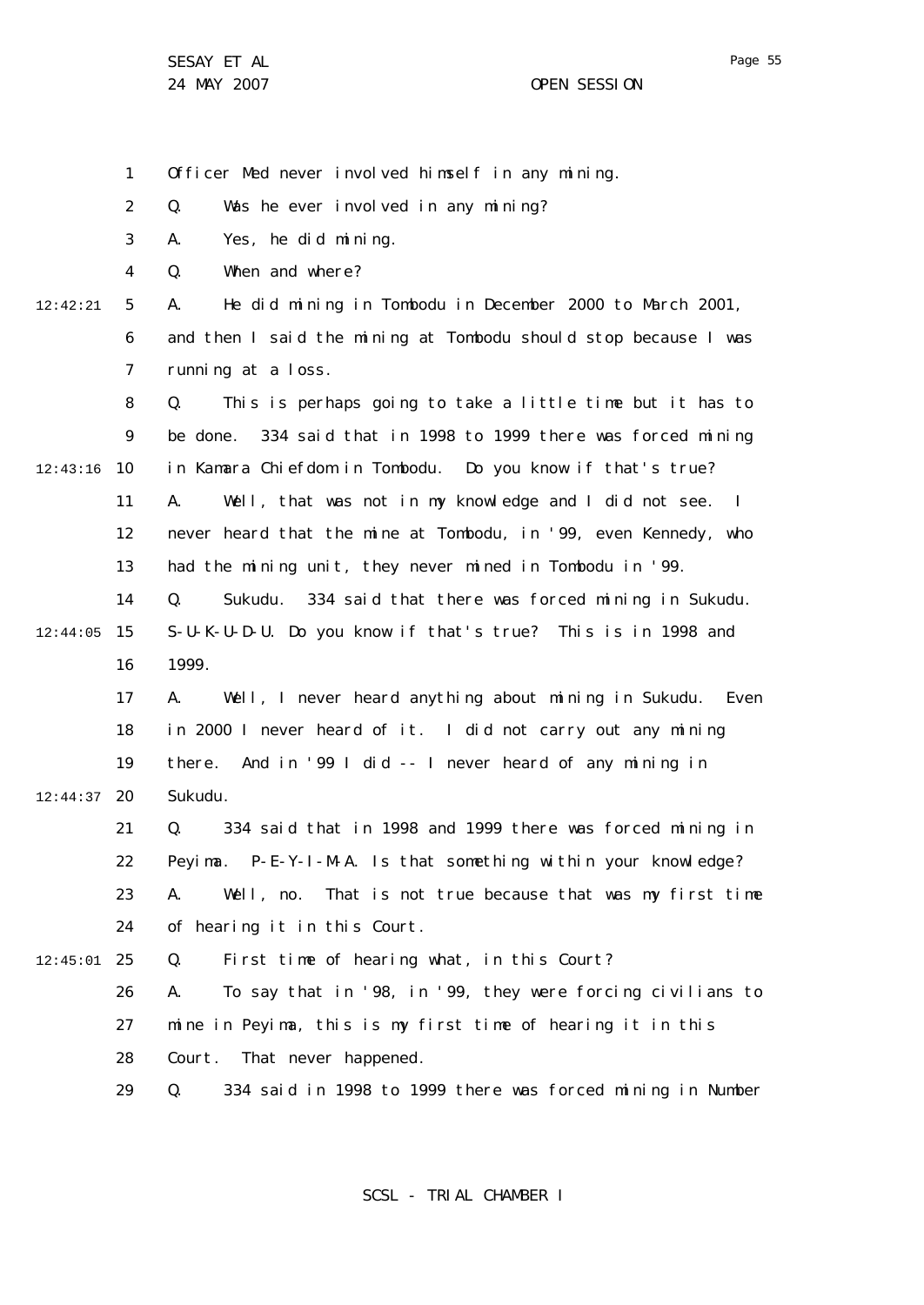1 2 3 4 5 6 7 8  $\mathsf{Q}$ 10 12:43:16 11 12 13 14 15 12:44:05 16 17 18 19 12:44:37 20 21 22 23 24 25 12:45:01 26 27 28 29 12:42:21 Officer Med never involved himself in any mining. Q. Was he ever involved in any mining? A. Yes, he did mining. Q. When and where? A. He did mining in Tombodu in December 2000 to March 2001, and then I said the mining at Tombodu should stop because I was running at a loss. Q. This is perhaps going to take a little time but it has to be done. 334 said that in 1998 to 1999 there was forced mining in Kamara Chiefdom in Tombodu. Do you know if that's true? A. Well, that was not in my knowledge and I did not see. I never heard that the mine at Tombodu, in '99, even Kennedy, who had the mining unit, they never mined in Tombodu in '99. Q. Sukudu. 334 said that there was forced mining in Sukudu. S-U-K-U-D-U. Do you know if that's true? This is in 1998 and 1999. A. Well, I never heard anything about mining in Sukudu. Even in 2000 I never heard of it. I did not carry out any mining there. And in '99 I did -- I never heard of any mining in Sukudu. Q. 334 said that in 1998 and 1999 there was forced mining in Peyima. P-E-Y-I-M-A. Is that something within your knowledge? A. Well, no. That is not true because that was my first time of hearing it in this Court. Q. First time of hearing what, in this Court? A. To say that in '98, in '99, they were forcing civilians to mine in Peyima, this is my first time of hearing it in this Court. That never happened. Q. 334 said in 1998 to 1999 there was forced mining in Number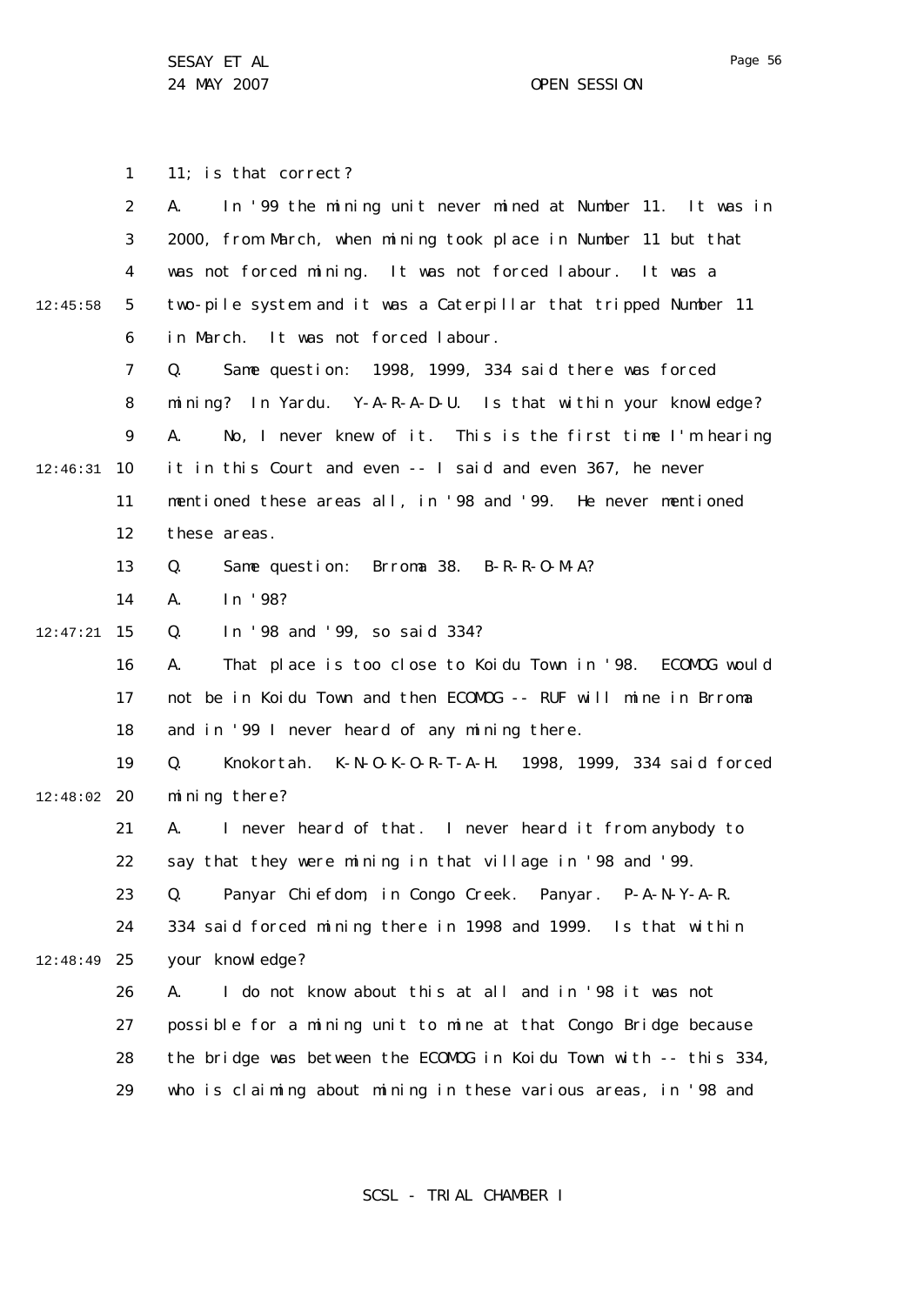24 MAY 2007 CHE SESSION

1 2 3 4 5 6 7 8  $\mathsf{Q}$ 10 12:46:31 11 12 13 14 15 12:47:21 16 17 18 19 12:48:02 20 21 22 23 24 25 12:48:49 26 27 28 29 12:45:58 11; is that correct? A. In '99 the mining unit never mined at Number 11. It was in 2000, from March, when mining took place in Number 11 but that was not forced mining. It was not forced labour. It was a two-pile system and it was a Caterpillar that tripped Number 11 in March. It was not forced labour. Q. Same question: 1998, 1999, 334 said there was forced mining? In Yardu. Y-A-R-A-D-U. Is that within your knowledge? A. No, I never knew of it. This is the first time I'm hearing it in this Court and even -- I said and even 367, he never mentioned these areas all, in '98 and '99. He never mentioned these areas. Q. Same question: Brroma 38. B-R-R-O-M-A? A. In '98? Q. In '98 and '99, so said 334? A. That place is too close to Koidu Town in '98. ECOMOG would not be in Koidu Town and then ECOMOG -- RUF will mine in Brroma and in '99 I never heard of any mining there. Q. Knokortah. K-N-O-K-O-R-T-A-H. 1998, 1999, 334 said forced mining there? A. I never heard of that. I never heard it from anybody to say that they were mining in that village in '98 and '99. Q. Panyar Chiefdom, in Congo Creek. Panyar. P-A-N-Y-A-R. 334 said forced mining there in 1998 and 1999. Is that within your knowledge? A. I do not know about this at all and in '98 it was not possible for a mining unit to mine at that Congo Bridge because the bridge was between the ECOMOG in Koidu Town with -- this 334, who is claiming about mining in these various areas, in '98 and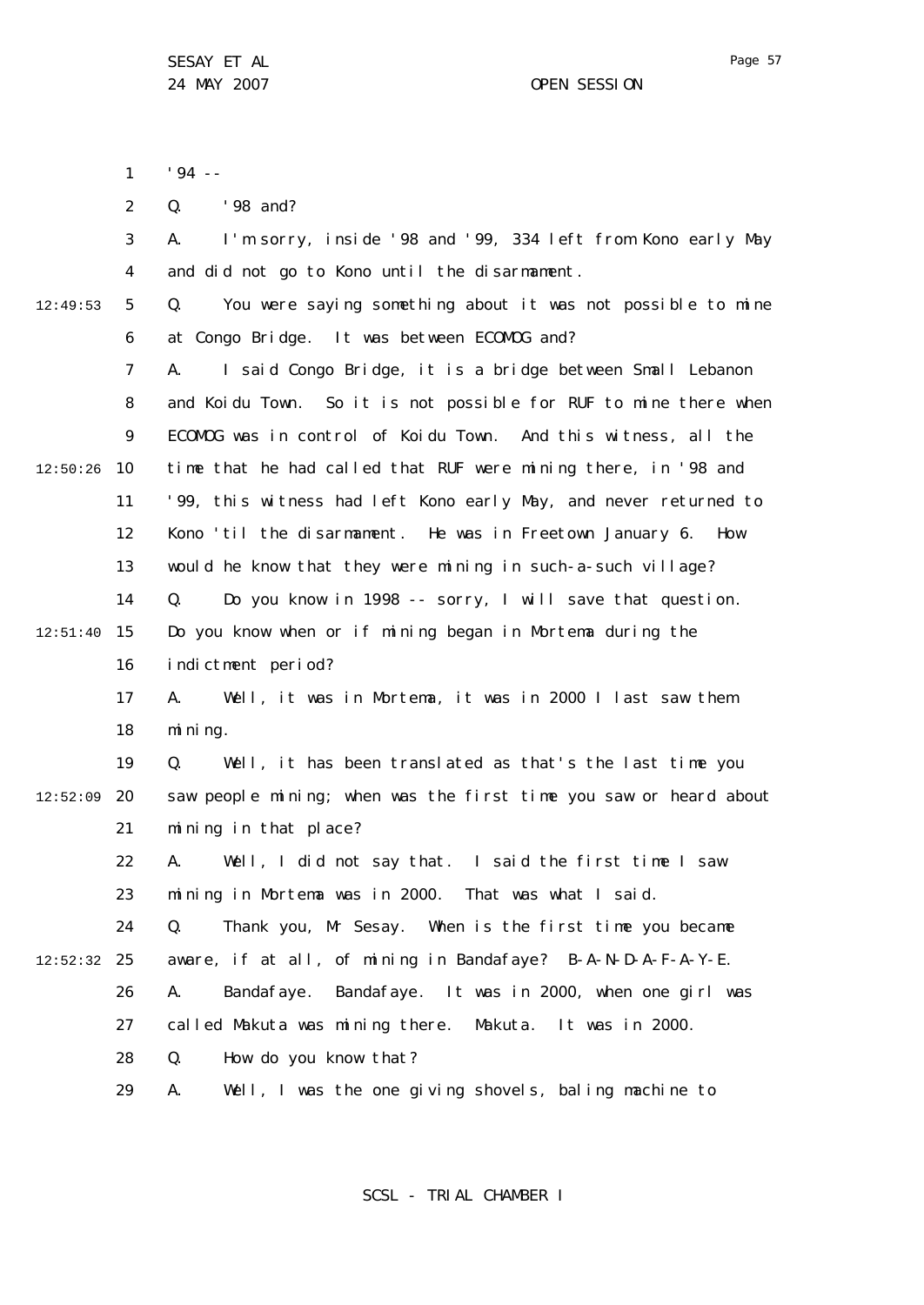'94 --

1

2 3 4 5 6 7 8  $\mathsf{Q}$ 10 12:50:26 11 12 13 14 15 12:51:40 16 17 18 19 12:52:09 20 21 22 23 24 12:49:53 Q. '98 and? A. I'm sorry, inside '98 and '99, 334 left from Kono early May and did not go to Kono until the disarmament. Q. You were saying something about it was not possible to mine at Congo Bridge. It was between ECOMOG and? A. I said Congo Bridge, it is a bridge between Small Lebanon and Koidu Town. So it is not possible for RUF to mine there when ECOMOG was in control of Koidu Town. And this witness, all the time that he had called that RUF were mining there, in '98 and '99, this witness had left Kono early May, and never returned to Kono 'til the disarmament. He was in Freetown January 6. How would he know that they were mining in such-a-such village? Q. Do you know in 1998 -- sorry, I will save that question. Do you know when or if mining began in Mortema during the indictment period? A. Well, it was in Mortema, it was in 2000 I last saw them mining. Q. Well, it has been translated as that's the last time you saw people mining; when was the first time you saw or heard about mining in that place? A. Well, I did not say that. I said the first time I saw mining in Mortema was in 2000. That was what I said. Q. Thank you, Mr Sesay. When is the first time you became

25 12:52:32

26 A. Bandafaye. Bandafaye. It was in 2000, when one girl was

aware, if at all, of mining in Bandafaye? B-A-N-D-A-F-A-Y-E.

27 called Makuta was mining there. Makuta. It was in 2000.

28 Q. How do you know that?

29 A. Well, I was the one giving shovels, baling machine to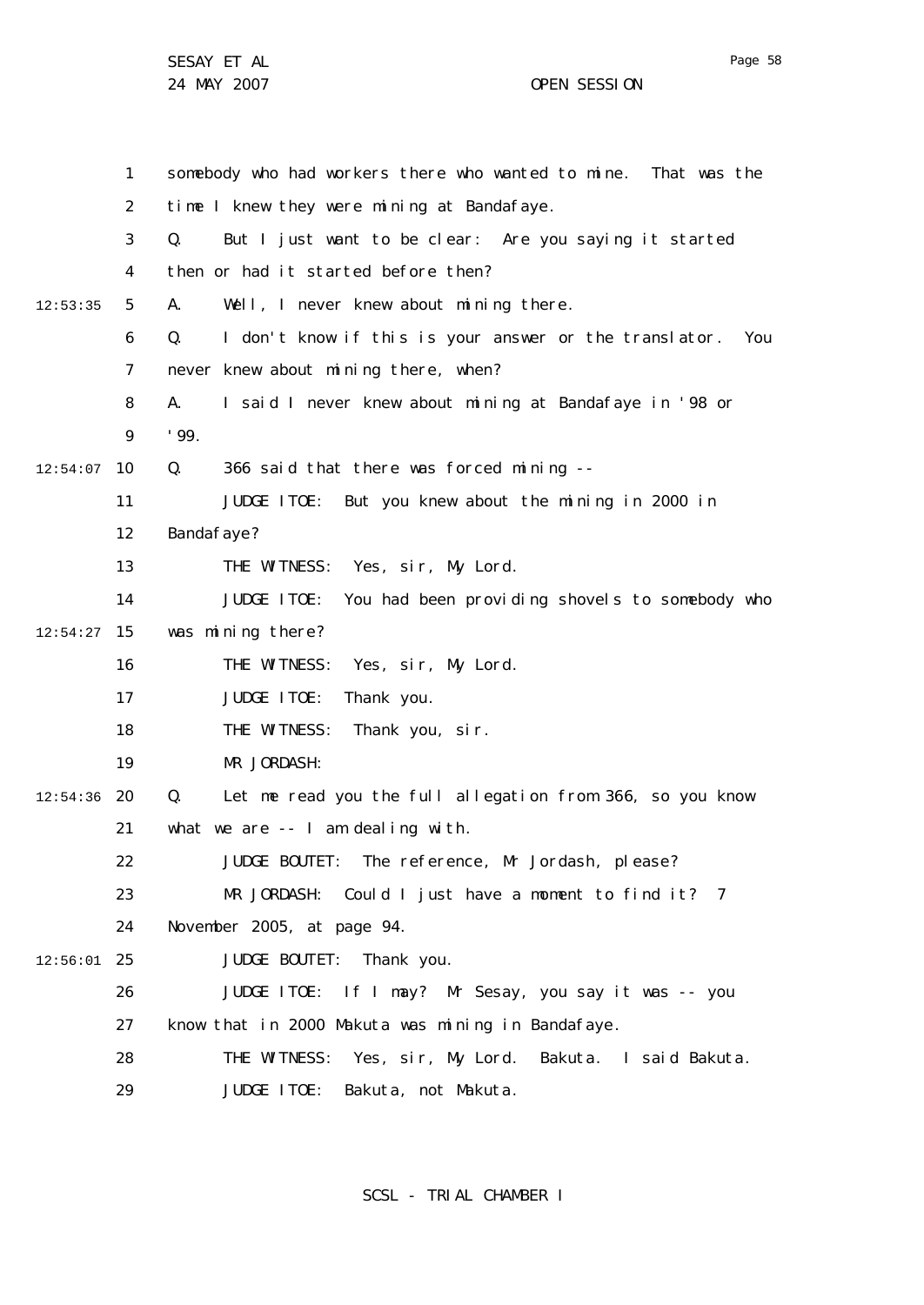|          | 1              | somebody who had workers there who wanted to mine.<br>That was the  |
|----------|----------------|---------------------------------------------------------------------|
|          | $\overline{2}$ | time I knew they were mining at Bandafaye.                          |
|          | 3              | Q.<br>But I just want to be clear: Are you saying it started        |
|          | 4              | then or had it started before then?                                 |
| 12:53:35 | 5              | Well, I never knew about mining there.<br>А.                        |
|          | 6              | Q.<br>I don't know if this is your answer or the translator.<br>You |
|          | 7              | never knew about mining there, when?                                |
|          | 8              | I said I never knew about mining at Bandafaye in '98 or<br>А.       |
|          | 9              | '99.                                                                |
| 12:54:07 | 10             | Q.<br>366 said that there was forced mining --                      |
|          | 11             | JUDGE ITOE: But you knew about the mining in 2000 in                |
|          | 12             | Bandafaye?                                                          |
|          | 13             | THE WITNESS: Yes, sir, My Lord.                                     |
|          | 14             | JUDGE ITOE:<br>You had been providing shovels to somebody who       |
| 12:54:27 | 15             | was mining there?                                                   |
|          | 16             | THE WITNESS: Yes, sir, My Lord.                                     |
|          | 17             | JUDGE ITOE:<br>Thank you.                                           |
|          | 18             | THE WITNESS:<br>Thank you, sir.                                     |
|          | 19             | MR JORDASH:                                                         |
| 12:54:36 | 20             | Q.<br>Let me read you the full allegation from 366, so you know     |
|          | 21             | what we are -- I am dealing with.                                   |
|          | 22             | JUDGE BOUTET: The reference, Mr Jordash, please?                    |
|          | 23             | MR JORDASH: Could I just have a moment to find it? 7                |
|          | 24             | November 2005, at page 94.                                          |
| 12:56:01 | 25             | JUDGE BOUTET: Thank you.                                            |
|          | 26             | JUDGE ITOE: If I may? Mr Sesay, you say it was -- you               |
|          | 27             | know that in 2000 Makuta was mining in Bandafaye.                   |
|          | 28             | THE WITNESS: Yes, sir, My Lord. Bakuta. I said Bakuta.              |
|          | 29             | JUDGE ITOE:<br>Bakuta, not Makuta.                                  |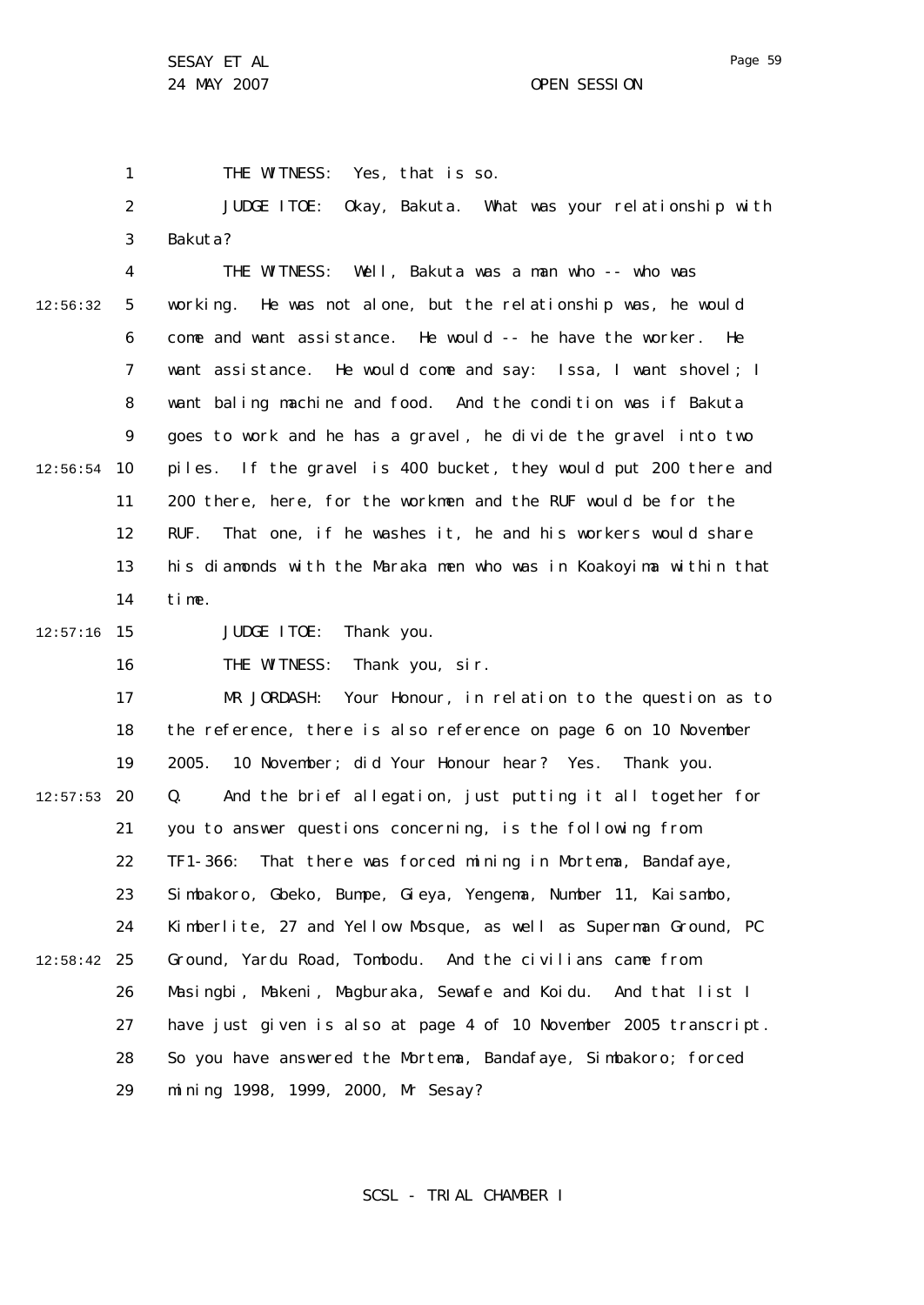1 THE WITNESS: Yes, that is so.

2 3 JUDGE ITOE: Okay, Bakuta. What was your relationship with Bakuta?

4 5 6 7 8  $\mathsf{Q}$ 10 12:56:54 11 12 13 14 12:56:32 THE WITNESS: Well, Bakuta was a man who -- who was working. He was not alone, but the relationship was, he would come and want assistance. He would -- he have the worker. He want assistance. He would come and say: Issa, I want shovel; I want baling machine and food. And the condition was if Bakuta goes to work and he has a gravel, he divide the gravel into two piles. If the gravel is 400 bucket, they would put 200 there and 200 there, here, for the workmen and the RUF would be for the RUF. That one, if he washes it, he and his workers would share his diamonds with the Maraka men who was in Koakoyima within that time.

15 12:57:16

JUDGE ITOE: Thank you.

16 THE WITNESS: Thank you, sir.

17 18 19 20 12:57:53 21 22 23 24 25 12:58:42 26 27 28 29 MR JORDASH: Your Honour, in relation to the question as to the reference, there is also reference on page 6 on 10 November 2005. 10 November; did Your Honour hear? Yes. Thank you. Q. And the brief allegation, just putting it all together for you to answer questions concerning, is the following from TF1-366: That there was forced mining in Mortema, Bandafaye, Simbakoro, Gbeko, Bumpe, Gieya, Yengema, Number 11, Kaisambo, Kimberlite, 27 and Yellow Mosque, as well as Superman Ground, PC Ground, Yardu Road, Tombodu. And the civilians came from Masingbi, Makeni, Magburaka, Sewafe and Koidu. And that list I have just given is also at page 4 of 10 November 2005 transcript. So you have answered the Mortema, Bandafaye, Simbakoro; forced mining 1998, 1999, 2000, Mr Sesay?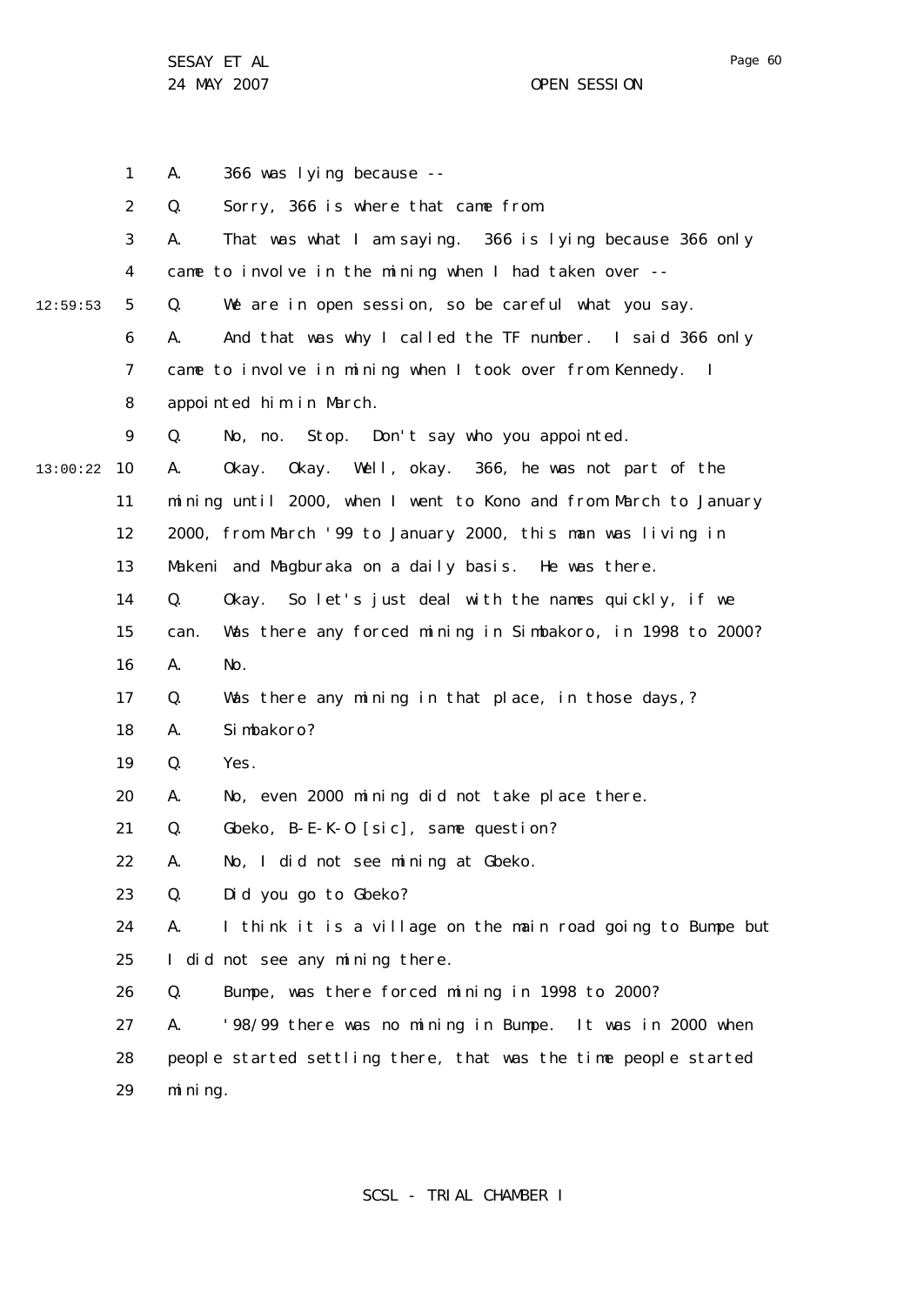24 MAY 2007 CHE SESSION

1 2 3 4 5 6 7 8  $\mathsf{Q}$ 10 13:00:22 11 12 13 14 15 16 17 18 19 20 21 22 23 24 25 26 27 28 29 12:59:53 A. 366 was lying because -- Q. Sorry, 366 is where that came from. A. That was what I am saying. 366 is lying because 366 only came to involve in the mining when I had taken over --Q. We are in open session, so be careful what you say. A. And that was why I called the TF number. I said 366 only came to involve in mining when I took over from Kennedy. I appointed him in March. Q. No, no. Stop. Don't say who you appointed. A. Okay. Okay. Well, okay. 366, he was not part of the mining until 2000, when I went to Kono and from March to January 2000, from March '99 to January 2000, this man was living in Makeni and Magburaka on a daily basis. He was there. Q. Okay. So let's just deal with the names quickly, if we can. Was there any forced mining in Simbakoro, in 1998 to 2000? A. No. Q. Was there any mining in that place, in those days,? A. Simbakoro? Q. Yes. A. No, even 2000 mining did not take place there. Q. Gbeko, B-E-K-O [sic], same question? A. No, I did not see mining at Gbeko. Q. Did you go to Gbeko? A. I think it is a village on the main road going to Bumpe but I did not see any mining there. Q. Bumpe, was there forced mining in 1998 to 2000? A. '98/99 there was no mining in Bumpe. It was in 2000 when people started settling there, that was the time people started mining.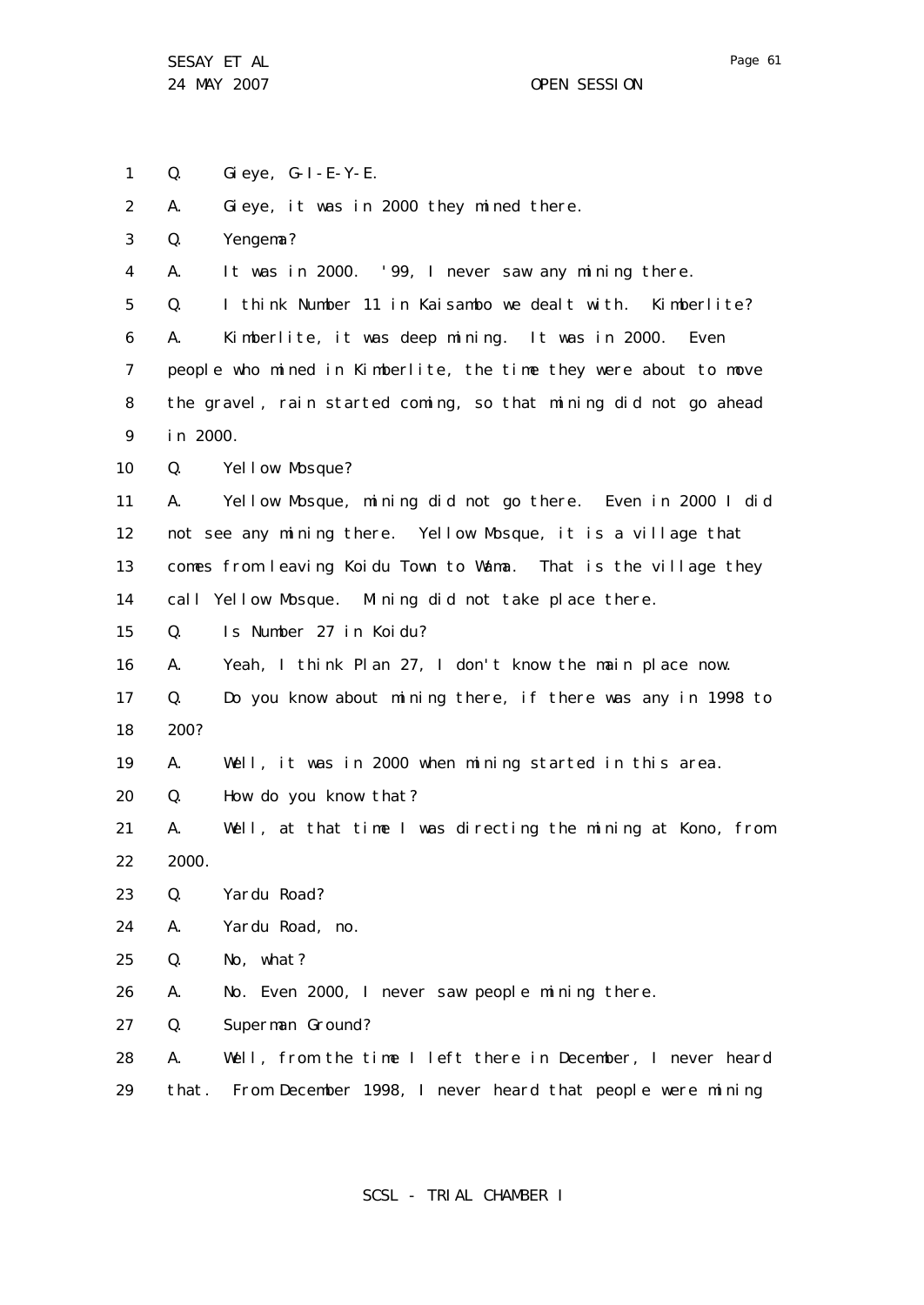1 2 3 4 5 6 7 8 9 10 11 12 13 14 15 16 17 18 19 20 21 22 23 24 25 26 27 28 29 Q. Gieye, G-I-E-Y-E. A. Gieye, it was in 2000 they mined there. Q. Yengema? A. It was in 2000. '99, I never saw any mining there. Q. I think Number 11 in Kaisambo we dealt with. Kimberlite? A. Kimberlite, it was deep mining. It was in 2000. Even people who mined in Kimberlite, the time they were about to move the gravel, rain started coming, so that mining did not go ahead in 2000. Q. Yellow Mosque? A. Yellow Mosque, mining did not go there. Even in 2000 I did not see any mining there. Yellow Mosque, it is a village that comes from leaving Koidu Town to Wama. That is the village they call Yellow Mosque. Mining did not take place there. Q. Is Number 27 in Koidu? A. Yeah, I think Plan 27, I don't know the main place now. Q. Do you know about mining there, if there was any in 1998 to 200? A. Well, it was in 2000 when mining started in this area. Q. How do you know that? A. Well, at that time I was directing the mining at Kono, from 2000. Q. Yardu Road? A. Yardu Road, no. Q. No, what? A. No. Even 2000, I never saw people mining there. Q. Superman Ground? A. Well, from the time I left there in December, I never heard that. From December 1998, I never heard that people were mining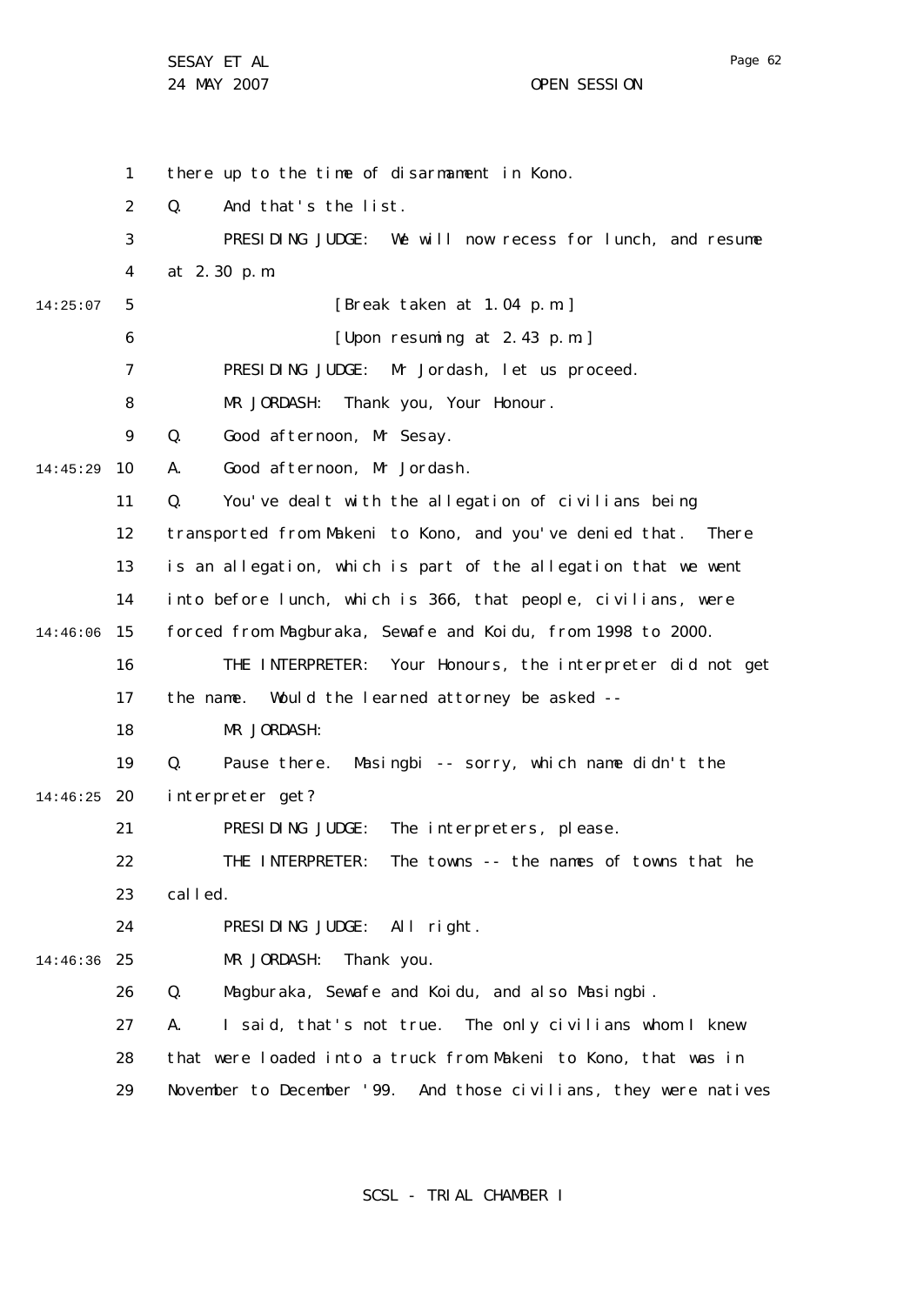1 2 3 4 5 6 7 8  $\mathsf{Q}$ 10 14:45:29 11 12 13 14 15 14:46:06 16 17 18 19 20 14:46:25 21 22 23  $24$ 25 14:46:36 26 27 28 29 14:25:07 there up to the time of disarmament in Kono. Q. And that's the list. PRESIDING JUDGE: We will now recess for lunch, and resume at 2.30 p.m. [Break taken at 1.04 p.m.] [Upon resuming at 2.43 p.m.] PRESIDING JUDGE: Mr Jordash, let us proceed. MR JORDASH: Thank you, Your Honour. Q. Good afternoon, Mr Sesay. A. Good afternoon, Mr Jordash. Q. You've dealt with the allegation of civilians being transported from Makeni to Kono, and you've denied that. There is an allegation, which is part of the allegation that we went into before lunch, which is 366, that people, civilians, were forced from Magburaka, Sewafe and Koidu, from 1998 to 2000. THE INTERPRETER: Your Honours, the interpreter did not get the name. Would the learned attorney be asked -- MR JORDASH: Q. Pause there. Masingbi -- sorry, which name didn't the interpreter get? PRESIDING JUDGE: The interpreters, please. THE INTERPRETER: The towns -- the names of towns that he called. PRESIDING JUDGE: All right. MR JORDASH: Thank you. Q. Magburaka, Sewafe and Koidu, and also Masingbi. A. I said, that's not true. The only civilians whom I knew that were loaded into a truck from Makeni to Kono, that was in November to December '99. And those civilians, they were natives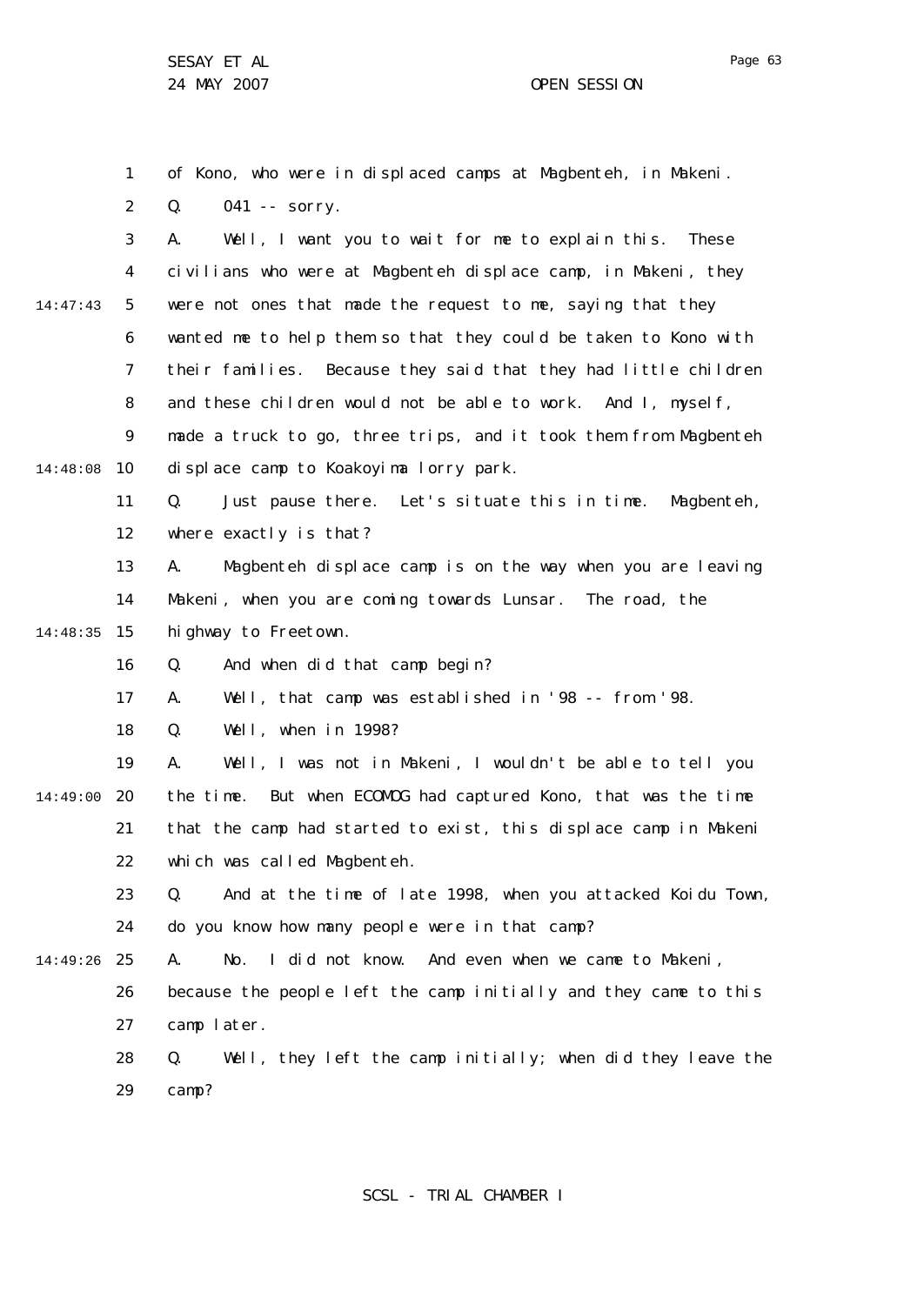1 2 3 4 5 6 7 8  $\mathsf{Q}$ 10 14:48:08 11 12 13 14 15 14:48:35 16 17 18 19 20 14:49:00 21 22 23 24 25 14:49:26 26 27 28 29 14:47:43 of Kono, who were in displaced camps at Magbenteh, in Makeni. Q. 041 -- sorry. A. Well, I want you to wait for me to explain this. These civilians who were at Magbenteh displace camp, in Makeni, they were not ones that made the request to me, saying that they wanted me to help them so that they could be taken to Kono with their families. Because they said that they had little children and these children would not be able to work. And I, myself, made a truck to go, three trips, and it took them from Magbenteh displace camp to Koakoyima lorry park. Q. Just pause there. Let's situate this in time. Magbenteh, where exactly is that? A. Magbenteh displace camp is on the way when you are leaving Makeni, when you are coming towards Lunsar. The road, the highway to Freetown. Q. And when did that camp begin? A. Well, that camp was established in '98 -- from '98. Q. Well, when in 1998? A. Well, I was not in Makeni, I wouldn't be able to tell you the time. But when ECOMOG had captured Kono, that was the time that the camp had started to exist, this displace camp in Makeni which was called Magbenteh. Q. And at the time of late 1998, when you attacked Koidu Town, do you know how many people were in that camp? A. No. I did not know. And even when we came to Makeni, because the people left the camp initially and they came to this camp later. Q. Well, they left the camp initially; when did they leave the camp?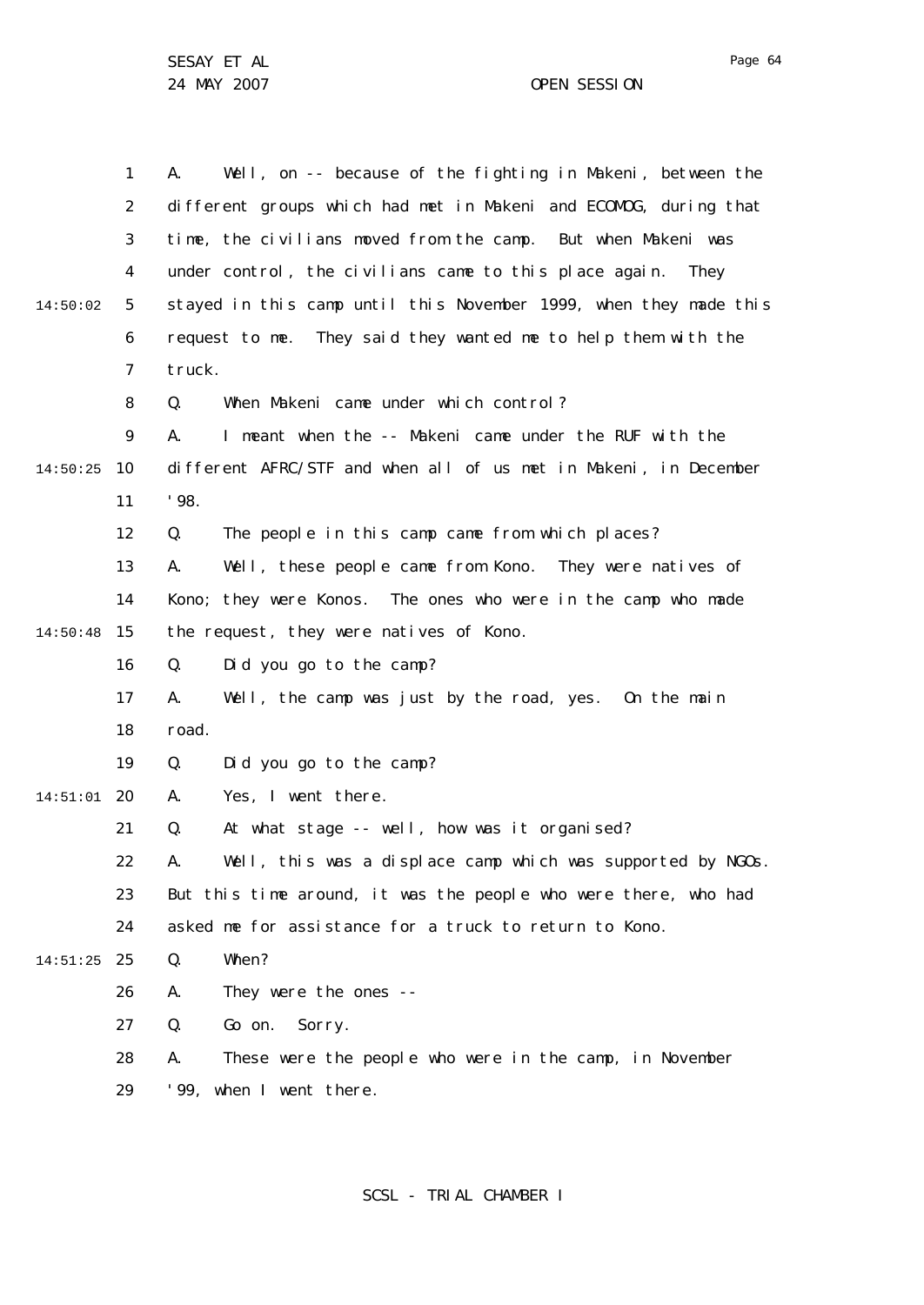1 2 3 4 5 6 7 8  $\mathsf{Q}$ 10 14:50:25 11 12 13 14 15 14:50:48 16 17 18 19 20 14:51:01 21 22 23  $24$ 25 14:51:25 26 27 28 29 14:50:02 A. Well, on -- because of the fighting in Makeni, between the different groups which had met in Makeni and ECOMOG, during that time, the civilians moved from the camp. But when Makeni was under control, the civilians came to this place again. They stayed in this camp until this November 1999, when they made this request to me. They said they wanted me to help them with the truck. Q. When Makeni came under which control? A. I meant when the -- Makeni came under the RUF with the different AFRC/STF and when all of us met in Makeni, in December '98. Q. The people in this camp came from which places? A. Well, these people came from Kono. They were natives of Kono; they were Konos. The ones who were in the camp who made the request, they were natives of Kono. Q. Did you go to the camp? A. Well, the camp was just by the road, yes. On the main road. Q. Did you go to the camp? A. Yes, I went there. Q. At what stage -- well, how was it organised? A. Well, this was a displace camp which was supported by NGOs. But this time around, it was the people who were there, who had asked me for assistance for a truck to return to Kono. Q. When? A. They were the ones -- Q. Go on. Sorry. A. These were the people who were in the camp, in November '99, when I went there.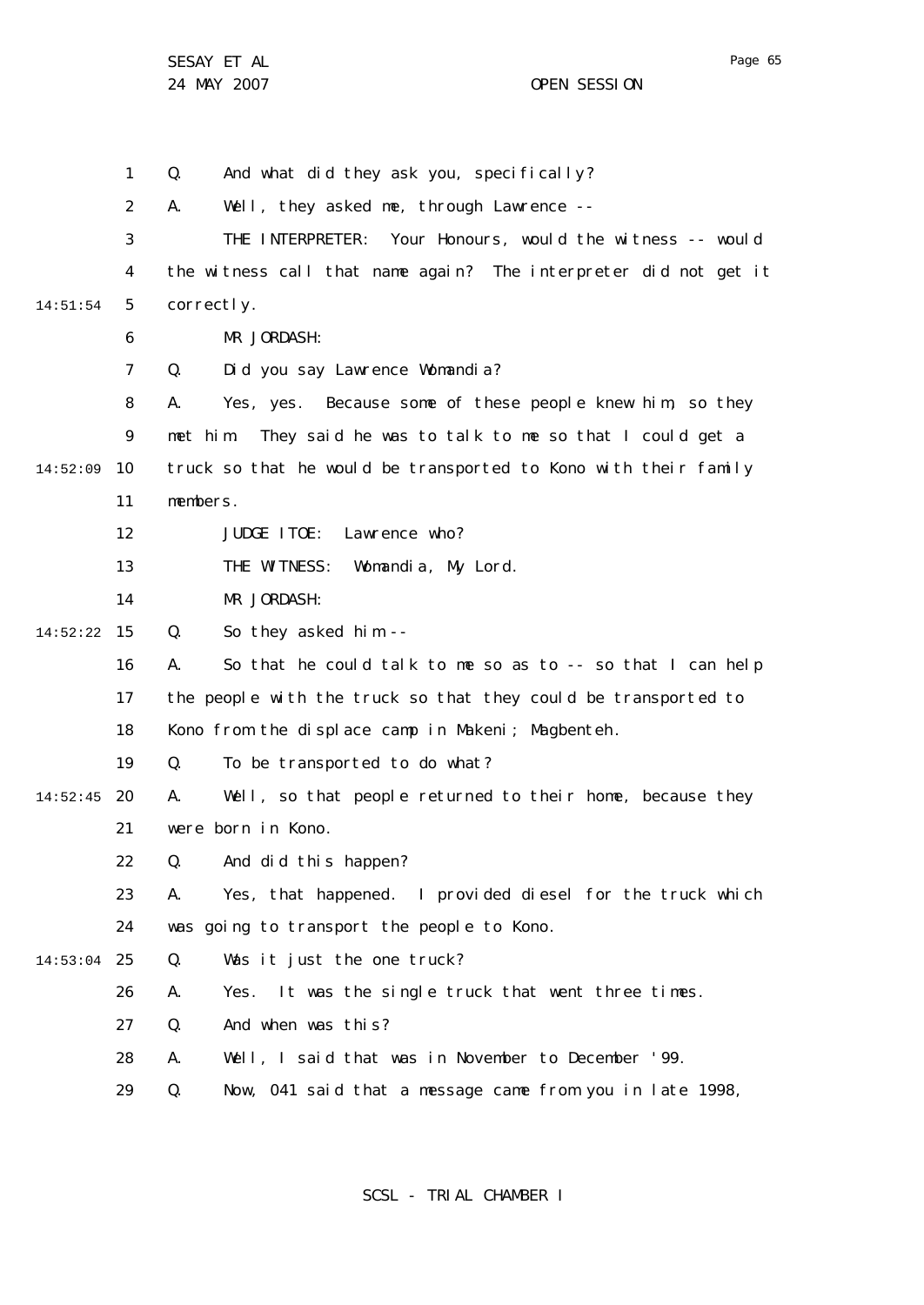24 MAY 2007 CHE SESSION

Page 65

1 2 3 4 5 6 7 8  $\mathsf{Q}$ 10 14:52:09 11 12 13 14 15 14:52:22 16 17 18 19 20 14:52:45 21 22 23 24 25 14:53:04 26 27 28 29 14:51:54 Q. And what did they ask you, specifically? A. Well, they asked me, through Lawrence -- THE INTERPRETER: Your Honours, would the witness -- would the witness call that name again? The interpreter did not get it correctly. MR JORDASH: Q. Did you say Lawrence Womandia? A. Yes, yes. Because some of these people knew him, so they met him. They said he was to talk to me so that I could get a truck so that he would be transported to Kono with their family members. JUDGE ITOE: Lawrence who? THE WITNESS: Womandia, My Lord. MR JORDASH: Q. So they asked him -- A. So that he could talk to me so as to -- so that I can help the people with the truck so that they could be transported to Kono from the displace camp in Makeni; Magbenteh. Q. To be transported to do what? A. Well, so that people returned to their home, because they were born in Kono. Q. And did this happen? A. Yes, that happened. I provided diesel for the truck which was going to transport the people to Kono. Q. Was it just the one truck? A. Yes. It was the single truck that went three times. Q. And when was this? A. Well, I said that was in November to December '99. Q. Now, 041 said that a message came from you in late 1998,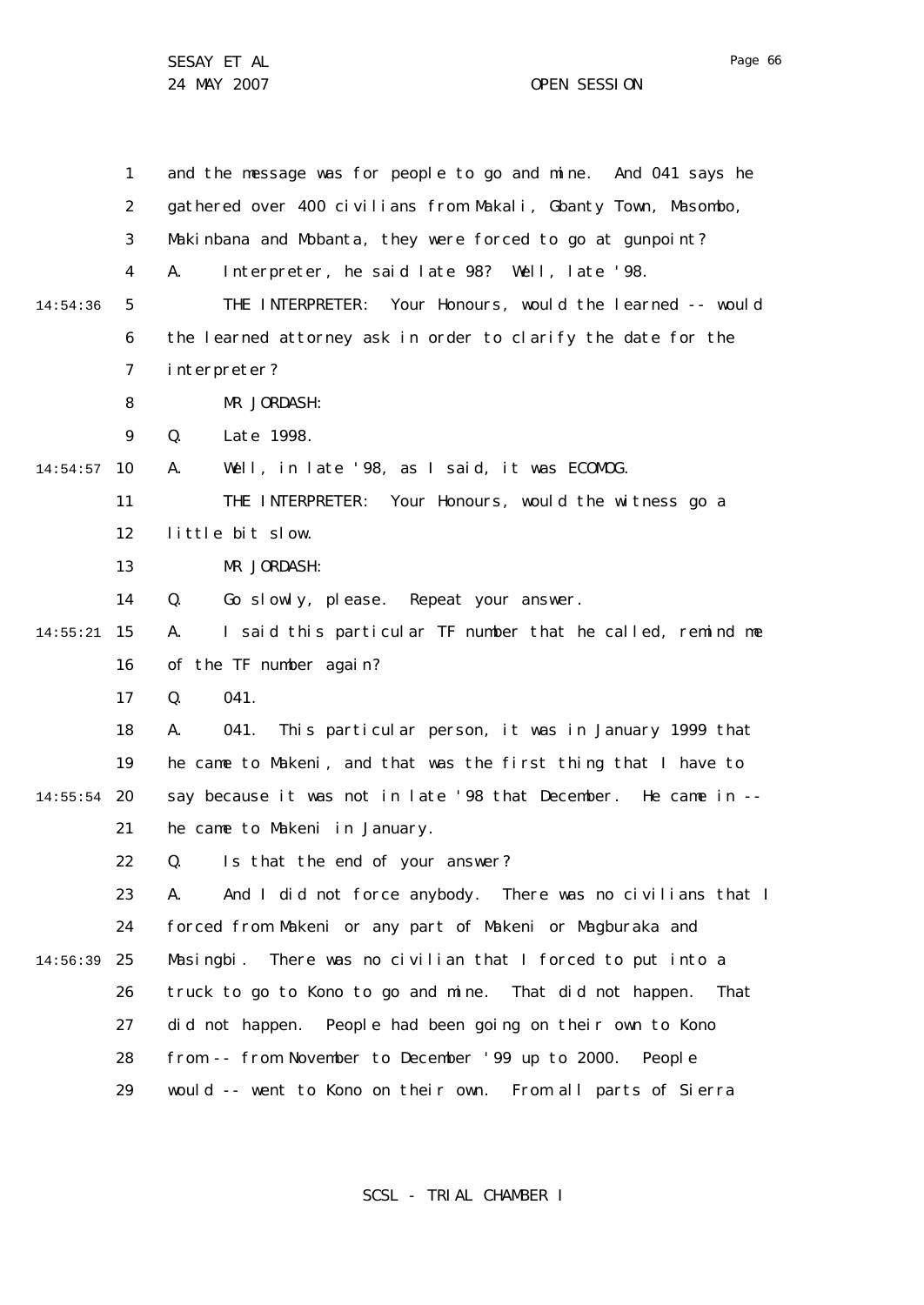|          | $\mathbf{1}$ | and the message was for people to go and mine. And 041 says he    |
|----------|--------------|-------------------------------------------------------------------|
|          | 2            | gathered over 400 civilians from Makali, Gbanty Town, Masombo,    |
|          | 3            | Makinbana and Mobanta, they were forced to go at gunpoint?        |
|          | 4            | Interpreter, he said late 98? Well, late '98.<br>А.               |
| 14:54:36 | 5            | THE INTERPRETER: Your Honours, would the learned -- would         |
|          | 6            | the learned attorney ask in order to clarify the date for the     |
|          | 7            | interpreter?                                                      |
|          | 8            | MR JORDASH:                                                       |
|          | 9            | Q.<br>Late 1998.                                                  |
| 14:54:57 | 10           | Well, in late '98, as I said, it was ECOMOG.<br>А.                |
|          | 11           | THE INTERPRETER: Your Honours, would the witness go a             |
|          | 12           | little bit slow.                                                  |
|          | 13           | MR JORDASH:                                                       |
|          | 14           | Q.<br>Go slowly, please. Repeat your answer.                      |
| 14:55:21 | 15           | I said this particular TF number that he called, remind me<br>А.  |
|          | 16           | of the TF number again?                                           |
|          | 17           | 041.<br>Q.                                                        |
|          | 18           | This particular person, it was in January 1999 that<br>А.<br>041. |
|          | 19           | he came to Makeni, and that was the first thing that I have to    |
| 14:55:54 | 20           | say because it was not in late '98 that December. He came in --   |
|          | 21           | he came to Makeni in January.                                     |
|          | 22           | Is that the end of your answer?<br>Q.                             |
|          | 23           | And I did not force anybody. There was no civilians that I<br>А.  |
|          | 24           | forced from Makeni or any part of Makeni or Magburaka and         |
| 14:56:39 | 25           | There was no civilian that I forced to put into a<br>Masingbi.    |
|          | 26           | truck to go to Kono to go and mine. That did not happen.<br>That  |
|          | 27           | did not happen. People had been going on their own to Kono        |
|          | 28           | from -- from November to December '99 up to 2000. People          |
|          | 29           | would -- went to Kono on their own. From all parts of Sierra      |

SCSL - TRIAL CHAMBER I

Page 66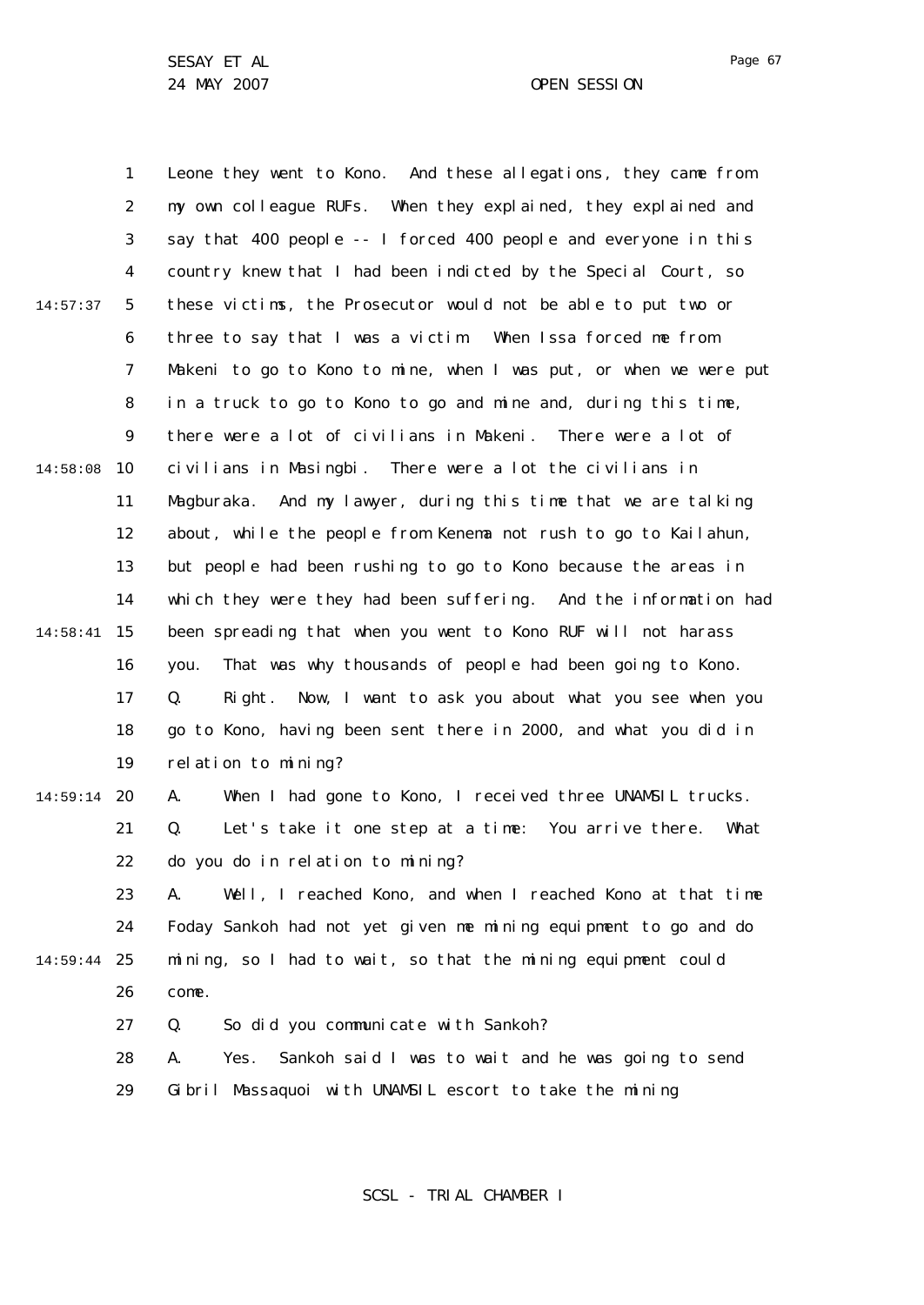1 2 3 4 5 6 7 8  $\mathsf{Q}$ 10 14:58:08 11 12 13 14 15 14:58:41 16 17 18 19 20 14:59:14 21 22 23 24 25 14:59:44 26 27 28 29 14:57:37 Leone they went to Kono. And these allegations, they came from my own colleague RUFs. When they explained, they explained and say that 400 people -- I forced 400 people and everyone in this country knew that I had been indicted by the Special Court, so these victims, the Prosecutor would not be able to put two or three to say that I was a victim. When Issa forced me from Makeni to go to Kono to mine, when I was put, or when we were put in a truck to go to Kono to go and mine and, during this time, there were a lot of civilians in Makeni. There were a lot of civilians in Masingbi. There were a lot the civilians in Magburaka. And my lawyer, during this time that we are talking about, while the people from Kenema not rush to go to Kailahun, but people had been rushing to go to Kono because the areas in which they were they had been suffering. And the information had been spreading that when you went to Kono RUF will not harass you. That was why thousands of people had been going to Kono. Q. Right. Now, I want to ask you about what you see when you go to Kono, having been sent there in 2000, and what you did in relation to mining? A. When I had gone to Kono, I received three UNAMSIL trucks. Q. Let's take it one step at a time: You arrive there. What do you do in relation to mining? A. Well, I reached Kono, and when I reached Kono at that time Foday Sankoh had not yet given me mining equipment to go and do mining, so I had to wait, so that the mining equipment could come. Q. So did you communicate with Sankoh? A. Yes. Sankoh said I was to wait and he was going to send Gibril Massaquoi with UNAMSIL escort to take the mining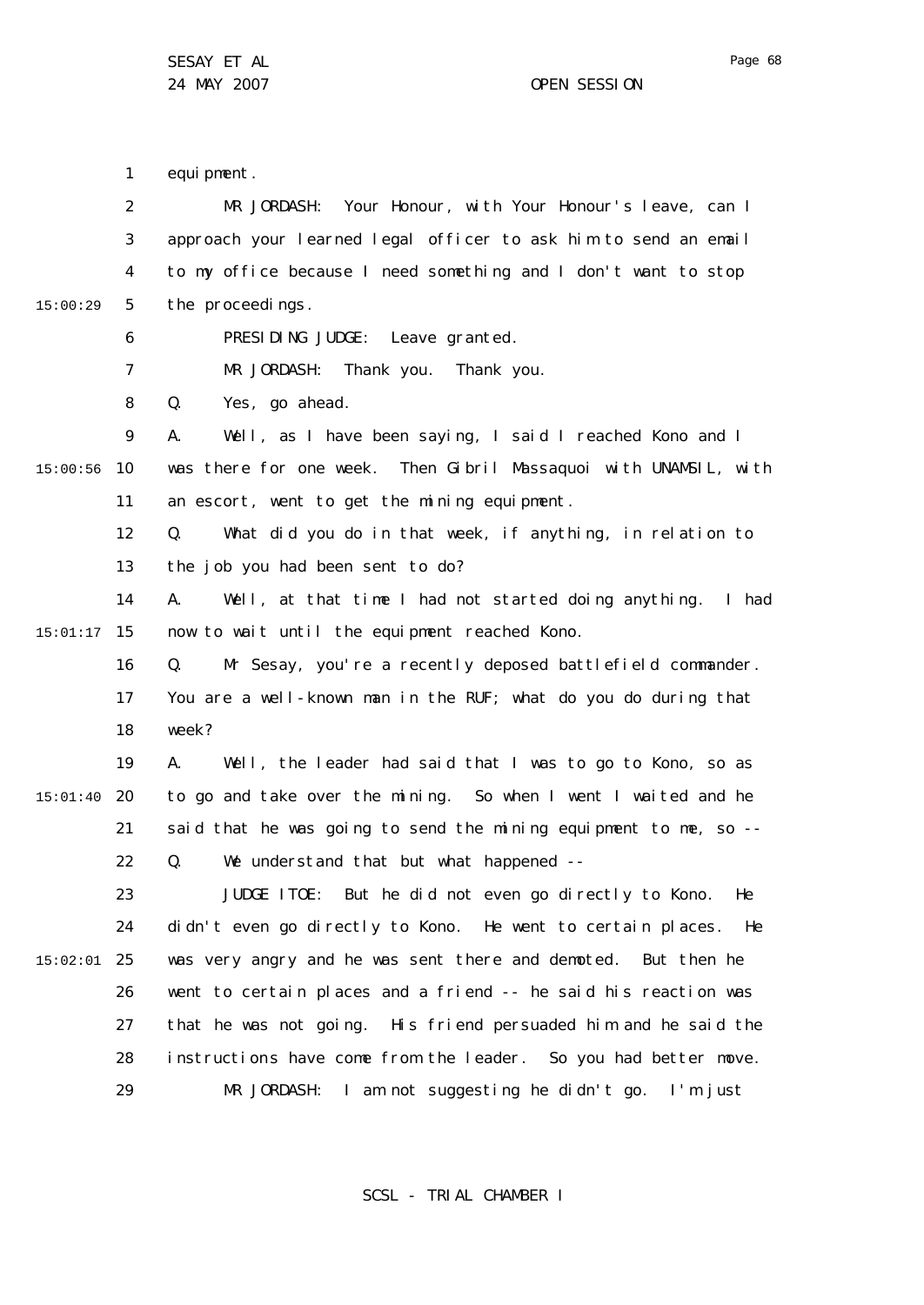1 2 3 4 5 6 7 8  $\mathsf{Q}$ 10 15:00:56 11 12 13 14 15 15:01:17 16 17 18 19 20 15:01:40 21 22 23 24 25 15:02:01 26 27 28 29 15:00:29 equi pment. MR JORDASH: Your Honour, with Your Honour's leave, can I approach your learned legal officer to ask him to send an email to my office because I need something and I don't want to stop the proceedings. PRESIDING JUDGE: Leave granted. MR JORDASH: Thank you. Thank you. Q. Yes, go ahead. A. Well, as I have been saying, I said I reached Kono and I was there for one week. Then Gibril Massaquoi with UNAMSIL, with an escort, went to get the mining equipment. Q. What did you do in that week, if anything, in relation to the job you had been sent to do? A. Well, at that time I had not started doing anything. I had now to wait until the equipment reached Kono. Q. Mr Sesay, you're a recently deposed battlefield commander. You are a well-known man in the RUF; what do you do during that week? A. Well, the leader had said that I was to go to Kono, so as to go and take over the mining. So when I went I waited and he said that he was going to send the mining equipment to me, so -- Q. We understand that but what happened -- JUDGE ITOE: But he did not even go directly to Kono. He didn't even go directly to Kono. He went to certain places. He was very angry and he was sent there and demoted. But then he went to certain places and a friend -- he said his reaction was that he was not going. His friend persuaded him and he said the instructions have come from the leader. So you had better move. MR JORDASH: I am not suggesting he didn't go. I'm just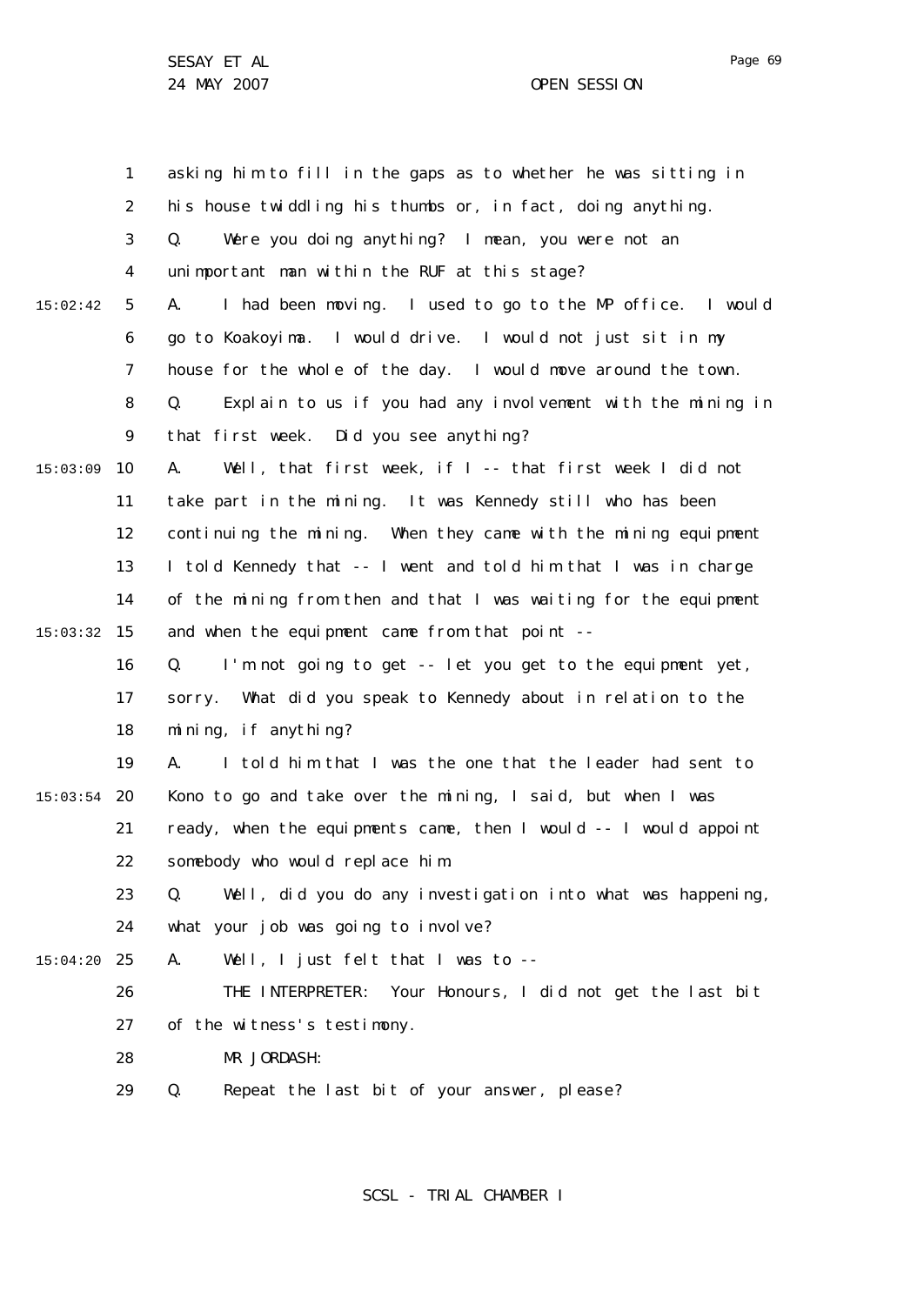1 2 3 4 5 6 7 8  $\mathsf{Q}$ 10 15:03:09 11 12 13 14 15 15:03:32 16 17 18 19 20 15:03:54 21 22 23 24 25 15:04:20 26 27 28 29 15:02:42 asking him to fill in the gaps as to whether he was sitting in his house twiddling his thumbs or, in fact, doing anything. Q. Were you doing anything? I mean, you were not an unimportant man within the RUF at this stage? A. I had been moving. I used to go to the MP office. I would go to Koakoyima. I would drive. I would not just sit in my house for the whole of the day. I would move around the town. Q. Explain to us if you had any involvement with the mining in that first week. Did you see anything? A. Well, that first week, if I -- that first week I did not take part in the mining. It was Kennedy still who has been continuing the mining. When they came with the mining equipment I told Kennedy that -- I went and told him that I was in charge of the mining from then and that I was waiting for the equipment and when the equipment came from that point -- Q. I'm not going to get -- let you get to the equipment yet, sorry. What did you speak to Kennedy about in relation to the mining, if anything? A. I told him that I was the one that the leader had sent to Kono to go and take over the mining, I said, but when I was ready, when the equipments came, then I would -- I would appoint somebody who would replace him. Q. Well, did you do any investigation into what was happening, what your job was going to involve? A. Well, I just felt that I was to -- THE INTERPRETER: Your Honours, I did not get the last bit of the witness's testimony. MR JORDASH: Q. Repeat the last bit of your answer, please?

SCSL - TRIAL CHAMBER I

Page 69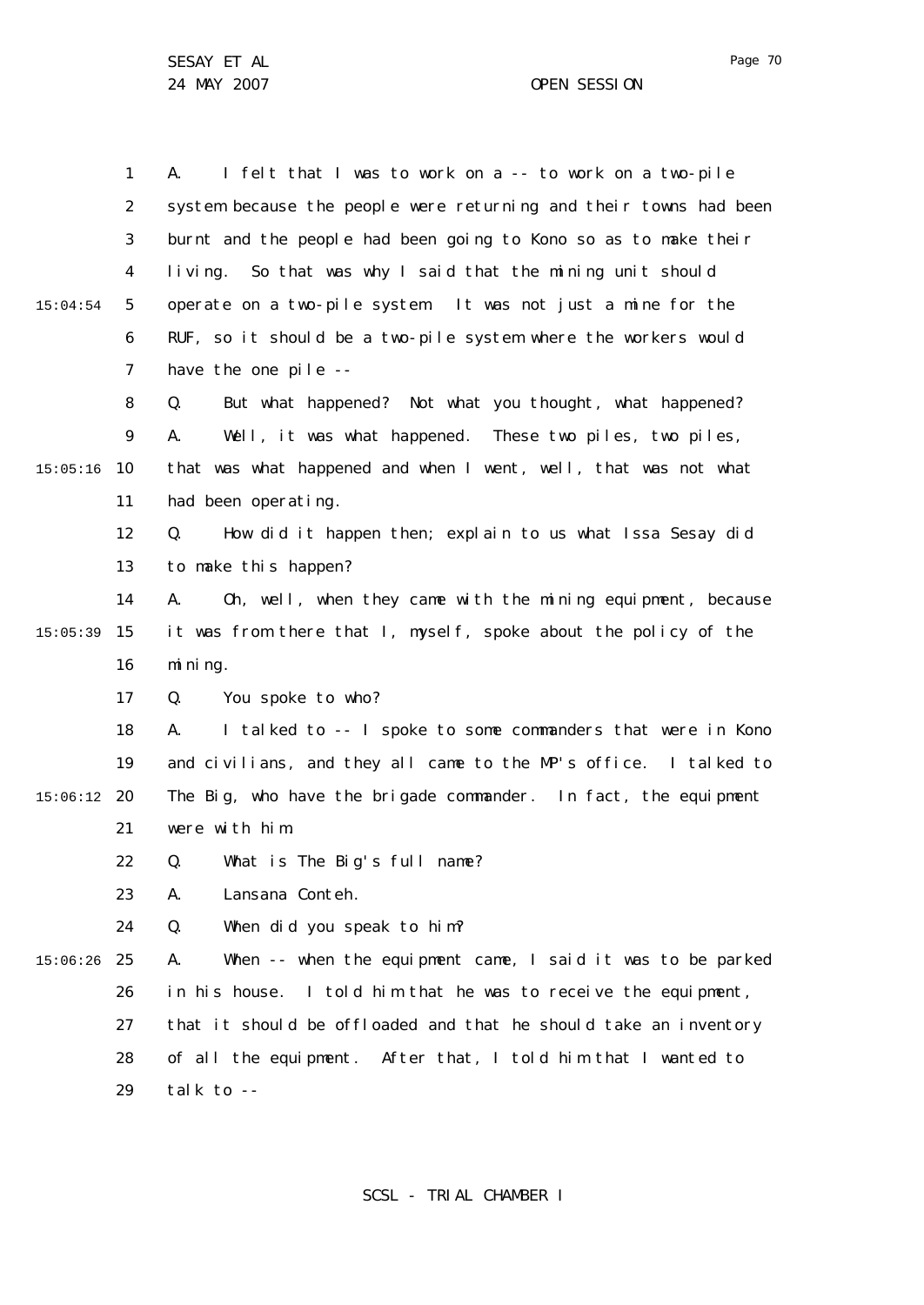Page 70

1 2 3 4 5 6 7 8  $\mathsf{Q}$ 10 15:05:16 11 12 13 14 15 15:05:39 16 17 18 19 20 15:06:12 21 22 23  $24$ 25 15:06:26 26 27 28 29 15:04:54 A. I felt that I was to work on a -- to work on a two-pile system because the people were returning and their towns had been burnt and the people had been going to Kono so as to make their living. So that was why I said that the mining unit should operate on a two-pile system. It was not just a mine for the RUF, so it should be a two-pile system where the workers would have the one pile -- Q. But what happened? Not what you thought, what happened? A. Well, it was what happened. These two piles, two piles, that was what happened and when I went, well, that was not what had been operating. Q. How did it happen then; explain to us what Issa Sesay did to make this happen? A. Oh, well, when they came with the mining equipment, because it was from there that I, myself, spoke about the policy of the mining. Q. You spoke to who? A. I talked to -- I spoke to some commanders that were in Kono and civilians, and they all came to the MP's office. I talked to The Big, who have the brigade commander. In fact, the equipment were with him. Q. What is The Big's full name? A. Lansana Conteh. Q. When did you speak to him? A. When -- when the equipment came, I said it was to be parked in his house. I told him that he was to receive the equipment, that it should be offloaded and that he should take an inventory of all the equipment. After that, I told him that I wanted to talk to --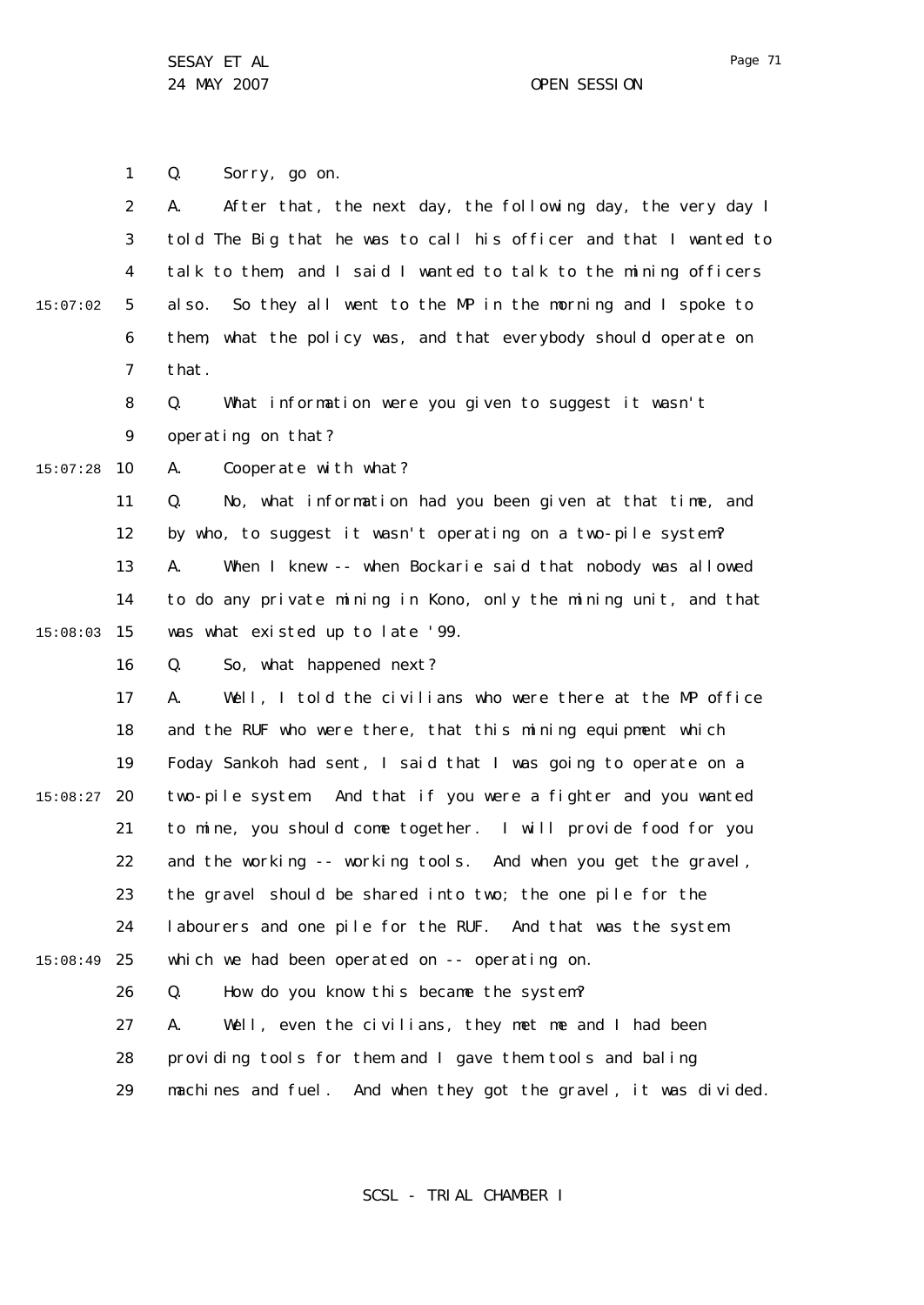1 2 3 4 5 6 7 8  $\mathsf{Q}$ 10 15:07:28 11 12 13 14 15 15:08:03 16 17 18 19 20 15:08:27 21 22 23 24 25 15:08:49 26 27 28 29 15:07:02 Q. Sorry, go on. A. After that, the next day, the following day, the very day I told The Big that he was to call his officer and that I wanted to talk to them, and I said I wanted to talk to the mining officers also. So they all went to the MP in the morning and I spoke to them, what the policy was, and that everybody should operate on that. Q. What information were you given to suggest it wasn't operating on that? A. Cooperate with what? Q. No, what information had you been given at that time, and by who, to suggest it wasn't operating on a two-pile system? A. When I knew -- when Bockarie said that nobody was allowed to do any private mining in Kono, only the mining unit, and that was what existed up to late '99. Q. So, what happened next? A. Well, I told the civilians who were there at the MP office and the RUF who were there, that this mining equipment which Foday Sankoh had sent, I said that I was going to operate on a two-pile system. And that if you were a fighter and you wanted to mine, you should come together. I will provide food for you and the working -- working tools. And when you get the gravel, the gravel should be shared into two; the one pile for the labourers and one pile for the RUF. And that was the system which we had been operated on -- operating on. Q. How do you know this became the system? A. Well, even the civilians, they met me and I had been providing tools for them and I gave them tools and baling machines and fuel. And when they got the gravel, it was divided.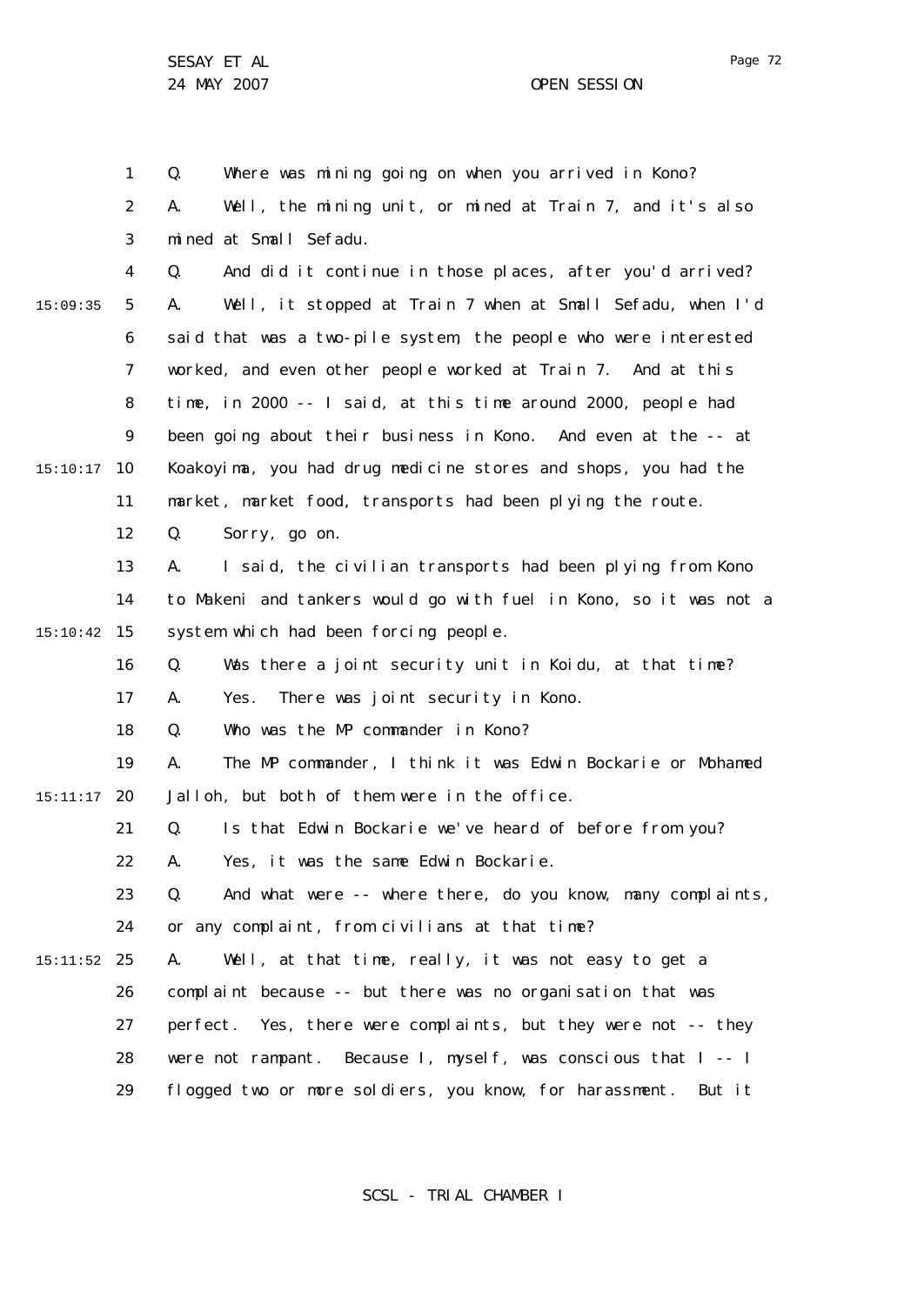24 MAY 2007 OPEN SESSION

1 2 3 4 5 6 7 8  $\mathsf{Q}$ 10 15:10:17 11 12 13 14 15 15:10:42 16 17 18 19 20 15:11:17 21 22 23 24 25 15:11:52 26 27 28 29 15:09:35 Q. Where was mining going on when you arrived in Kono? A. Well, the mining unit, or mined at Train 7, and it's also mined at Small Sefadu. Q. And did it continue in those places, after you'd arrived? A. Well, it stopped at Train 7 when at Small Sefadu, when I'd said that was a two-pile system, the people who were interested worked, and even other people worked at Train 7. And at this time, in 2000 -- I said, at this time around 2000, people had been going about their business in Kono. And even at the -- at Koakoyima, you had drug medicine stores and shops, you had the market, market food, transports had been plying the route. Q. Sorry, go on. A. I said, the civilian transports had been plying from Kono to Makeni and tankers would go with fuel in Kono, so it was not a system which had been forcing people. Q. Was there a joint security unit in Koidu, at that time? A. Yes. There was joint security in Kono. Q. Who was the MP commander in Kono? A. The MP commander, I think it was Edwin Bockarie or Mohamed Jalloh, but both of them were in the office. Q. Is that Edwin Bockarie we've heard of before from you? A. Yes, it was the same Edwin Bockarie. Q. And what were -- where there, do you know, many complaints, or any complaint, from civilians at that time? A. Well, at that time, really, it was not easy to get a complaint because -- but there was no organisation that was perfect. Yes, there were complaints, but they were not -- they were not rampant. Because I, myself, was conscious that I -- I flogged two or more soldiers, you know, for harassment. But it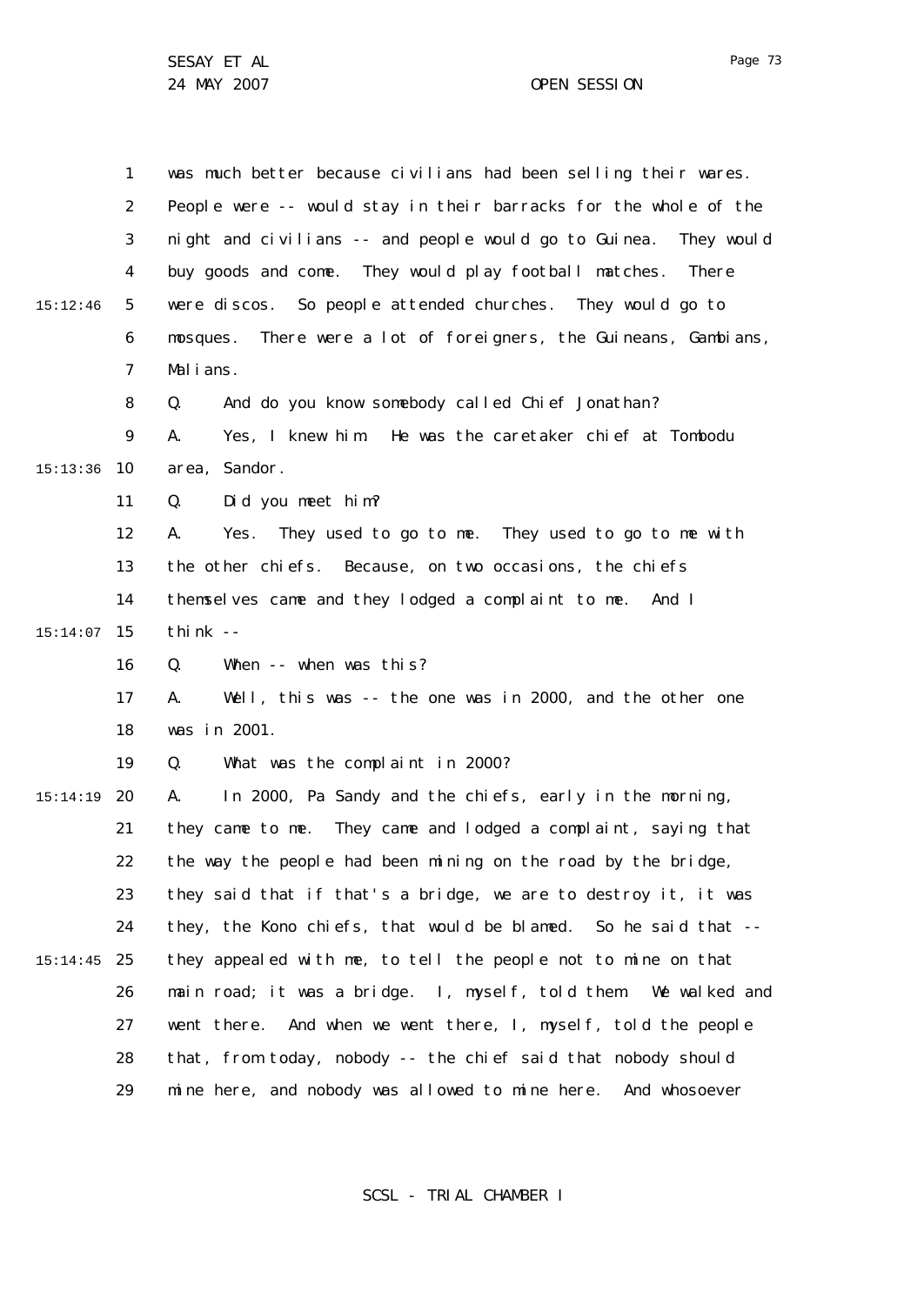1 2 3 4 5 6 7 8  $\mathsf{Q}$ 10 15:13:36 11 12 13 14 15 15:14:07 16 17 18 19 20 15:14:19 21 22 23 24 25 15:14:45 26 27 28 29 15:12:46 was much better because civilians had been selling their wares. People were -- would stay in their barracks for the whole of the night and civilians -- and people would go to Guinea. They would buy goods and come. They would play football matches. There were discos. So people attended churches. They would go to mosques. There were a lot of foreigners, the Guineans, Gambians, Malians. Q. And do you know somebody called Chief Jonathan? A. Yes, I knew him. He was the caretaker chief at Tombodu area, Sandor. Q. Did you meet him? A. Yes. They used to go to me. They used to go to me with the other chiefs. Because, on two occasions, the chiefs themselves came and they lodged a complaint to me. And I think  $-$ Q. When -- when was this? A. Well, this was -- the one was in 2000, and the other one was in 2001. Q. What was the complaint in 2000? A. In 2000, Pa Sandy and the chiefs, early in the morning, they came to me. They came and lodged a complaint, saying that the way the people had been mining on the road by the bridge, they said that if that's a bridge, we are to destroy it, it was they, the Kono chiefs, that would be blamed. So he said that - they appealed with me, to tell the people not to mine on that main road; it was a bridge. I, myself, told them. We walked and went there. And when we went there, I, myself, told the people that, from today, nobody -- the chief said that nobody should mine here, and nobody was allowed to mine here. And whosoever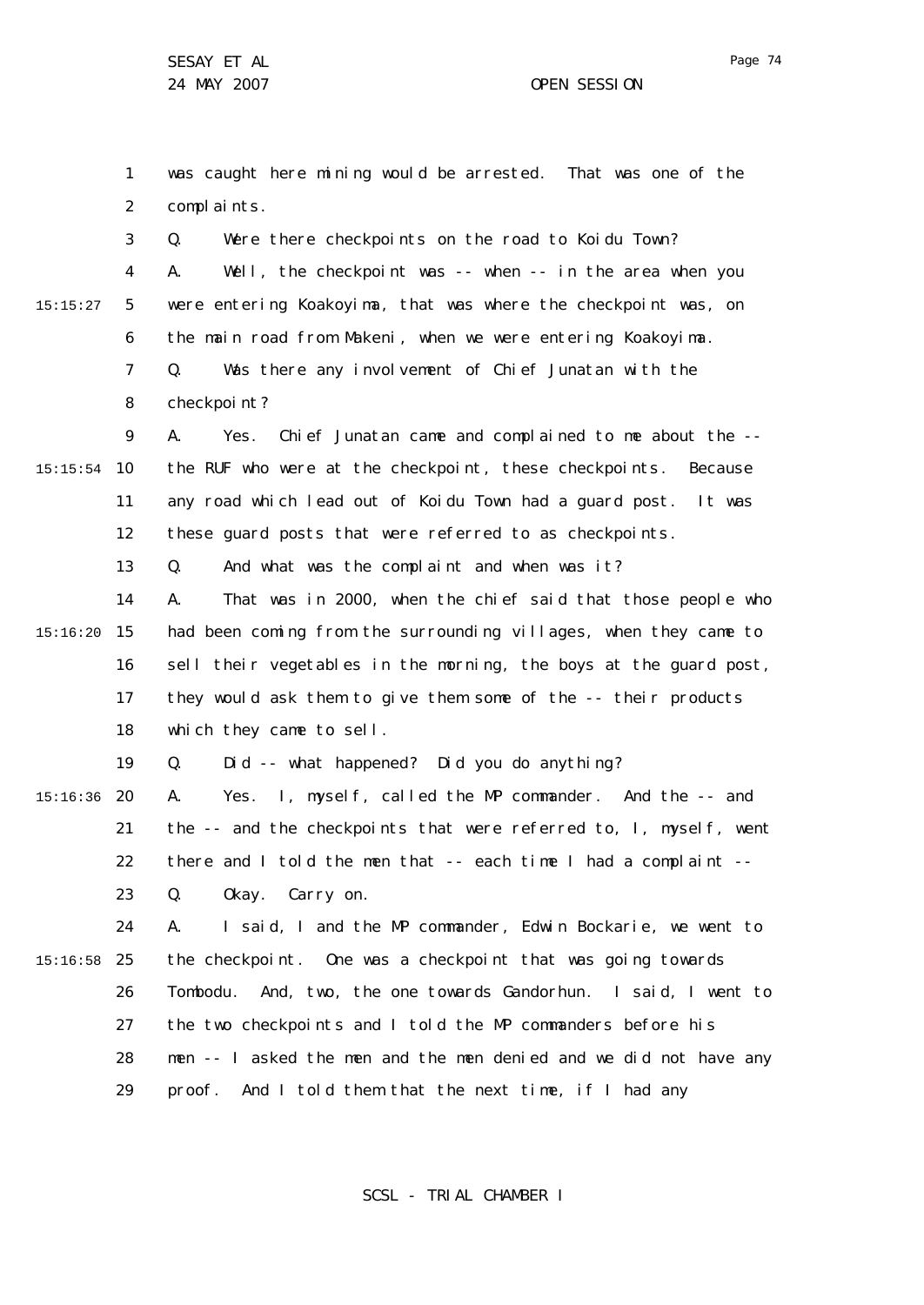3

1 2 was caught here mining would be arrested. That was one of the complaints.

Q. Were there checkpoints on the road to Koidu Town?

4 5 6 15:15:27 A. Well, the checkpoint was -- when -- in the area when you were entering Koakoyima, that was where the checkpoint was, on the main road from Makeni, when we were entering Koakoyima.

7 8 Q. Was there any involvement of Chief Junatan with the checkpoint?

 $\mathsf{Q}$ 10 15:15:54 11 12 A. Yes. Chief Junatan came and complained to me about the - the RUF who were at the checkpoint, these checkpoints. Because any road which lead out of Koidu Town had a guard post. It was these guard posts that were referred to as checkpoints.

> 13 Q. And what was the complaint and when was it?

14 15 15:16:20 16 17 18 A. That was in 2000, when the chief said that those people who had been coming from the surrounding villages, when they came to sell their vegetables in the morning, the boys at the guard post, they would ask them to give them some of the -- their products which they came to sell.

> 19 Q. Did -- what happened? Did you do anything?

20 15:16:36 21 22 23 A. Yes. I, myself, called the MP commander. And the -- and the -- and the checkpoints that were referred to, I, myself, went there and I told the men that -- each time I had a complaint -- Q. Okay. Carry on.

24 25 15:16:58 26 27 28 29 A. I said, I and the MP commander, Edwin Bockarie, we went to the checkpoint. One was a checkpoint that was going towards Tombodu. And, two, the one towards Gandorhun. I said, I went to the two checkpoints and I told the MP commanders before his men -- I asked the men and the men denied and we did not have any proof. And I told them that the next time, if I had any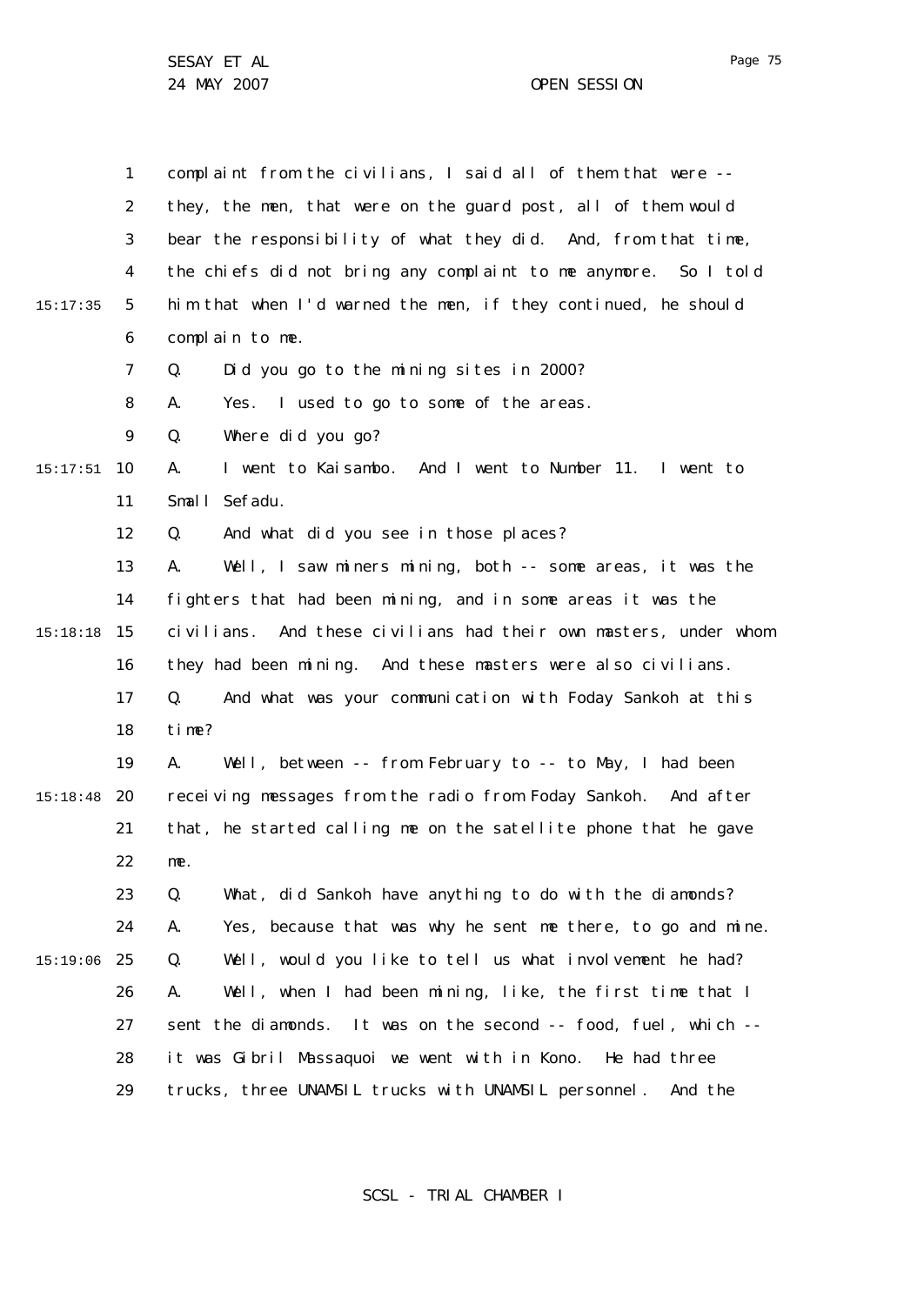1 2 3 4 5 6 7 8  $\mathsf{Q}$ 10 15:17:51 11 12 13 14 15 15:18:18 16 17 18 19 20 15:18:48 21 22 23 24 25 15:19:06 26 27 28 29 15:17:35 complaint from the civilians, I said all of them that were - they, the men, that were on the guard post, all of them would bear the responsibility of what they did. And, from that time, the chiefs did not bring any complaint to me anymore. So I told him that when I'd warned the men, if they continued, he should complain to me. Q. Did you go to the mining sites in 2000? A. Yes. I used to go to some of the areas. Q. Where did you go? A. I went to Kaisambo. And I went to Number 11. I went to Small Sefadu. Q. And what did you see in those places? A. Well, I saw miners mining, both -- some areas, it was the fighters that had been mining, and in some areas it was the civilians. And these civilians had their own masters, under whom they had been mining. And these masters were also civilians. Q. And what was your communication with Foday Sankoh at this time? A. Well, between -- from February to -- to May, I had been receiving messages from the radio from Foday Sankoh. And after that, he started calling me on the satellite phone that he gave me. Q. What, did Sankoh have anything to do with the diamonds? A. Yes, because that was why he sent me there, to go and mine. Q. Well, would you like to tell us what involvement he had? A. Well, when I had been mining, like, the first time that I sent the diamonds. It was on the second -- food, fuel, which -it was Gibril Massaquoi we went with in Kono. He had three trucks, three UNAMSIL trucks with UNAMSIL personnel. And the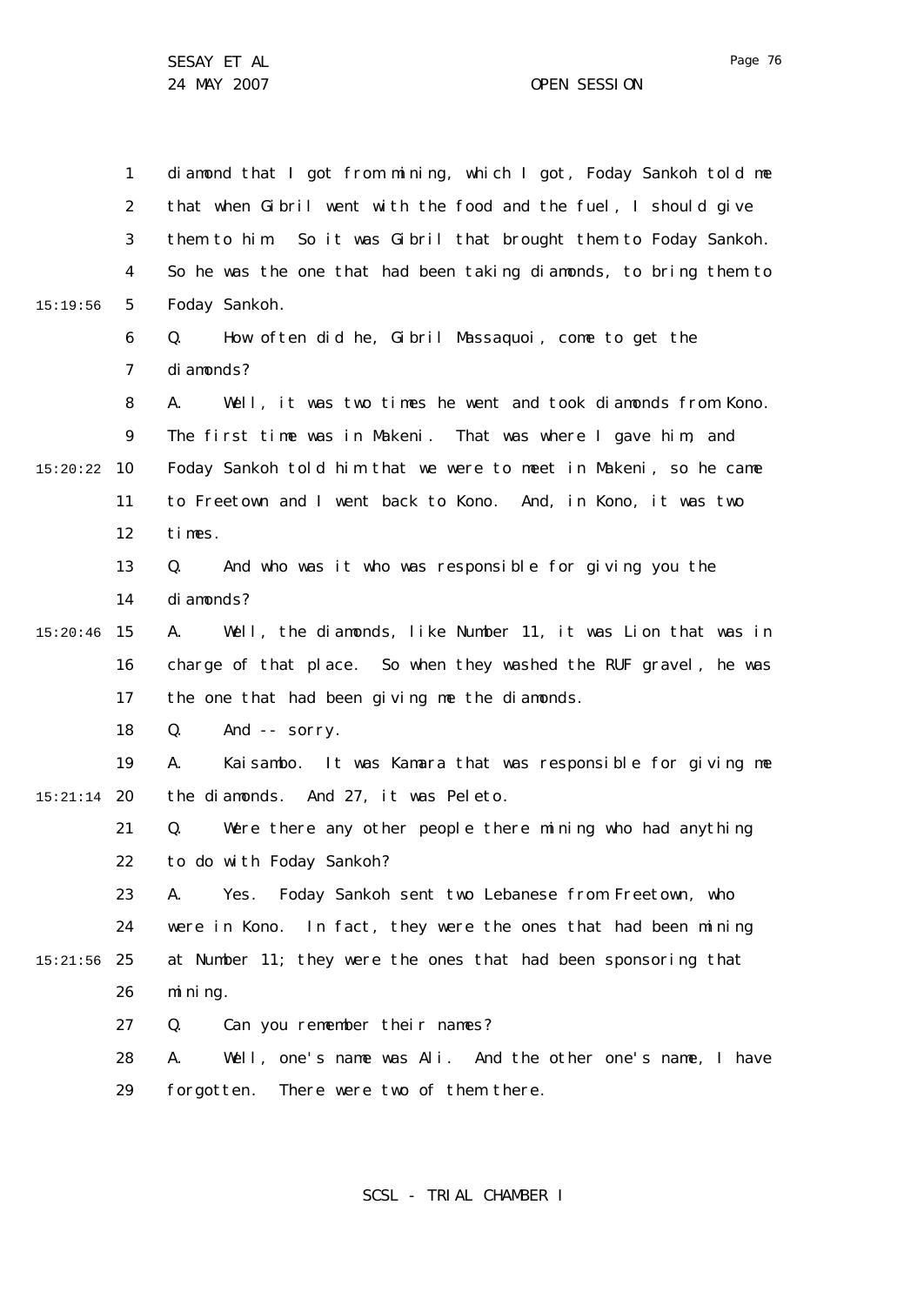1 2 3 4 5 6 7 8  $\mathsf{Q}$ 10 15:20:22 11 12 13 14 15 15:20:46 16 17 18 19 20 15:21:14 21 22 23 24 25 15:21:56 26 27 28 29 15:19:56 diamond that I got from mining, which I got, Foday Sankoh told me that when Gibril went with the food and the fuel, I should give them to him. So it was Gibril that brought them to Foday Sankoh. So he was the one that had been taking diamonds, to bring them to Foday Sankoh. Q. How often did he, Gibril Massaquoi, come to get the diamonds? A. Well, it was two times he went and took diamonds from Kono. The first time was in Makeni. That was where I gave him, and Foday Sankoh told him that we were to meet in Makeni, so he came to Freetown and I went back to Kono. And, in Kono, it was two times. Q. And who was it who was responsible for giving you the diamonds? A. Well, the diamonds, like Number 11, it was Lion that was in charge of that place. So when they washed the RUF gravel, he was the one that had been giving me the diamonds. Q. And -- sorry. A. Kaisambo. It was Kamara that was responsible for giving me the diamonds. And 27, it was Peleto. Q. Were there any other people there mining who had anything to do with Foday Sankoh? A. Yes. Foday Sankoh sent two Lebanese from Freetown, who were in Kono. In fact, they were the ones that had been mining at Number 11; they were the ones that had been sponsoring that mining. Q. Can you remember their names? A. Well, one's name was Ali. And the other one's name, I have forgotten. There were two of them there.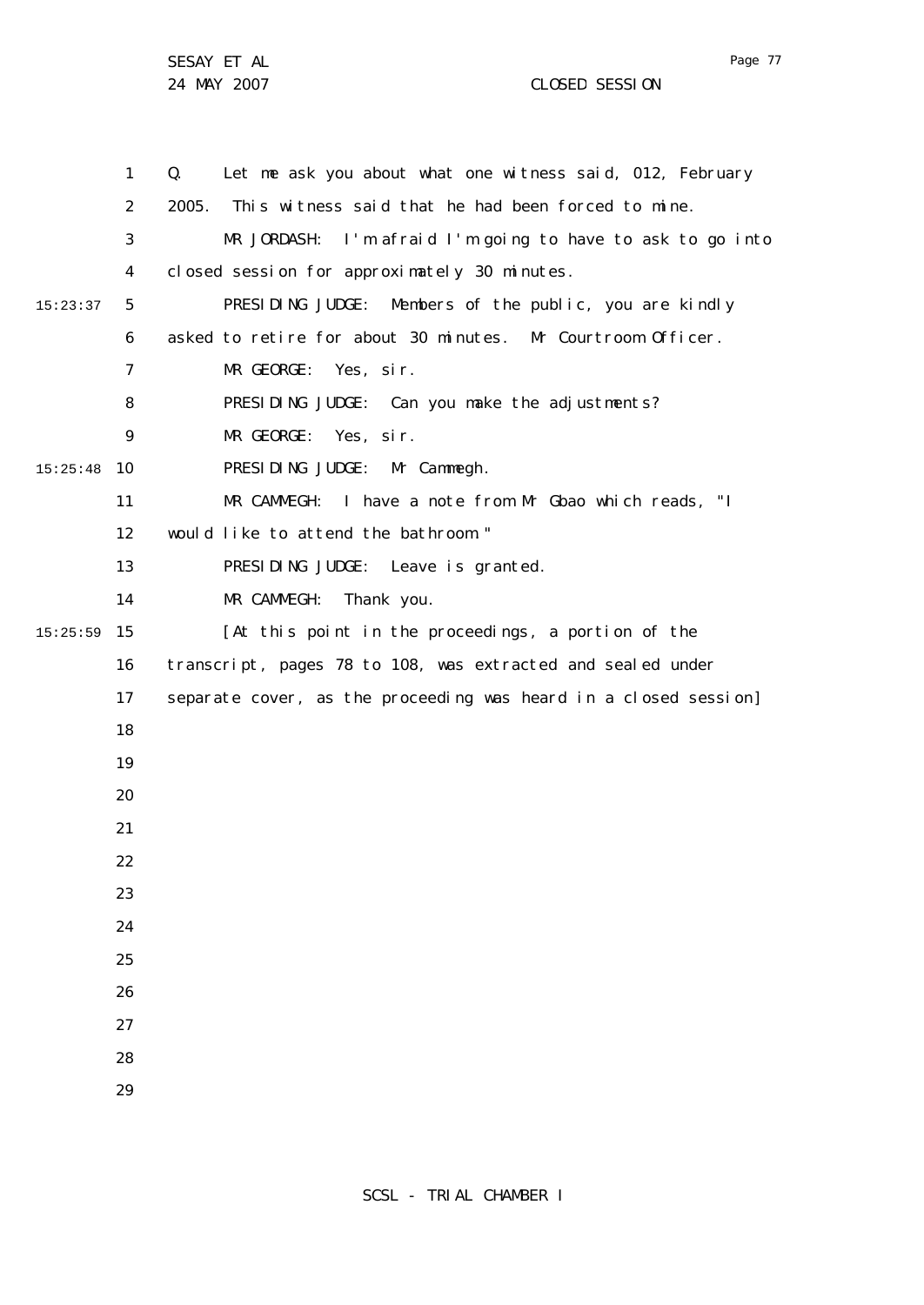1 2 3 4 5 6 7 8  $\mathsf{Q}$ 10 15:25:48 11 12 13 14 15 15:25:59 16 17 18 19 20 21 22 23 24 25 26 27 28 29 15:23:37 Q. Let me ask you about what one witness said, 012, February 2005. This witness said that he had been forced to mine. MR JORDASH: I'm afraid I'm going to have to ask to go into closed session for approximately 30 minutes. PRESIDING JUDGE: Members of the public, you are kindly asked to retire for about 30 minutes. Mr Courtroom Officer. MR GEORGE: Yes, sir. PRESIDING JUDGE: Can you make the adjustments? MR GEORGE: Yes, sir. PRESIDING JUDGE: Mr Cammegh. MR CAMMEGH: I have a note from Mr Gbao which reads, "I would like to attend the bathroom." PRESIDING JUDGE: Leave is granted. MR CAMMEGH: Thank you. [At this point in the proceedings, a portion of the transcript, pages 78 to 108, was extracted and sealed under separate cover, as the proceeding was heard in a closed session]

Page 77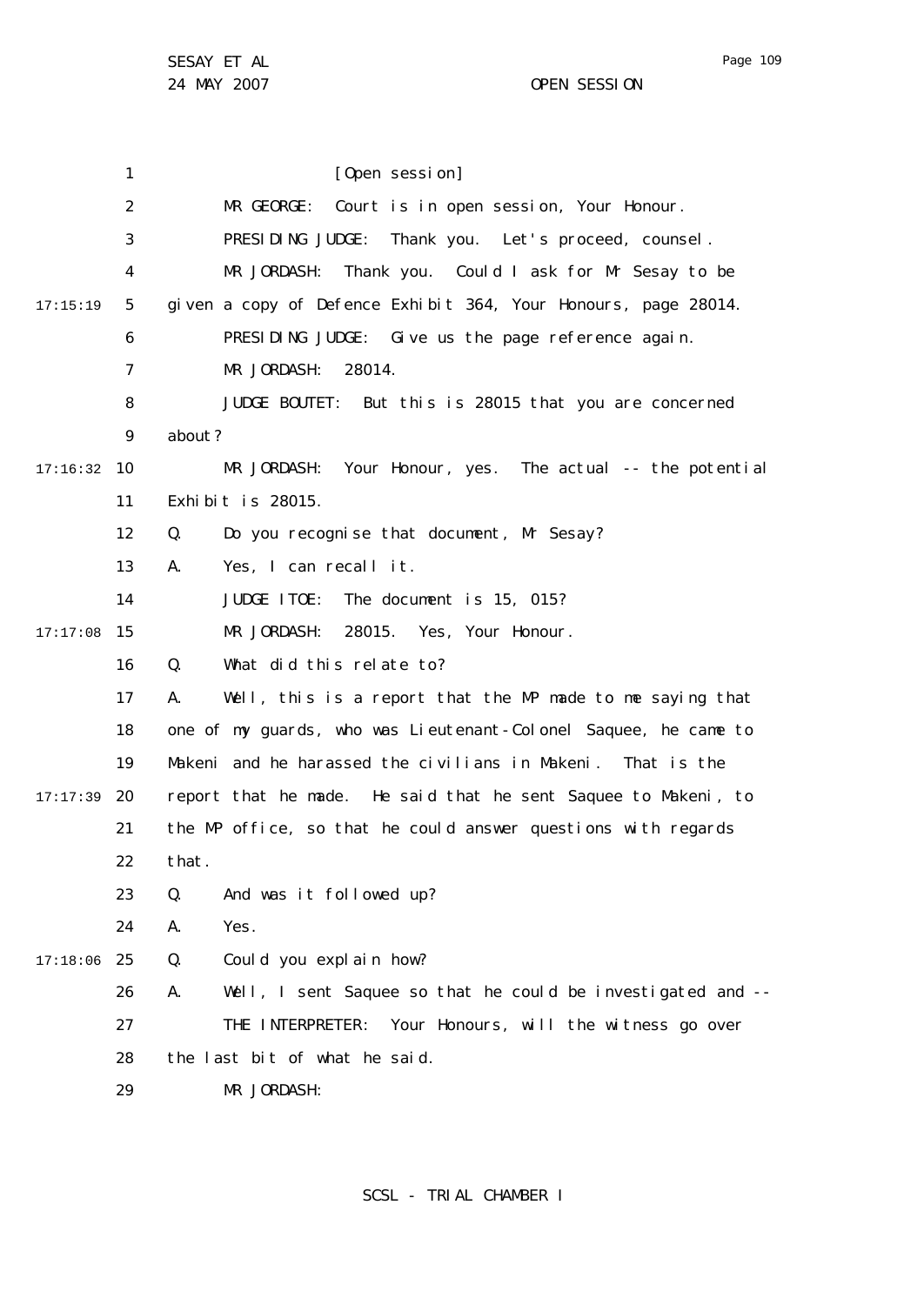1 2 3 4 5 6 7 8  $\mathsf{Q}$ 10 17:16:32 11 12 13 14 15 17:17:08 16 17 18 19 20 17:17:39 21 22 23 24 25 17:18:06 26 27 28 29 17:15:19 [Open session] MR GEORGE: Court is in open session, Your Honour. PRESIDING JUDGE: Thank you. Let's proceed, counsel. MR JORDASH: Thank you. Could I ask for Mr Sesay to be given a copy of Defence Exhibit 364, Your Honours, page 28014. PRESIDING JUDGE: Give us the page reference again. MR JORDASH: 28014. JUDGE BOUTET: But this is 28015 that you are concerned about? MR JORDASH: Your Honour, yes. The actual -- the potential Exhibit is 28015. Q. Do you recognise that document, Mr Sesay? A. Yes, I can recall it. JUDGE ITOE: The document is 15, 015? MR JORDASH: 28015. Yes, Your Honour. Q. What did this relate to? A. Well, this is a report that the MP made to me saying that one of my guards, who was Lieutenant-Colonel Saquee, he came to Makeni and he harassed the civilians in Makeni. That is the report that he made. He said that he sent Saquee to Makeni, to the MP office, so that he could answer questions with regards that. Q. And was it followed up? A. Yes. Q. Could you explain how? A. Well, I sent Saquee so that he could be investigated and -- THE INTERPRETER: Your Honours, will the witness go over the last bit of what he said. MR JORDASH: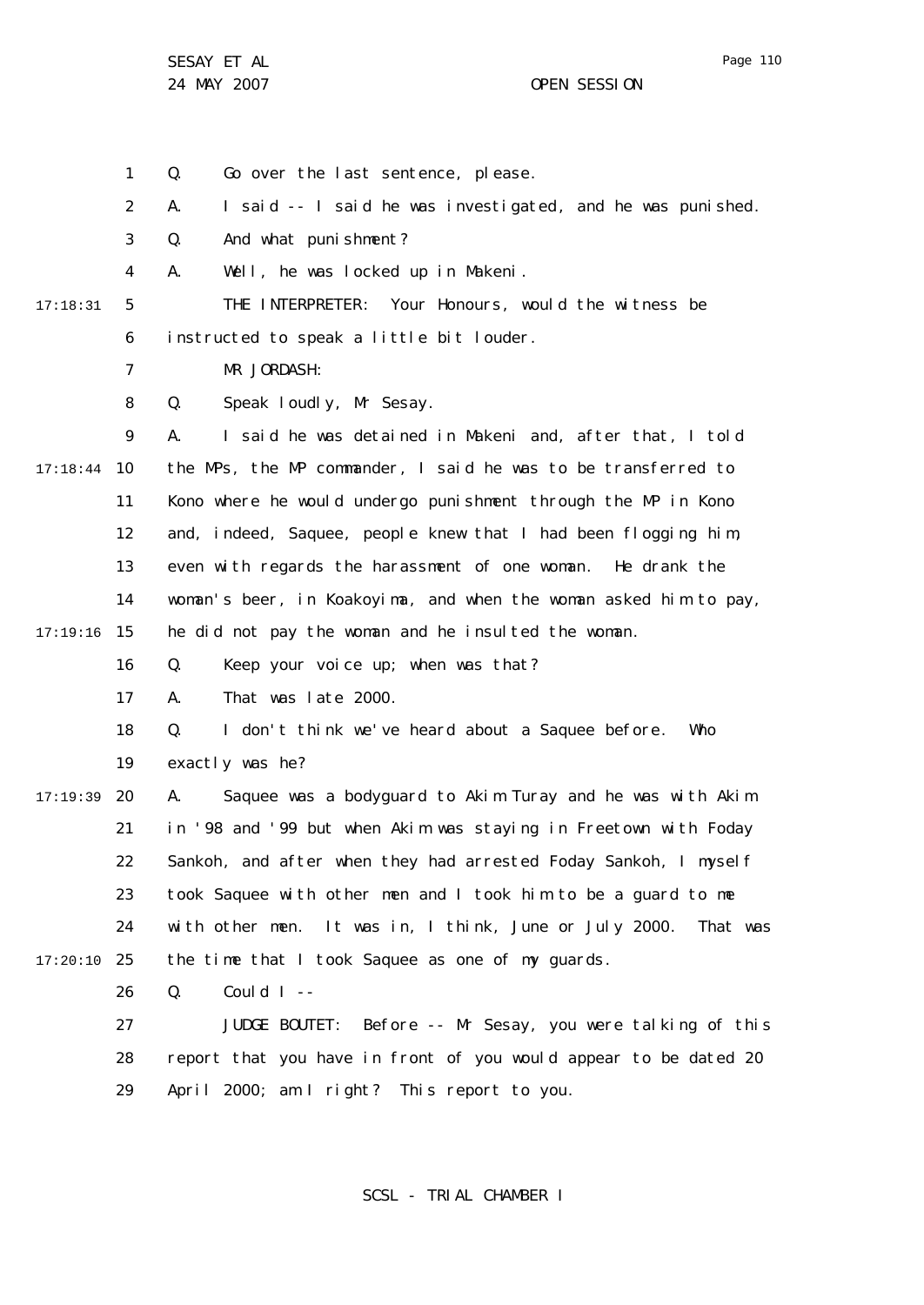1 Q. Go over the last sentence, please.

2 A. I said -- I said he was investigated, and he was punished.

3 Q. And what punishment?

4 A. Well, he was locked up in Makeni.

17:18:31

5 6 THE INTERPRETER: Your Honours, would the witness be instructed to speak a little bit louder.

7 MR JORDASH:

8 Q. Speak loudly, Mr Sesay.

 $\mathsf{Q}$ 10 17:18:44 11 12 13 14 15 17:19:16 A. I said he was detained in Makeni and, after that, I told the MPs, the MP commander, I said he was to be transferred to Kono where he would undergo punishment through the MP in Kono and, indeed, Saquee, people knew that I had been flogging him, even with regards the harassment of one woman. He drank the woman's beer, in Koakoyima, and when the woman asked him to pay, he did not pay the woman and he insulted the woman.

> 16 Q. Keep your voice up; when was that?

17 A. That was late 2000.

18 Q. I don't think we've heard about a Saquee before. Who

19 exactly was he?

20 17:19:39 21 22 23 24 25 17:20:10 A. Saquee was a bodyguard to Akim Turay and he was with Akim in '98 and '99 but when Akim was staying in Freetown with Foday Sankoh, and after when they had arrested Foday Sankoh, I myself took Saquee with other men and I took him to be a guard to me with other men. It was in, I think, June or July 2000. That was the time that I took Saquee as one of my guards.

> 26  $Q.$  Could I --

27 28 29 JUDGE BOUTET: Before -- Mr Sesay, you were talking of this report that you have in front of you would appear to be dated 20 April 2000; am I right? This report to you.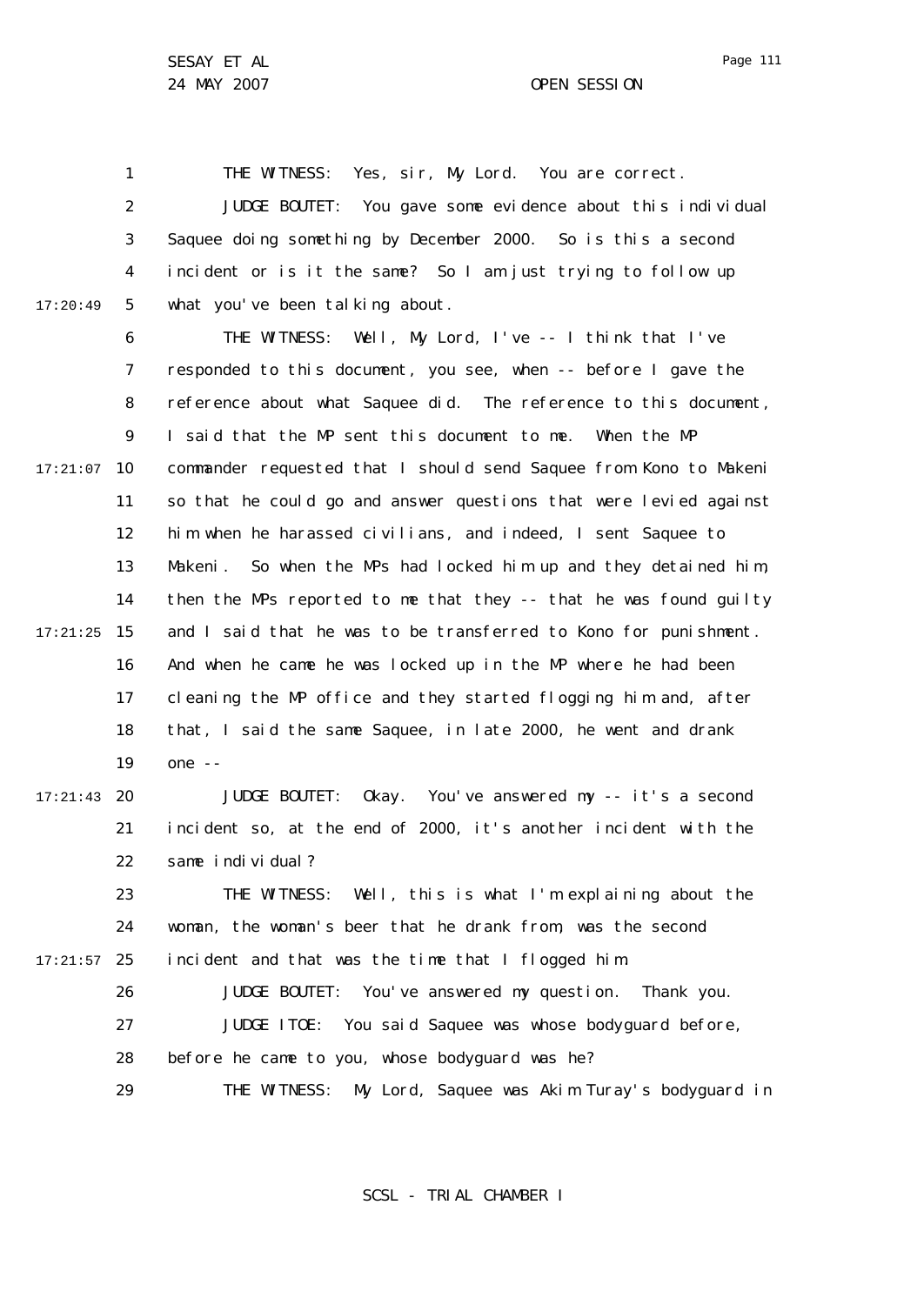Page 111

1 2 3 4 5 17:20:49 THE WITNESS: Yes, sir, My Lord. You are correct. JUDGE BOUTET: You gave some evidence about this individual Saquee doing something by December 2000. So is this a second incident or is it the same? So I am just trying to follow up what you've been talking about.

6 7 8  $\mathsf{Q}$ 10 17:21:07 11 12 13 14 15 17:21:25 16 17 18 19 20 17:21:43 THE WITNESS: Well, My Lord, I've -- I think that I've responded to this document, you see, when -- before I gave the reference about what Saquee did. The reference to this document, I said that the MP sent this document to me. When the MP commander requested that I should send Saquee from Kono to Makeni so that he could go and answer questions that were levied against him when he harassed civilians, and indeed, I sent Saquee to Makeni. So when the MPs had locked him up and they detained him, then the MPs reported to me that they -- that he was found guilty and I said that he was to be transferred to Kono for punishment. And when he came he was locked up in the MP where he had been cleaning the MP office and they started flogging him and, after that, I said the same Saquee, in late 2000, he went and drank one -- JUDGE BOUTET: Okay. You've answered my -- it's a second

21 22 incident so, at the end of 2000, it's another incident with the same individual?

23 24 25 17:21:57 THE WITNESS: Well, this is what I'm explaining about the woman, the woman's beer that he drank from, was the second incident and that was the time that I flogged him.

26 27 28 JUDGE BOUTET: You've answered my question. Thank you. JUDGE ITOE: You said Saquee was whose bodyguard before, before he came to you, whose bodyguard was he?

29 THE WITNESS: My Lord, Saquee was Akim Turay's bodyguard in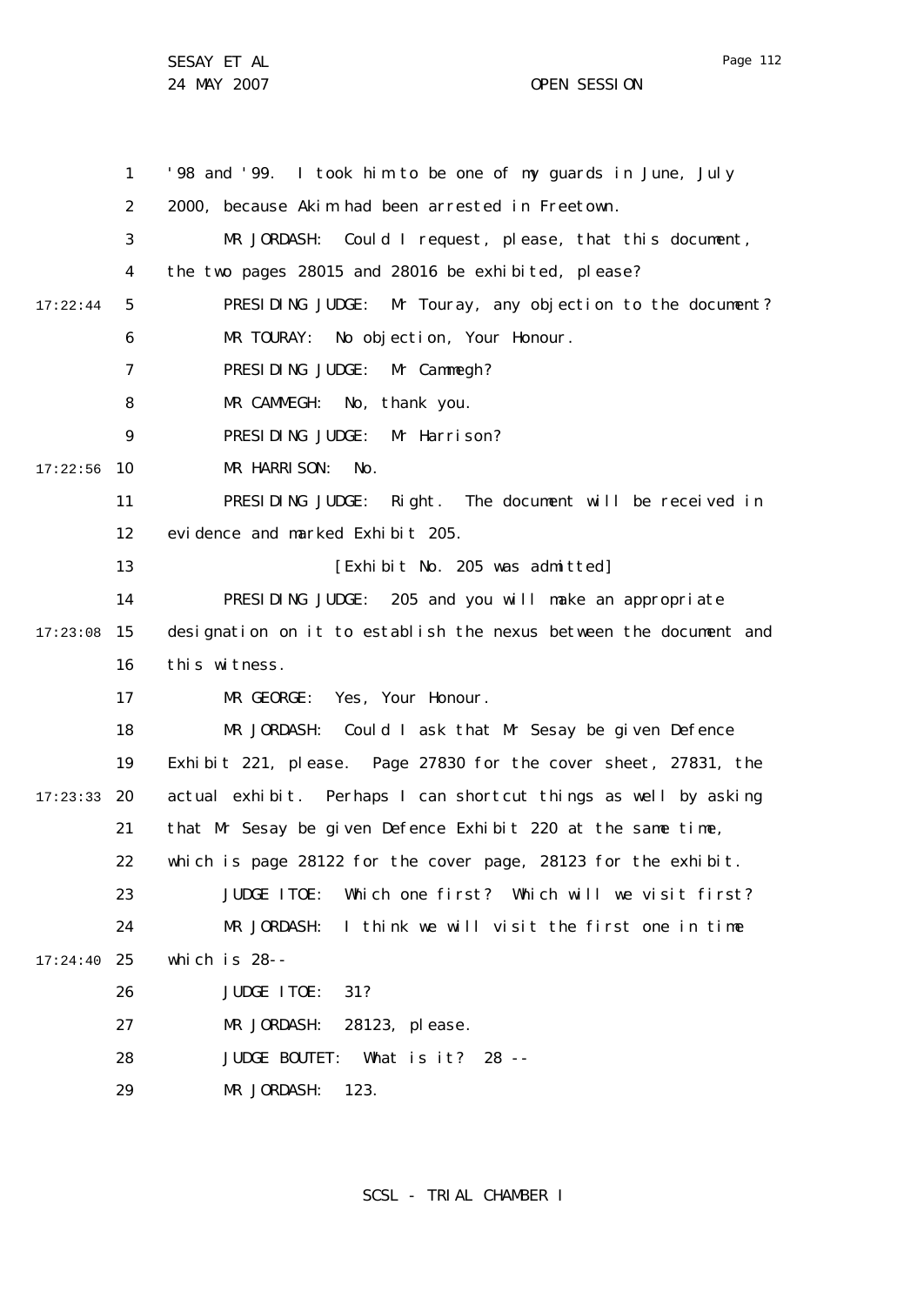1 2 3 4 5 6 7 8  $\mathsf{Q}$ 10 17:22:56 11 12 13 14 15 17:23:08 16 17 18 19 20 17:23:33 21 22 23  $24$ 25 17:24:40 26 27 28 29 17:22:44 '98 and '99. I took him to be one of my guards in June, July 2000, because Akim had been arrested in Freetown. MR JORDASH: Could I request, please, that this document, the two pages 28015 and 28016 be exhibited, please? PRESIDING JUDGE: Mr Touray, any objection to the document? MR TOURAY: No objection, Your Honour. PRESIDING JUDGE: Mr Cammegh? MR CAMMEGH: No, thank you. PRESIDING JUDGE: Mr Harrison? MR HARRISON: No. PRESIDING JUDGE: Right. The document will be received in evidence and marked Exhibit 205. [Exhibit No. 205 was admitted] PRESIDING JUDGE: 205 and you will make an appropriate designation on it to establish the nexus between the document and this witness. MR GEORGE: Yes, Your Honour. MR JORDASH: Could I ask that Mr Sesay be given Defence Exhibit 221, please. Page 27830 for the cover sheet, 27831, the actual exhibit. Perhaps I can shortcut things as well by asking that Mr Sesay be given Defence Exhibit 220 at the same time, which is page 28122 for the cover page, 28123 for the exhibit. JUDGE ITOE: Which one first? Which will we visit first? MR JORDASH: I think we will visit the first one in time which is 28-- JUDGE ITOE: 31? MR JORDASH: 28123, please. JUDGE BOUTET: What is it? 28 -- MR JORDASH: 123.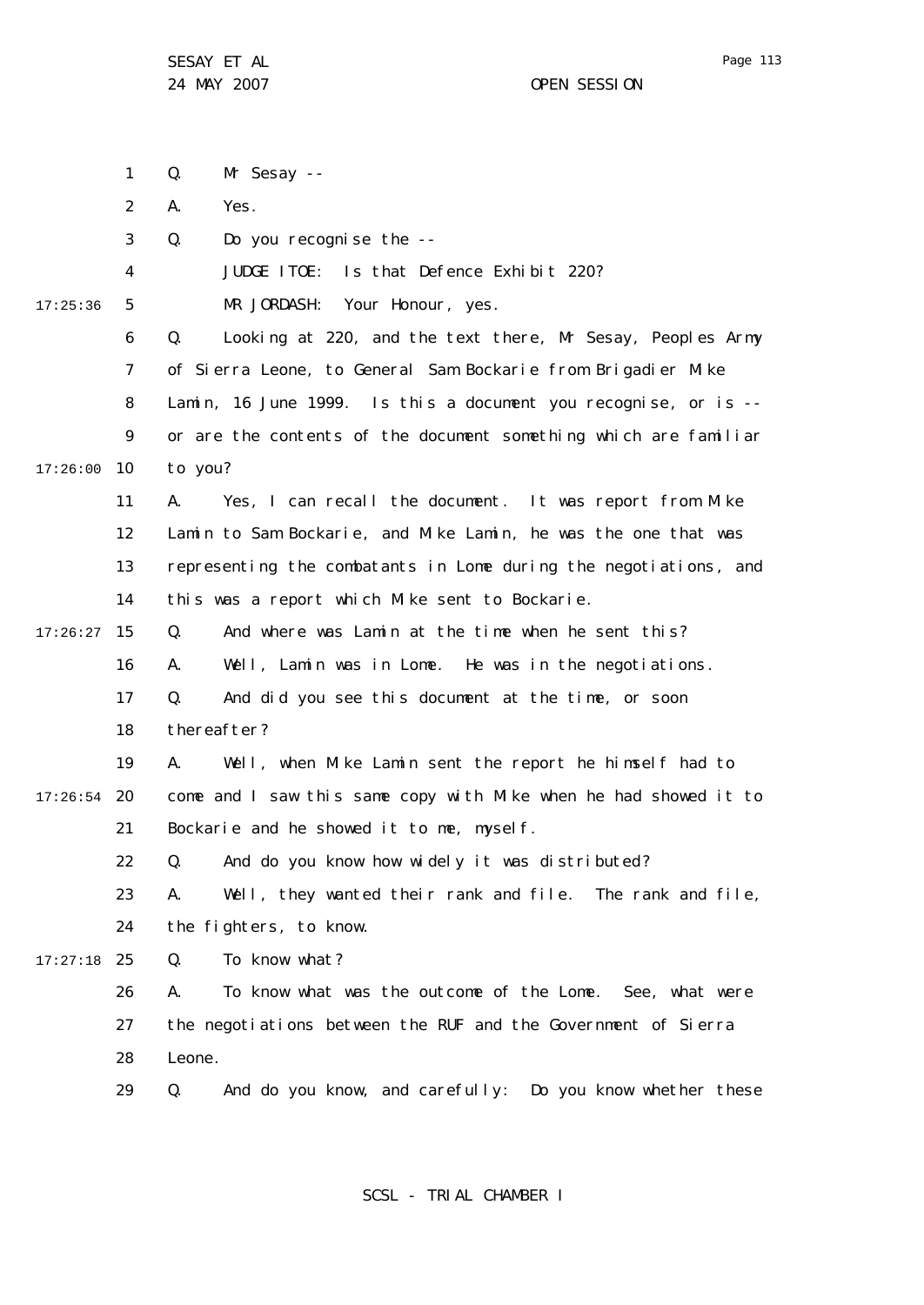Page 113

SESAY ET AL 24 MAY 2007 OPEN SESSION

|          | 1  | Mr Sesay --<br>Q.                                                |
|----------|----|------------------------------------------------------------------|
|          | 2  | Yes.<br>А.                                                       |
|          | 3  | Do you recognise the --<br>Q.                                    |
|          | 4  | Is that Defence Exhibit 220?<br>JUDGE ITOE:                      |
| 17:25:36 | 5  | MR JORDASH: Your Honour, yes.                                    |
|          | 6  | Looking at 220, and the text there, Mr Sesay, Peoples Army<br>Q. |
|          | 7  | of Sierra Leone, to General Sam Bockarie from Brigadier Mike     |
|          | 8  | Lamin, 16 June 1999. Is this a document you recognise, or is --  |
|          | 9  | or are the contents of the document something which are familiar |
| 17:26:00 | 10 | to you?                                                          |
|          | 11 | Yes, I can recall the document. It was report from Mike<br>А.    |
|          | 12 | Lamin to Sam Bockarie, and Mike Lamin, he was the one that was   |
|          | 13 | representing the combatants in Lome during the negotiations, and |
|          | 14 | this was a report which Mike sent to Bockarie.                   |
| 17:26:27 | 15 | And where was Lamin at the time when he sent this?<br>Q.         |
|          | 16 | Well, Lamin was in Lome. He was in the negotiations.<br>А.       |
|          | 17 | Q.<br>And did you see this document at the time, or soon         |
|          | 18 | thereafter?                                                      |
|          | 19 | А.<br>Well, when Mike Lamin sent the report he himself had to    |
| 17:26:54 | 20 | come and I saw this same copy with Mike when he had showed it to |
|          | 21 | Bockarie and he showed it to me, myself.                         |
|          | 22 | Q. And do you know how widely it was distributed?                |
|          | 23 | Well, they wanted their rank and file. The rank and file,<br>А.  |
|          | 24 | the fighters, to know.                                           |
| 17:27:18 | 25 | To know what?<br>Q.                                              |
|          | 26 | To know what was the outcome of the Lome. See, what were<br>А.   |
|          | 27 | the negotiations between the RUF and the Government of Sierra    |
|          | 28 | Leone.                                                           |
|          | 29 | And do you know, and carefully: Do you know whether these<br>Q.  |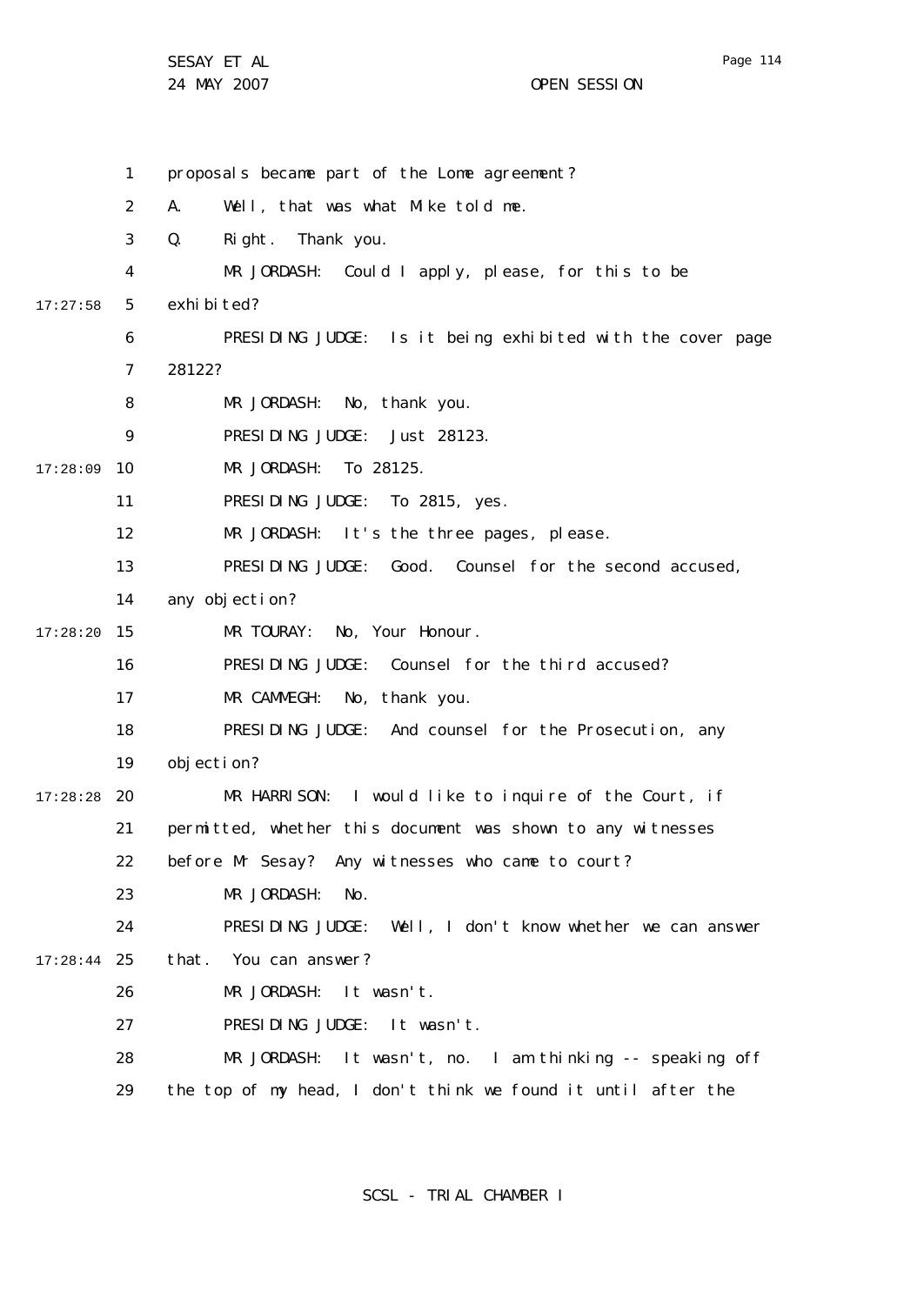24 MAY 2007 CHE SESSION

1 2 3 4 5 6 7 8  $\mathsf{Q}$ 10 17:28:09 11 12 13 14 15 17:28:20 16 17 18 19 20 17:28:28 21 22 23 24 25 17:28:44 26 27 28 29 17:27:58 proposals became part of the Lome agreement? A. Well, that was what Mike told me. Q. Right. Thank you. MR JORDASH: Could I apply, please, for this to be exhi bi ted? PRESIDING JUDGE: Is it being exhibited with the cover page 28122? MR JORDASH: No, thank you. PRESIDING JUDGE: Just 28123. MR JORDASH: To 28125. PRESIDING JUDGE: To 2815, yes. MR JORDASH: It's the three pages, please. PRESIDING JUDGE: Good. Counsel for the second accused, any objection? MR TOURAY: No, Your Honour. PRESIDING JUDGE: Counsel for the third accused? MR CAMMEGH: No, thank you. PRESIDING JUDGE: And counsel for the Prosecution, any objection? MR HARRISON: I would like to inquire of the Court, if permitted, whether this document was shown to any witnesses before Mr Sesay? Any witnesses who came to court? MR JORDASH: No. PRESIDING JUDGE: Well, I don't know whether we can answer that. You can answer? MR JORDASH: It wasn't. PRESIDING JUDGE: It wasn't. MR JORDASH: It wasn't, no. I am thinking -- speaking off the top of my head, I don't think we found it until after the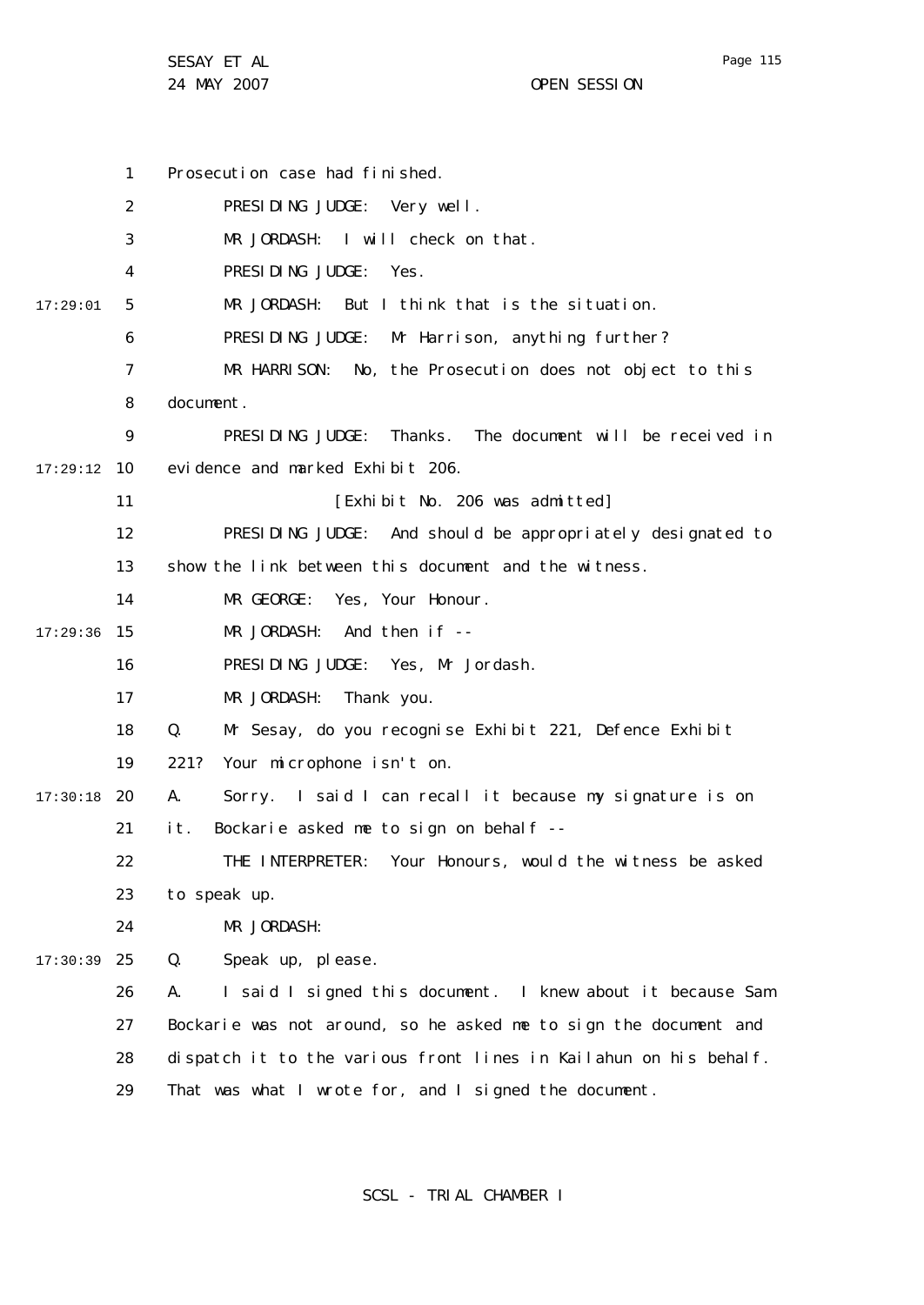1 2 3 4 5 6 7 8  $\mathsf{Q}$ 10 17:29:12 11 12 13 14 15 17:29:36 16 17 18 19 20 17:30:18 21 22 23 24 25 17:30:39 26 27 28 29 17:29:01 Prosecution case had finished. PRESIDING JUDGE: Very well. MR JORDASH: I will check on that. PRESIDING JUDGE: Yes. MR JORDASH: But I think that is the situation. PRESIDING JUDGE: Mr Harrison, anything further? MR HARRISON: No, the Prosecution does not object to this document. PRESIDING JUDGE: Thanks. The document will be received in evidence and marked Exhibit 206. [Exhibit No. 206 was admitted] PRESIDING JUDGE: And should be appropriately designated to show the link between this document and the witness. MR GEORGE: Yes, Your Honour. MR JORDASH: And then if -- PRESIDING JUDGE: Yes, Mr Jordash. MR JORDASH: Thank you. Q. Mr Sesay, do you recognise Exhibit 221, Defence Exhibit 221? Your microphone isn't on. A. Sorry. I said I can recall it because my signature is on it. Bockarie asked me to sign on behalf --THE INTERPRETER: Your Honours, would the witness be asked to speak up. MR JORDASH: Q. Speak up, please. A. I said I signed this document. I knew about it because Sam Bockarie was not around, so he asked me to sign the document and dispatch it to the various front lines in Kailahun on his behalf. That was what I wrote for, and I signed the document.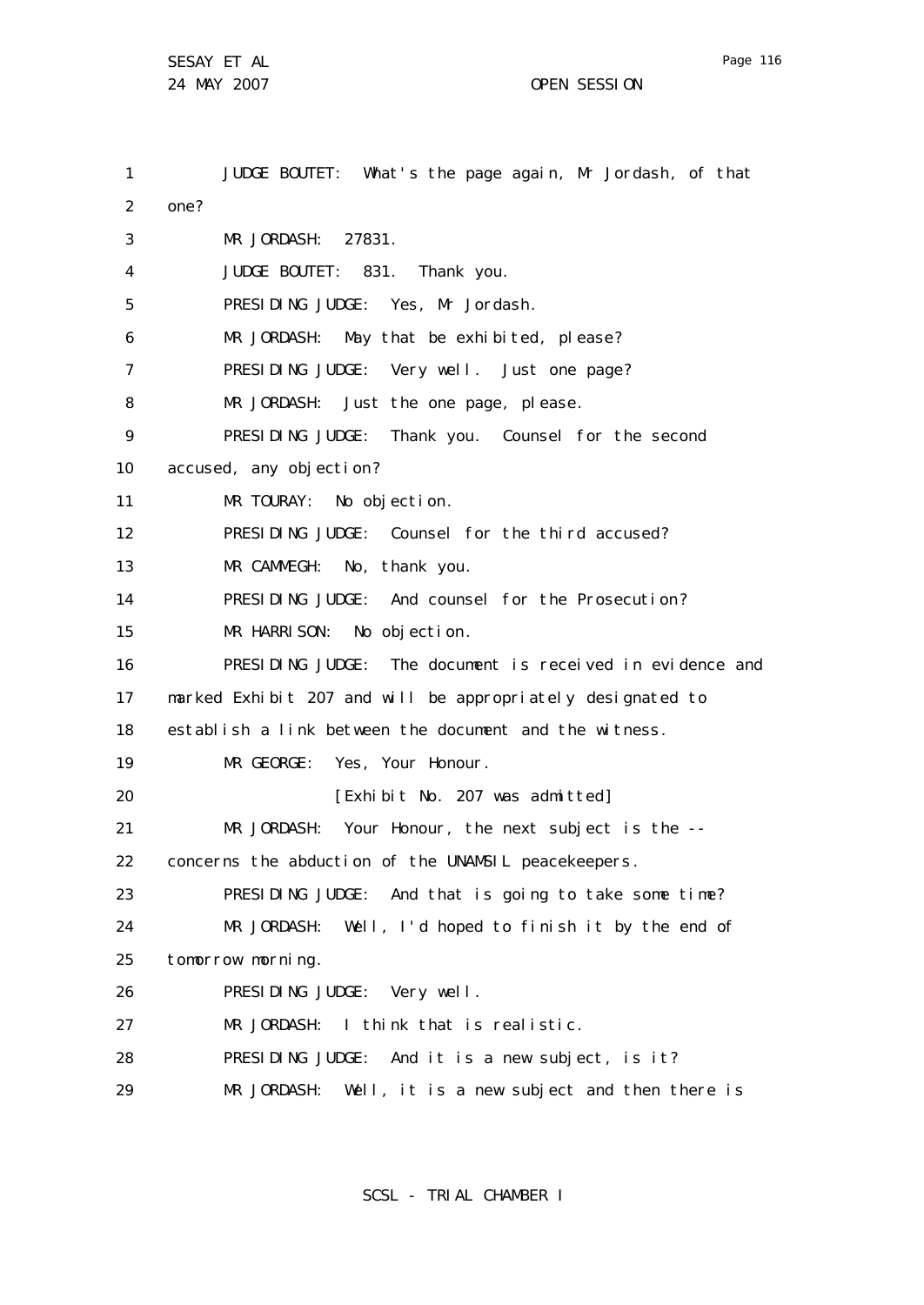1 2 3 4 5 6 7 8 9 10 11 12 13 14 15 16 17 18 19 20 21 22 23 24 25 26 27 28 29 JUDGE BOUTET: What's the page again, Mr Jordash, of that one? MR JORDASH: 27831. JUDGE BOUTET: 831. Thank you. PRESIDING JUDGE: Yes, Mr Jordash. MR JORDASH: May that be exhibited, please? PRESIDING JUDGE: Very well. Just one page? MR JORDASH: Just the one page, please. PRESIDING JUDGE: Thank you. Counsel for the second accused, any objection? MR TOURAY: No objection. PRESIDING JUDGE: Counsel for the third accused? MR CAMMEGH: No, thank you. PRESIDING JUDGE: And counsel for the Prosecution? MR HARRISON: No objection. PRESIDING JUDGE: The document is received in evidence and marked Exhibit 207 and will be appropriately designated to establish a link between the document and the witness. MR GEORGE: Yes, Your Honour. [Exhibit No. 207 was admitted] MR JORDASH: Your Honour, the next subject is the - concerns the abduction of the UNAMSIL peacekeepers. PRESIDING JUDGE: And that is going to take some time? MR JORDASH: Well, I'd hoped to finish it by the end of tomorrow morning. PRESIDING JUDGE: Very well. MR JORDASH: I think that is realistic. PRESIDING JUDGE: And it is a new subject, is it? MR JORDASH: Well, it is a new subject and then there is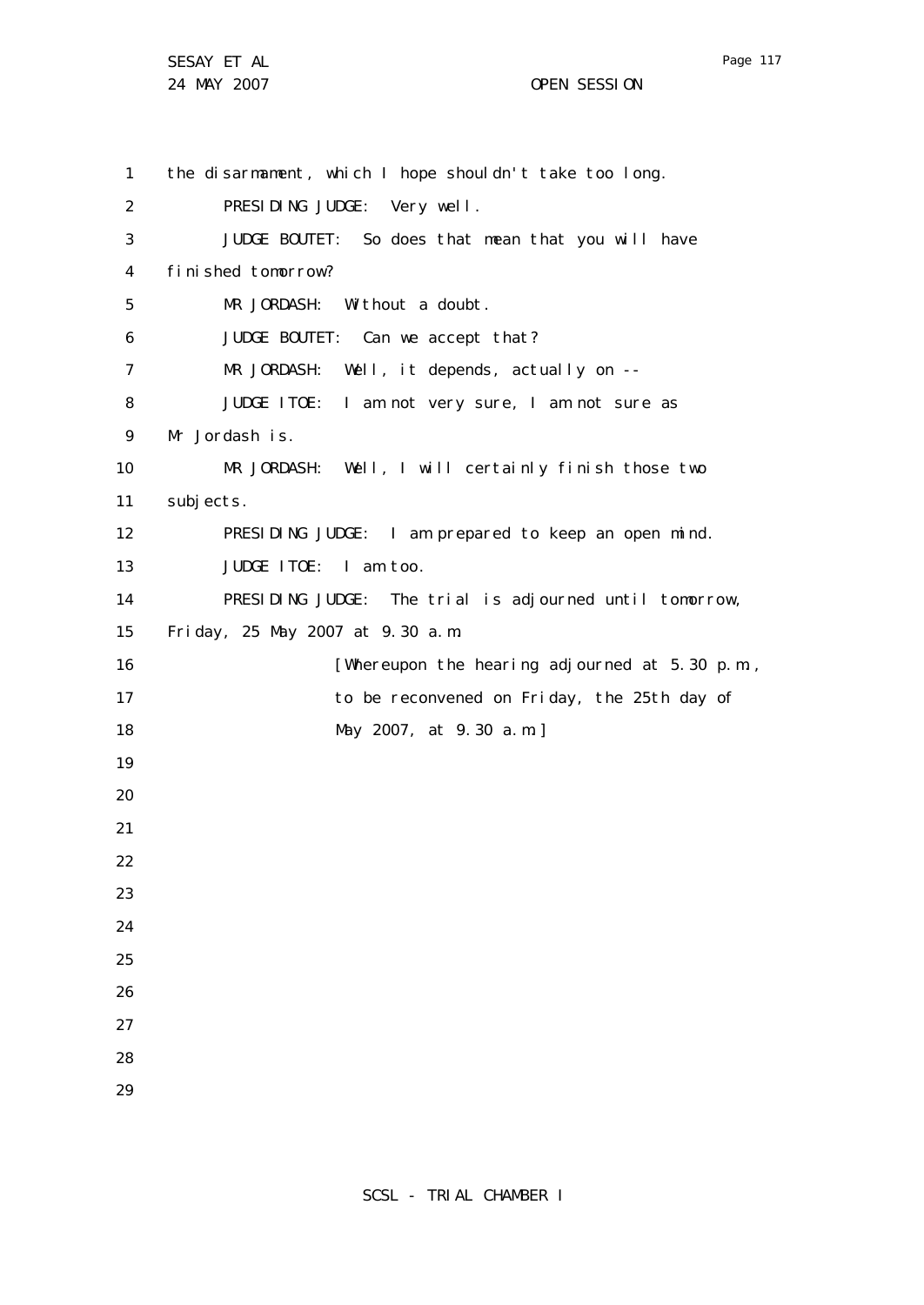Page 117

1 2 3 4 5 6 7 8 9 10 11 12 13 14 15 16 17 18 19 20 21 22 23 24 25 26 27 28 29 the disarmament, which I hope shouldn't take too long. PRESIDING JUDGE: Very well. JUDGE BOUTET: So does that mean that you will have finished tomorrow? MR JORDASH: Without a doubt. JUDGE BOUTET: Can we accept that? MR JORDASH: Well, it depends, actually on -- JUDGE ITOE: I am not very sure, I am not sure as Mr Jordash is. MR JORDASH: Well, I will certainly finish those two subjects. PRESIDING JUDGE: I am prepared to keep an open mind. JUDGE ITOE: I am too. PRESIDING JUDGE: The trial is adjourned until tomorrow, Friday, 25 May 2007 at 9.30 a.m. [Whereupon the hearing adjourned at 5.30 p.m., to be reconvened on Friday, the 25th day of May 2007, at 9.30 a.m.]